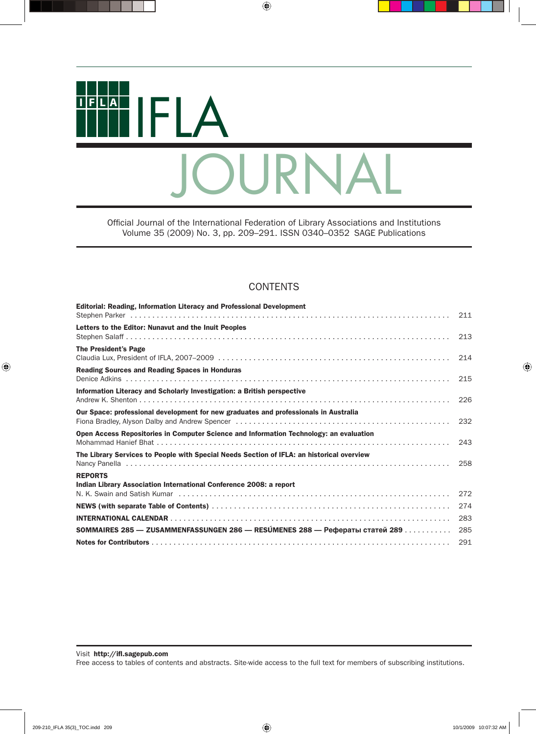

Official Journal of the International Federation of Library Associations and Institutions Volume 35 (2009) No. 3, pp. 209–291. ISSN 0340–0352 SAGE Publications

# **CONTENTS**

| <b>Editorial: Reading, Information Literacy and Professional Development</b>              | 211        |
|-------------------------------------------------------------------------------------------|------------|
| Letters to the Editor: Nunavut and the Inuit Peoples                                      | 213        |
| <b>The President's Page</b>                                                               | 214        |
| <b>Reading Sources and Reading Spaces in Honduras</b>                                     | 215        |
| Information Literacy and Scholarly Investigation: a British perspective                   | 226        |
| Our Space: professional development for new graduates and professionals in Australia      | 232        |
| Open Access Repositories in Computer Science and Information Technology: an evaluation    | 243        |
| The Library Services to People with Special Needs Section of IFLA: an historical overview | 258        |
| <b>REPORTS</b><br>Indian Library Association International Conference 2008: a report      |            |
|                                                                                           | 272<br>274 |
|                                                                                           | 283        |
| SOMMAIRES 285 - ZUSAMMENFASSUNGEN 286 - RESÚMENES 288 - Рефераты статей 289               | 285        |
|                                                                                           | 291        |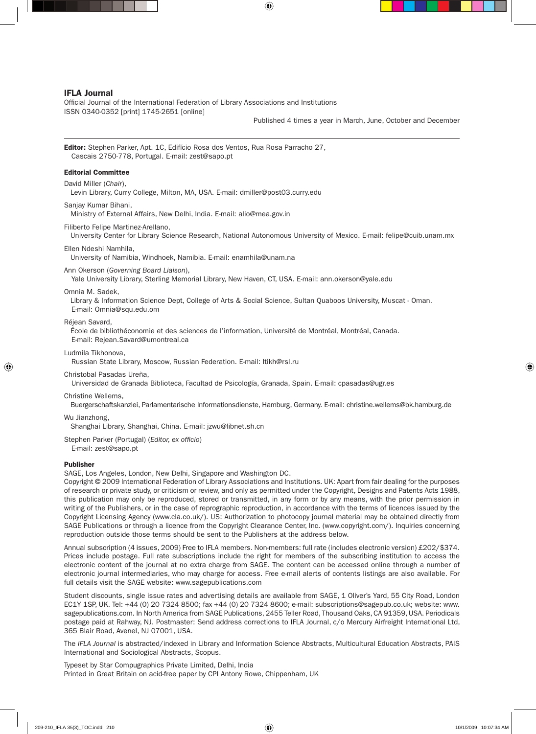#### IFLA Journal

Official Journal of the International Federation of Library Associations and Institutions ISSN 0340-0352 [print] 1745-2651 [online]

Published 4 times a year in March, June, October and December

Editor: Stephen Parker, Apt. 1C, Edifício Rosa dos Ventos, Rua Rosa Parracho 27, Cascais 2750-778, Portugal. E-mail: zest@sapo.pt

#### Editorial Committee

David Miller (*Chair*),

Levin Library, Curry College, Milton, MA, USA. E-mail: dmiller@post03.curry.edu

Sanjay Kumar Bihani,

Ministry of External Affairs, New Delhi, India. E-mail: alio@mea.gov.in

Filiberto Felipe Martinez-Arellano,

University Center for Library Science Research, National Autonomous University of Mexico. E-mail: felipe@cuib.unam.mx

#### Ellen Ndeshi Namhila,

University of Namibia, Windhoek, Namibia. E-mail: enamhila@unam.na

#### Ann Okerson (*Governing Board Liaison*),

Yale University Library, Sterling Memorial Library, New Haven, CT, USA. E-mail: ann.okerson@yale.edu

#### Omnia M. Sadek,

 Library & Information Science Dept, College of Arts & Social Science, Sultan Quaboos University, Muscat - Oman. E-mail: Omnia@squ.edu.om

Réjean Savard,

 École de bibliothéconomie et des sciences de l'information, Université de Montréal, Montréal, Canada. E-mail: Rejean.Savard@umontreal.ca

#### Ludmila Tikhonova,

Russian State Library, Moscow, Russian Federation. E-mail: ltikh@rsl.ru

Christobal Pasadas Ureña,

Universidad de Granada Biblioteca, Facultad de Psicología, Granada, Spain. E-mail: cpasadas@ugr.es

#### Christine Wellems,

Buergerschaftskanzlei, Parlamentarische Informationsdienste, Hamburg, Germany. E-mail: christine.wellems@bk.hamburg.de

#### Wu Jianzhong,

Shanghai Library, Shanghai, China. E-mail: jzwu@libnet.sh.cn

Stephen Parker (Portugal) (*Editor, ex officio*)

E-mail: zest@sapo.pt

#### Publisher

SAGE, Los Angeles, London, New Delhi, Singapore and Washington DC.

Copyright © 2009 International Federation of Library Associations and Institutions. UK: Apart from fair dealing for the purposes of research or private study, or criticism or review, and only as permitted under the Copyright, Designs and Patents Acts 1988, this publication may only be reproduced, stored or transmitted, in any form or by any means, with the prior permission in writing of the Publishers, or in the case of reprographic reproduction, in accordance with the terms of licences issued by the Copyright Licensing Agency (www.cla.co.uk/). US: Authorization to photocopy journal material may be obtained directly from SAGE Publications or through a licence from the Copyright Clearance Center, Inc. (www.copyright.com/). Inquiries concerning reproduction outside those terms should be sent to the Publishers at the address below.

Annual subscription (4 issues, 2009) Free to IFLA members. Non-members: full rate (includes electronic version) £202/\$374. Prices include postage. Full rate subscriptions include the right for members of the subscribing institution to access the electronic content of the journal at no extra charge from SAGE. The content can be accessed online through a number of electronic journal intermediaries, who may charge for access. Free e-mail alerts of contents listings are also available. For full details visit the SAGE website: www.sagepublications.com

Student discounts, single issue rates and advertising details are available from SAGE, 1 Oliver's Yard, 55 City Road, London EC1Y 1SP, UK. Tel: +44 (0) 20 7324 8500; fax +44 (0) 20 7324 8600; e-mail: subscriptions@sagepub.co.uk; website: www. sagepublications.com. In North America from SAGE Publications, 2455 Teller Road, Thousand Oaks, CA 91359, USA. Periodicals postage paid at Rahway, NJ. Postmaster: Send address corrections to IFLA Journal, c/o Mercury Airfreight International Ltd, 365 Blair Road, Avenel, NJ 07001, USA.

The *IFLA Journal* is abstracted/indexed in Library and Information Science Abstracts, Multicultural Education Abstracts, PAIS International and Sociological Abstracts, Scopus.

Typeset by Star Compugraphics Private Limited, Delhi, India Printed in Great Britain on acid-free paper by CPI Antony Rowe, Chippenham, UK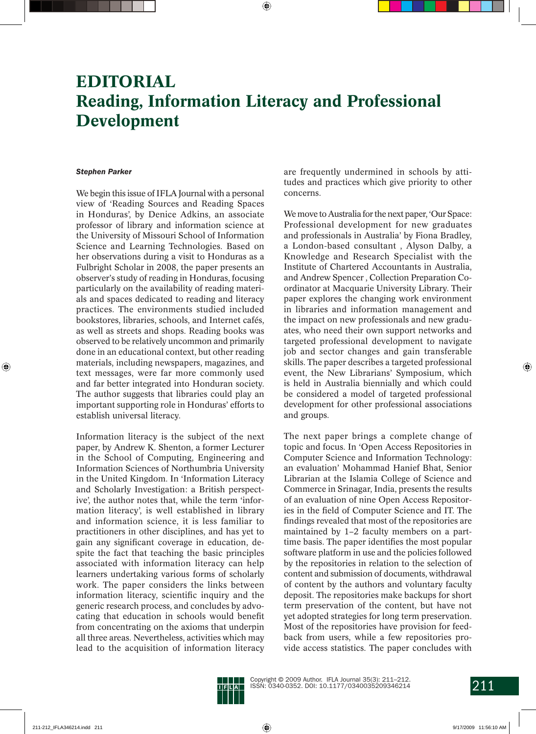# **EDITORIAL Reading, Information Literacy and Professional Development**

#### *Stephen Parker*

We begin this issue of IFLA Journal with a personal view of 'Reading Sources and Reading Spaces in Honduras', by Denice Adkins, an associate professor of library and information science at the University of Missouri School of Information Science and Learning Technologies. Based on her observations during a visit to Honduras as a Fulbright Scholar in 2008, the paper presents an observer's study of reading in Honduras, focusing particularly on the availability of reading materials and spaces dedicated to reading and literacy practices. The environments studied included bookstores, libraries, schools, and Internet cafés, as well as streets and shops. Reading books was observed to be relatively uncommon and primarily done in an educational context, but other reading materials, including newspapers, magazines, and text messages, were far more commonly used and far better integrated into Honduran society. The author suggests that libraries could play an important supporting role in Honduras' efforts to establish universal literacy.

Information literacy is the subject of the next paper, by Andrew K. Shenton, a former Lecturer in the School of Computing, Engineering and Information Sciences of Northumbria University in the United Kingdom. In 'Information Literacy and Scholarly Investigation: a British perspective', the author notes that, while the term 'information literacy', is well established in library and information science, it is less familiar to practitioners in other disciplines, and has yet to gain any significant coverage in education, despite the fact that teaching the basic principles associated with information literacy can help learners undertaking various forms of scholarly work. The paper considers the links between information literacy, scientific inquiry and the generic research process, and concludes by advocating that education in schools would benefit from concentrating on the axioms that underpin all three areas. Nevertheless, activities which may lead to the acquisition of information literacy are frequently undermined in schools by attitudes and practices which give priority to other concerns.

We move to Australia for the next paper, 'Our Space: Professional development for new graduates and professionals in Australia' by Fiona Bradley, a London-based consultant , Alyson Dalby, a Knowledge and Research Specialist with the Institute of Chartered Accountants in Australia, and Andrew Spencer , Collection Preparation Coordinator at Macquarie University Library. Their paper explores the changing work environment in libraries and information management and the impact on new professionals and new graduates, who need their own support networks and targeted professional development to navigate job and sector changes and gain transferable skills. The paper describes a targeted professional event, the New Librarians' Symposium, which is held in Australia biennially and which could be considered a model of targeted professional development for other professional associations and groups.

The next paper brings a complete change of topic and focus. In 'Open Access Repositories in Computer Science and Information Technology: an evaluation' Mohammad Hanief Bhat, Senior Librarian at the Islamia College of Science and Commerce in Srinagar, India, presents the results of an evaluation of nine Open Access Repositories in the field of Computer Science and IT. The findings revealed that most of the repositories are maintained by 1–2 faculty members on a parttime basis. The paper identifies the most popular software platform in use and the policies followed by the repositories in relation to the selection of content and submission of documents, withdrawal of content by the authors and voluntary faculty deposit. The repositories make backups for short term preservation of the content, but have not yet adopted strategies for long term preservation. Most of the repositories have provision for feedback from users, while a few repositories provide access statistics. The paper concludes with

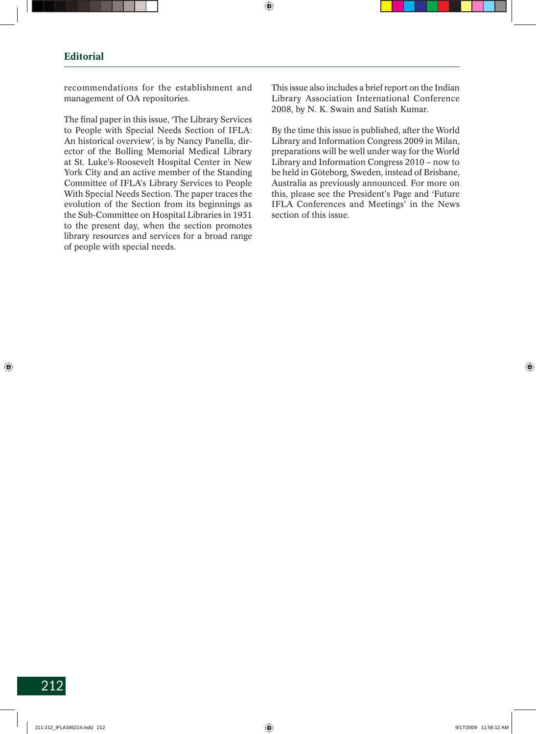recommendations for the establishment and management of OA repositories.

The final paper in this issue, 'The Library Services' to People with Special Needs Section of IFLA: An historical overview', is by Nancy Panella, director of the Bolling Memorial Medical Library at St. Luke's-Roosevelt Hospital Center in New York City and an active member of the Standing Committee of IFLA's Library Services to People With Special Needs Section. The paper traces the evolution of the Section from its beginnings as the Sub-Committee on Hospital Libraries in 1931 to the present day, when the section promotes library resources and services for a broad range of people with special needs.

This issue also includes a brief report on the Indian Library Association International Conference 2008, by N. K. Swain and Satish Kumar.

By the time this issue is published, after the World Library and Information Congress 2009 in Milan, preparations will be well under way for the World Library and Information Congress 2010 – now to be held in Göteborg, Sweden, instead of Brisbane, Australia as previously announced. For more on this, please see the President's Page and 'Future IFLA Conferences and Meetings' in the News section of this issue.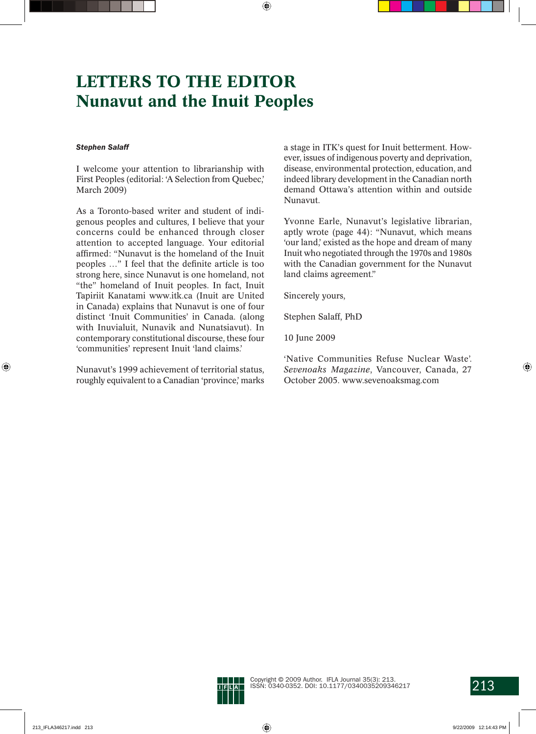# **LETTERS TO THE EDITOR Nunavut and the Inuit Peoples**

#### *Stephen Salaff*

I welcome your attention to librarianship with First Peoples (editorial: 'A Selection from Quebec,' March 2009)

As a Toronto-based writer and student of indigenous peoples and cultures, I believe that your concerns could be enhanced through closer attention to accepted language. Your editorial affirmed: "Nunavut is the homeland of the Inuit peoples ..." I feel that the definite article is too strong here, since Nunavut is one homeland, not "the" homeland of Inuit peoples. In fact, Inuit Tapiriit Kanatami www.itk.ca (Inuit are United in Canada) explains that Nunavut is one of four distinct 'Inuit Communities' in Canada. (along with Inuvialuit, Nunavik and Nunatsiavut). In contemporary constitutional discourse, these four 'communities' represent Inuit 'land claims.'

Nunavut's 1999 achievement of territorial status, roughly equivalent to a Canadian 'province,' marks a stage in ITK's quest for Inuit betterment. However, issues of indigenous poverty and deprivation, disease, environmental protection, education, and indeed library development in the Canadian north demand Ottawa's attention within and outside Nunavut.

Yvonne Earle, Nunavut's legislative librarian, aptly wrote (page 44): "Nunavut, which means 'our land,' existed as the hope and dream of many Inuit who negotiated through the 1970s and 1980s with the Canadian government for the Nunavut land claims agreement."

Sincerely yours,

Stephen Salaff, PhD

10 June 2009

'Native Communities Refuse Nuclear Waste'. *Sevenoaks Magazine*, Vancouver, Canada, 27 October 2005. www.sevenoaksmag.com

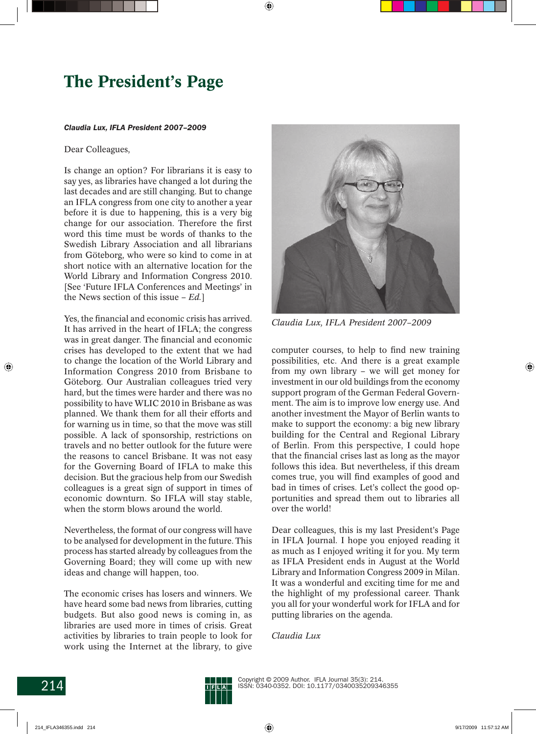# **The President's Page**

#### *Claudia Lux, IFLA President 2007–2009*

### Dear Colleagues,

Is change an option? For librarians it is easy to say yes, as libraries have changed a lot during the last decades and are still changing. But to change an IFLA congress from one city to another a year before it is due to happening, this is a very big change for our association. Therefore the first word this time must be words of thanks to the Swedish Library Association and all librarians from Göteborg, who were so kind to come in at short notice with an alternative location for the World Library and Information Congress 2010. [See 'Future IFLA Conferences and Meetings' in the News section of this issue – *Ed.*]

Yes, the financial and economic crisis has arrived. It has arrived in the heart of IFLA; the congress was in great danger. The financial and economic crises has developed to the extent that we had to change the location of the World Library and Information Congress 2010 from Brisbane to Göteborg. Our Australian colleagues tried very hard, but the times were harder and there was no possibility to have WLIC 2010 in Brisbane as was planned. We thank them for all their efforts and for warning us in time, so that the move was still possible. A lack of sponsorship, restrictions on travels and no better outlook for the future were the reasons to cancel Brisbane. It was not easy for the Governing Board of IFLA to make this decision. But the gracious help from our Swedish colleagues is a great sign of support in times of economic downturn. So IFLA will stay stable, when the storm blows around the world.

Nevertheless, the format of our congress will have to be analysed for development in the future. This process has started already by colleagues from the Governing Board; they will come up with new ideas and change will happen, too.

The economic crises has losers and winners. We have heard some bad news from libraries, cutting budgets. But also good news is coming in, as libraries are used more in times of crisis. Great activities by libraries to train people to look for work using the Internet at the library, to give



*Claudia Lux, IFLA President 2007–2009*

computer courses, to help to find new training possibilities, etc. And there is a great example from my own library – we will get money for investment in our old buildings from the economy support program of the German Federal Government. The aim is to improve low energy use. And another investment the Mayor of Berlin wants to make to support the economy: a big new library building for the Central and Regional Library of Berlin. From this perspective, I could hope that the financial crises last as long as the mayor follows this idea. But nevertheless, if this dream comes true, you will find examples of good and bad in times of crises. Let's collect the good opportunities and spread them out to libraries all over the world!

Dear colleagues, this is my last President's Page in IFLA Journal. I hope you enjoyed reading it as much as I enjoyed writing it for you. My term as IFLA President ends in August at the World Library and Information Congress 2009 in Milan. It was a wonderful and exciting time for me and the highlight of my professional career. Thank you all for your wonderful work for IFLA and for putting libraries on the agenda.

*Claudia Lux*

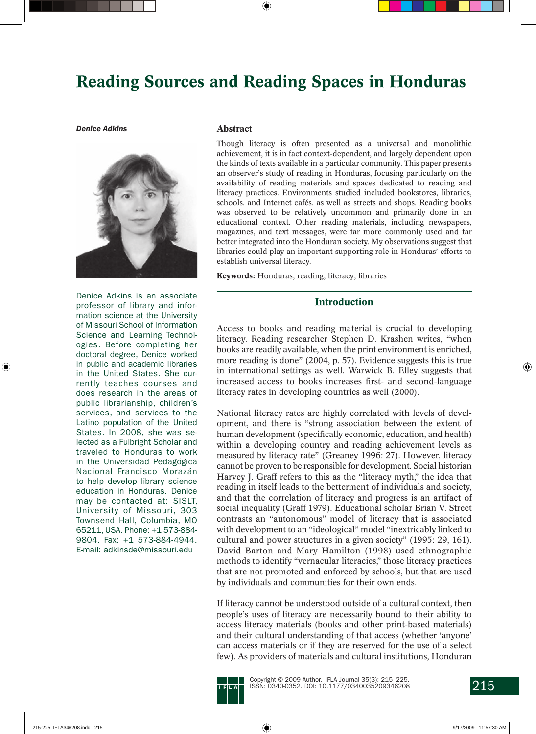# **Reading Sources and Reading Spaces in Honduras**

#### *Denice Adkins*



Denice Adkins is an associate professor of library and information science at the University of Missouri School of Information Science and Learning Technologies. Before completing her doctoral degree, Denice worked in public and academic libraries in the United States. She currently teaches courses and does research in the areas of public librarianship, children's services, and services to the Latino population of the United States. In 2008, she was selected as a Fulbright Scholar and traveled to Honduras to work in the Universidad Pedagógica Nacional Francisco Morazán to help develop library science education in Honduras. Denice may be contacted at: SISLT, University of Missouri, 303 Townsend Hall, Columbia, MO 65211, USA. Phone: +1 573-884- 9804. Fax: +1 573-884-4944. E-mail: adkinsde@missouri.edu

#### **Abstract**

Though literacy is often presented as a universal and monolithic achievement, it is in fact context-dependent, and largely dependent upon the kinds of texts available in a particular community. This paper presents an observer's study of reading in Honduras, focusing particularly on the availability of reading materials and spaces dedicated to reading and literacy practices. Environments studied included bookstores, libraries, schools, and Internet cafés, as well as streets and shops. Reading books was observed to be relatively uncommon and primarily done in an educational context. Other reading materials, including newspapers, magazines, and text messages, were far more commonly used and far better integrated into the Honduran society. My observations suggest that libraries could play an important supporting role in Honduras' efforts to establish universal literacy.

**Keywords:** Honduras; reading; literacy; libraries

### **Introduction**

Access to books and reading material is crucial to developing literacy. Reading researcher Stephen D. Krashen writes, "when books are readily available, when the print environment is enriched, more reading is done" (2004, p. 57). Evidence suggests this is true in international settings as well. Warwick B. Elley suggests that increased access to books increases first- and second-language literacy rates in developing countries as well (2000).

National literacy rates are highly correlated with levels of development, and there is "strong association between the extent of human development (specifically economic, education, and health) within a developing country and reading achievement levels as measured by literacy rate" (Greaney 1996: 27). However, literacy cannot be proven to be responsible for development. Social historian Harvey J. Graff refers to this as the "literacy myth," the idea that reading in itself leads to the betterment of individuals and society, and that the correlation of literacy and progress is an artifact of social inequality (Graff 1979). Educational scholar Brian V. Street contrasts an "autonomous" model of literacy that is associated with development to an "ideological" model "inextricably linked to cultural and power structures in a given society" (1995: 29, 161). David Barton and Mary Hamilton (1998) used ethnographic methods to identify "vernacular literacies," those literacy practices that are not promoted and enforced by schools, but that are used by individuals and communities for their own ends.

If literacy cannot be understood outside of a cultural context, then people's uses of literacy are necessarily bound to their ability to access literacy materials (books and other print-based materials) and their cultural understanding of that access (whether 'anyone' can access materials or if they are reserved for the use of a select few). As providers of materials and cultural institutions, Honduran

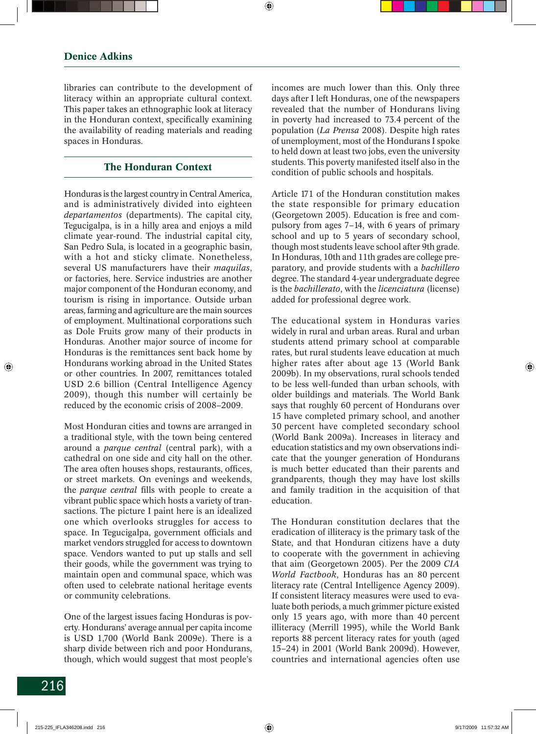libraries can contribute to the development of literacy within an appropriate cultural context. This paper takes an ethnographic look at literacy in the Honduran context, specifically examining the availability of reading materials and reading spaces in Honduras.

## **The Honduran Context**

Honduras is the largest country in Central America, and is administratively divided into eighteen *departamentos* (departments). The capital city, Tegucigalpa, is in a hilly area and enjoys a mild climate year-round. The industrial capital city, San Pedro Sula, is located in a geographic basin, with a hot and sticky climate. Nonetheless, several US manufacturers have their *maquilas*, or factories, here. Service industries are another major component of the Honduran economy, and tourism is rising in importance. Outside urban areas, farming and agriculture are the main sources of employment. Multinational corporations such as Dole Fruits grow many of their products in Honduras. Another major source of income for Honduras is the remittances sent back home by Hondurans working abroad in the United States or other countries. In 2007, remittances totaled USD 2.6 billion (Central Intelligence Agency 2009), though this number will certainly be reduced by the economic crisis of 2008–2009.

Most Honduran cities and towns are arranged in a traditional style, with the town being centered around a *parque central* (central park), with a cathedral on one side and city hall on the other. The area often houses shops, restaurants, offices, or street markets. On evenings and weekends, the *parque central* fills with people to create a vibrant public space which hosts a variety of transactions. The picture I paint here is an idealized one which overlooks struggles for access to space. In Tegucigalpa, government officials and market vendors struggled for access to downtown space. Vendors wanted to put up stalls and sell their goods, while the government was trying to maintain open and communal space, which was often used to celebrate national heritage events or community celebrations.

One of the largest issues facing Honduras is poverty. Hondurans' average annual per capita income is USD 1,700 (World Bank 2009e). There is a sharp divide between rich and poor Hondurans, though, which would suggest that most people's incomes are much lower than this. Only three days after I left Honduras, one of the newspapers revealed that the number of Hondurans living in poverty had increased to 73.4 percent of the population (*La Prensa* 2008). Despite high rates of unemployment, most of the Hondurans I spoke to held down at least two jobs, even the university students. This poverty manifested itself also in the condition of public schools and hospitals.

Article 171 of the Honduran constitution makes the state responsible for primary education (Georgetown 2005). Education is free and compulsory from ages 7–14, with 6 years of primary school and up to 5 years of secondary school, though most students leave school after 9th grade. In Honduras, 10th and 11th grades are college preparatory, and provide students with a *bachillero* degree. The standard 4-year undergraduate degree is the *bachillerato*, with the *licenciatura* (license) added for professional degree work.

The educational system in Honduras varies widely in rural and urban areas. Rural and urban students attend primary school at comparable rates, but rural students leave education at much higher rates after about age 13 (World Bank 2009b). In my observations, rural schools tended to be less well-funded than urban schools, with older buildings and materials. The World Bank says that roughly 60 percent of Hondurans over 15 have completed primary school, and another 30 percent have completed secondary school (World Bank 2009a). Increases in literacy and education statistics and my own observations indicate that the younger generation of Hondurans is much better educated than their parents and grandparents, though they may have lost skills and family tradition in the acquisition of that education.

The Honduran constitution declares that the eradication of illiteracy is the primary task of the State, and that Honduran citizens have a duty to cooperate with the government in achieving that aim (Georgetown 2005). Per the 2009 *CIA World Factbook*, Honduras has an 80 percent literacy rate (Central Intelligence Agency 2009). If consistent literacy measures were used to evaluate both periods, a much grimmer picture existed only 15 years ago, with more than 40 percent illiteracy (Merrill 1995), while the World Bank reports 88 percent literacy rates for youth (aged 15–24) in 2001 (World Bank 2009d). However, countries and international agencies often use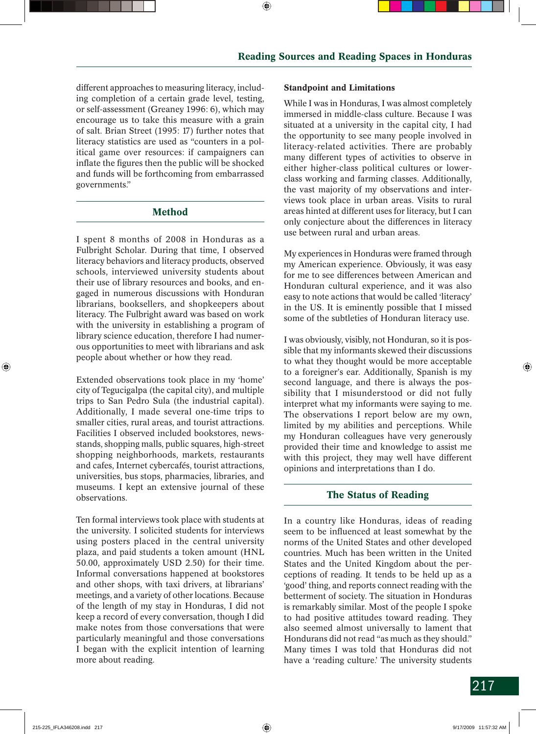different approaches to measuring literacy, including completion of a certain grade level, testing, or self-assessment (Greaney 1996: 6), which may encourage us to take this measure with a grain of salt. Brian Street (1995: 17) further notes that literacy statistics are used as "counters in a political game over resources: if campaigners can inflate the figures then the public will be shocked and funds will be forthcoming from embarrassed governments."

## **Method**

I spent 8 months of 2008 in Honduras as a Fulbright Scholar. During that time, I observed literacy behaviors and literacy products, observed schools, interviewed university students about their use of library resources and books, and engaged in numerous discussions with Honduran librarians, booksellers, and shopkeepers about literacy. The Fulbright award was based on work with the university in establishing a program of library science education, therefore I had numerous opportunities to meet with librarians and ask people about whether or how they read.

Extended observations took place in my 'home' city of Tegucigalpa (the capital city), and multiple trips to San Pedro Sula (the industrial capital). Additionally, I made several one-time trips to smaller cities, rural areas, and tourist attractions. Facilities I observed included bookstores, newsstands, shopping malls, public squares, high-street shopping neighborhoods, markets, restaurants and cafes, Internet cybercafés, tourist attractions, universities, bus stops, pharmacies, libraries, and museums. I kept an extensive journal of these observations.

Ten formal interviews took place with students at the university. I solicited students for interviews using posters placed in the central university plaza, and paid students a token amount (HNL 50.00, approximately USD 2.50) for their time. Informal conversations happened at bookstores and other shops, with taxi drivers, at librarians' meetings, and a variety of other locations. Because of the length of my stay in Honduras, I did not keep a record of every conversation, though I did make notes from those conversations that were particularly meaningful and those conversations I began with the explicit intention of learning more about reading.

## **Standpoint and Limitations**

While I was in Honduras, I was almost completely immersed in middle-class culture. Because I was situated at a university in the capital city, I had the opportunity to see many people involved in literacy-related activities. There are probably many different types of activities to observe in either higher-class political cultures or lowerclass working and farming classes. Additionally, the vast majority of my observations and interviews took place in urban areas. Visits to rural areas hinted at different uses for literacy, but I can only conjecture about the differences in literacy use between rural and urban areas.

My experiences in Honduras were framed through my American experience. Obviously, it was easy for me to see differences between American and Honduran cultural experience, and it was also easy to note actions that would be called 'literacy' in the US. It is eminently possible that I missed some of the subtleties of Honduran literacy use.

I was obviously, visibly, not Honduran, so it is possible that my informants skewed their discussions to what they thought would be more acceptable to a foreigner's ear. Additionally, Spanish is my second language, and there is always the possibility that I misunderstood or did not fully interpret what my informants were saying to me. The observations I report below are my own, limited by my abilities and perceptions. While my Honduran colleagues have very generously provided their time and knowledge to assist me with this project, they may well have different opinions and interpretations than I do.

# **The Status of Reading**

In a country like Honduras, ideas of reading seem to be influenced at least somewhat by the norms of the United States and other developed countries. Much has been written in the United States and the United Kingdom about the perceptions of reading. It tends to be held up as a 'good' thing, and reports connect reading with the betterment of society. The situation in Honduras is remarkably similar. Most of the people I spoke to had positive attitudes toward reading. They also seemed almost universally to lament that Hondurans did not read "as much as they should." Many times I was told that Honduras did not have a 'reading culture.' The university students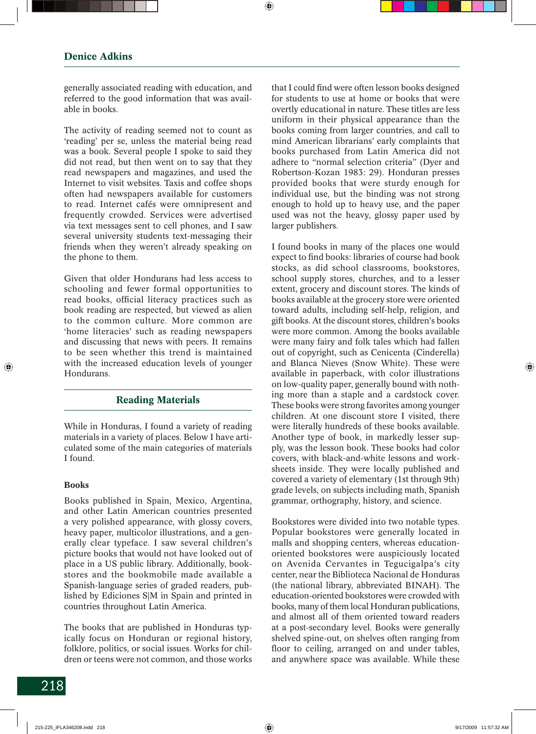generally associated reading with education, and referred to the good information that was available in books.

The activity of reading seemed not to count as 'reading' per se, unless the material being read was a book. Several people I spoke to said they did not read, but then went on to say that they read newspapers and magazines, and used the Internet to visit websites. Taxis and coffee shops often had newspapers available for customers to read. Internet cafés were omnipresent and frequently crowded. Services were advertised via text messages sent to cell phones, and I saw several university students text-messaging their friends when they weren't already speaking on the phone to them.

Given that older Hondurans had less access to schooling and fewer formal opportunities to read books, official literacy practices such as book reading are respected, but viewed as alien to the common culture. More common are 'home literacies' such as reading newspapers and discussing that news with peers. It remains to be seen whether this trend is maintained with the increased education levels of younger Hondurans.

## **Reading Materials**

While in Honduras, I found a variety of reading materials in a variety of places. Below I have articulated some of the main categories of materials I found.

### **Books**

Books published in Spain, Mexico, Argentina, and other Latin American countries presented a very polished appearance, with glossy covers, heavy paper, multicolor illustrations, and a generally clear typeface. I saw several children's picture books that would not have looked out of place in a US public library. Additionally, bookstores and the bookmobile made available a Spanish-language series of graded readers, published by Ediciones S|M in Spain and printed in countries throughout Latin America.

The books that are published in Honduras typically focus on Honduran or regional history, folklore, politics, or social issues. Works for children or teens were not common, and those works that I could find were often lesson books designed for students to use at home or books that were overtly educational in nature. These titles are less uniform in their physical appearance than the books coming from larger countries, and call to mind American librarians' early complaints that books purchased from Latin America did not adhere to "normal selection criteria" (Dyer and Robertson-Kozan 1983: 29). Honduran presses provided books that were sturdy enough for individual use, but the binding was not strong enough to hold up to heavy use, and the paper used was not the heavy, glossy paper used by larger publishers.

I found books in many of the places one would expect to find books: libraries of course had book stocks, as did school classrooms, bookstores, school supply stores, churches, and to a lesser extent, grocery and discount stores. The kinds of books available at the grocery store were oriented toward adults, including self-help, religion, and gift books. At the discount stores, children's books were more common. Among the books available were many fairy and folk tales which had fallen out of copyright, such as Cenicenta (Cinderella) and Blanca Nieves (Snow White). These were available in paperback, with color illustrations on low-quality paper, generally bound with nothing more than a staple and a cardstock cover. These books were strong favorites among younger children. At one discount store I visited, there were literally hundreds of these books available. Another type of book, in markedly lesser supply, was the lesson book. These books had color covers, with black-and-white lessons and worksheets inside. They were locally published and covered a variety of elementary (1st through 9th) grade levels, on subjects including math, Spanish grammar, orthography, history, and science.

Bookstores were divided into two notable types. Popular bookstores were generally located in malls and shopping centers, whereas educationoriented bookstores were auspiciously located on Avenida Cervantes in Tegucigalpa's city center, near the Biblioteca Nacional de Honduras (the national library, abbreviated BINAH). The education-oriented bookstores were crowded with books, many of them local Honduran publications, and almost all of them oriented toward readers at a post-secondary level. Books were generally shelved spine-out, on shelves often ranging from floor to ceiling, arranged on and under tables, and anywhere space was available. While these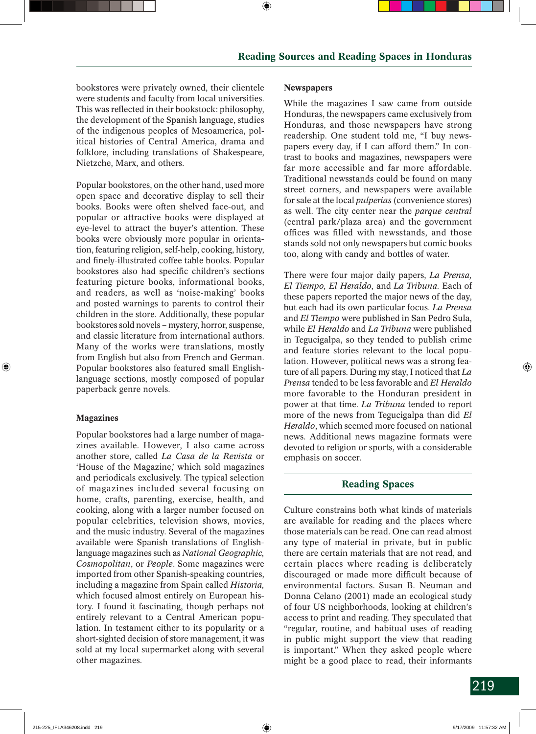bookstores were privately owned, their clientele were students and faculty from local universities. This was reflected in their bookstock: philosophy, the development of the Spanish language, studies of the indigenous peoples of Mesoamerica, political histories of Central America, drama and folklore, including translations of Shakespeare, Nietzche, Marx, and others.

Popular bookstores, on the other hand, used more open space and decorative display to sell their books. Books were often shelved face-out, and popular or attractive books were displayed at eye-level to attract the buyer's attention. These books were obviously more popular in orientation, featuring religion, self-help, cooking, history, and finely-illustrated coffee table books. Popular bookstores also had specific children's sections featuring picture books, informational books, and readers, as well as 'noise-making' books and posted warnings to parents to control their children in the store. Additionally, these popular bookstores sold novels – mystery, horror, suspense, and classic literature from international authors. Many of the works were translations, mostly from English but also from French and German. Popular bookstores also featured small Englishlanguage sections, mostly composed of popular paperback genre novels.

## **Magazines**

Popular bookstores had a large number of magazines available. However, I also came across another store, called *La Casa de la Revista* or 'House of the Magazine,' which sold magazines and periodicals exclusively. The typical selection of magazines included several focusing on home, crafts, parenting, exercise, health, and cooking, along with a larger number focused on popular celebrities, television shows, movies, and the music industry. Several of the magazines available were Spanish translations of Englishlanguage magazines such as *National Geographic, Cosmopolitan*, or *People*. Some magazines were imported from other Spanish-speaking countries, including a magazine from Spain called *Historia,*  which focused almost entirely on European history. I found it fascinating, though perhaps not entirely relevant to a Central American population. In testament either to its popularity or a short-sighted decision of store management, it was sold at my local supermarket along with several other magazines.

### **Newspapers**

While the magazines I saw came from outside Honduras, the newspapers came exclusively from Honduras, and those newspapers have strong readership. One student told me, "I buy newspapers every day, if I can afford them." In contrast to books and magazines, newspapers were far more accessible and far more affordable. Traditional newsstands could be found on many street corners, and newspapers were available for sale at the local *pulperias* (convenience stores) as well. The city center near the *parque central* (central park/plaza area) and the government offices was filled with newsstands, and those stands sold not only newspapers but comic books too, along with candy and bottles of water.

There were four major daily papers, *La Prensa, El Tiempo, El Heraldo,* and *La Tribuna.* Each of these papers reported the major news of the day, but each had its own particular focus. *La Prensa*  and *El Tiempo* were published in San Pedro Sula, while *El Heraldo* and *La Tribuna* were published in Tegucigalpa, so they tended to publish crime and feature stories relevant to the local population. However, political news was a strong feature of all papers. During my stay, I noticed that *La Prensa* tended to be less favorable and *El Heraldo*  more favorable to the Honduran president in power at that time. *La Tribuna* tended to report more of the news from Tegucigalpa than did *El Heraldo*, which seemed more focused on national news. Additional news magazine formats were devoted to religion or sports, with a considerable emphasis on soccer.

## **Reading Spaces**

Culture constrains both what kinds of materials are available for reading and the places where those materials can be read. One can read almost any type of material in private, but in public there are certain materials that are not read, and certain places where reading is deliberately discouraged or made more difficult because of environmental factors. Susan B. Neuman and Donna Celano (2001) made an ecological study of four US neighborhoods, looking at children's access to print and reading. They speculated that "regular, routine, and habitual uses of reading in public might support the view that reading is important." When they asked people where might be a good place to read, their informants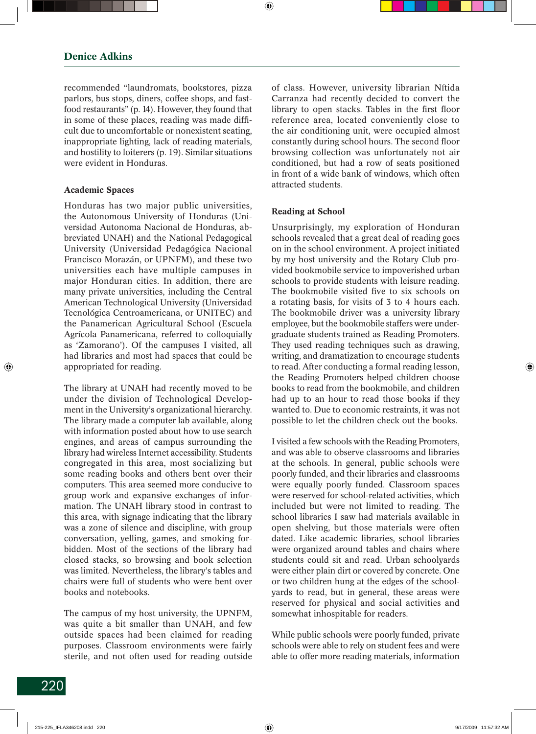recommended "laundromats, bookstores, pizza parlors, bus stops, diners, coffee shops, and fastfood restaurants" (p. 14). However, they found that in some of these places, reading was made difficult due to uncomfortable or nonexistent seating, inappropriate lighting, lack of reading materials, and hostility to loiterers (p. 19). Similar situations were evident in Honduras.

## **Academic Spaces**

Honduras has two major public universities, the Autonomous University of Honduras (Universidad Autonoma Nacional de Honduras, abbreviated UNAH) and the National Pedagogical University (Universidad Pedagógica Nacional Francisco Morazán, or UPNFM), and these two universities each have multiple campuses in major Honduran cities. In addition, there are many private universities, including the Central American Technological University (Universidad Tecnológica Centroamericana, or UNITEC) and the Panamerican Agricultural School (Escuela Agrícola Panamericana, referred to colloquially as 'Zamorano'). Of the campuses I visited, all had libraries and most had spaces that could be appropriated for reading.

The library at UNAH had recently moved to be under the division of Technological Development in the University's organizational hierarchy. The library made a computer lab available, along with information posted about how to use search engines, and areas of campus surrounding the library had wireless Internet accessibility. Students congregated in this area, most socializing but some reading books and others bent over their computers. This area seemed more conducive to group work and expansive exchanges of information. The UNAH library stood in contrast to this area, with signage indicating that the library was a zone of silence and discipline, with group conversation, yelling, games, and smoking forbidden. Most of the sections of the library had closed stacks, so browsing and book selection was limited. Nevertheless, the library's tables and chairs were full of students who were bent over books and notebooks.

The campus of my host university, the UPNFM, was quite a bit smaller than UNAH, and few outside spaces had been claimed for reading purposes. Classroom environments were fairly sterile, and not often used for reading outside

of class. However, university librarian Nítida Carranza had recently decided to convert the library to open stacks. Tables in the first floor reference area, located conveniently close to the air conditioning unit, were occupied almost constantly during school hours. The second floor browsing collection was unfortunately not air conditioned, but had a row of seats positioned in front of a wide bank of windows, which often attracted students.

## **Reading at School**

Unsurprisingly, my exploration of Honduran schools revealed that a great deal of reading goes on in the school environment. A project initiated by my host university and the Rotary Club provided bookmobile service to impoverished urban schools to provide students with leisure reading. The bookmobile visited five to six schools on a rotating basis, for visits of 3 to 4 hours each. The bookmobile driver was a university library employee, but the bookmobile staffers were undergraduate students trained as Reading Promoters. They used reading techniques such as drawing, writing, and dramatization to encourage students to read. After conducting a formal reading lesson, the Reading Promoters helped children choose books to read from the bookmobile, and children had up to an hour to read those books if they wanted to. Due to economic restraints, it was not possible to let the children check out the books.

I visited a few schools with the Reading Promoters, and was able to observe classrooms and libraries at the schools. In general, public schools were poorly funded, and their libraries and classrooms were equally poorly funded. Classroom spaces were reserved for school-related activities, which included but were not limited to reading. The school libraries I saw had materials available in open shelving, but those materials were often dated. Like academic libraries, school libraries were organized around tables and chairs where students could sit and read. Urban schoolyards were either plain dirt or covered by concrete. One or two children hung at the edges of the schoolyards to read, but in general, these areas were reserved for physical and social activities and somewhat inhospitable for readers.

While public schools were poorly funded, private schools were able to rely on student fees and were able to offer more reading materials, information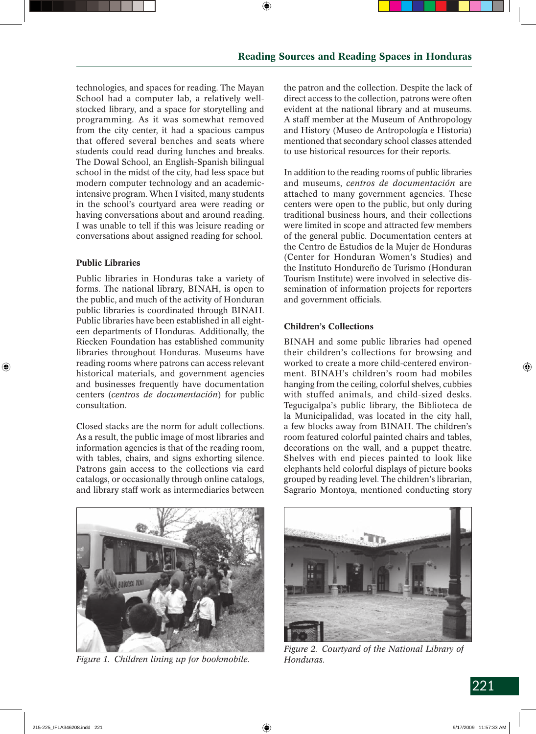technologies, and spaces for reading. The Mayan School had a computer lab, a relatively wellstocked library, and a space for storytelling and programming. As it was somewhat removed from the city center, it had a spacious campus that offered several benches and seats where students could read during lunches and breaks. The Dowal School, an English-Spanish bilingual school in the midst of the city, had less space but modern computer technology and an academicintensive program. When I visited, many students in the school's courtyard area were reading or having conversations about and around reading. I was unable to tell if this was leisure reading or conversations about assigned reading for school.

## **Public Libraries**

Public libraries in Honduras take a variety of forms. The national library, BINAH, is open to the public, and much of the activity of Honduran public libraries is coordinated through BINAH. Public libraries have been established in all eighteen departments of Honduras. Additionally, the Riecken Foundation has established community libraries throughout Honduras. Museums have reading rooms where patrons can access relevant historical materials, and government agencies and businesses frequently have documentation centers (*centros de documentación*) for public consultation.

Closed stacks are the norm for adult collections. As a result, the public image of most libraries and information agencies is that of the reading room, with tables, chairs, and signs exhorting silence. Patrons gain access to the collections via card catalogs, or occasionally through online catalogs, and library staff work as intermediaries between

the patron and the collection. Despite the lack of direct access to the collection, patrons were often evident at the national library and at museums. A staff member at the Museum of Anthropology and History (Museo de Antropología e Historia) mentioned that secondary school classes attended to use historical resources for their reports.

In addition to the reading rooms of public libraries and museums, *centros de documentación* are attached to many government agencies. These centers were open to the public, but only during traditional business hours, and their collections were limited in scope and attracted few members of the general public. Documentation centers at the Centro de Estudios de la Mujer de Honduras (Center for Honduran Women's Studies) and the Instituto Hondureño de Turismo (Honduran Tourism Institute) were involved in selective dissemination of information projects for reporters and government officials.

# **Children's Collections**

BINAH and some public libraries had opened their children's collections for browsing and worked to create a more child-centered environment. BINAH's children's room had mobiles hanging from the ceiling, colorful shelves, cubbies with stuffed animals, and child-sized desks. Tegucigalpa's public library, the Biblioteca de la Municipalidad, was located in the city hall, a few blocks away from BINAH. The children's room featured colorful painted chairs and tables, decorations on the wall, and a puppet theatre. Shelves with end pieces painted to look like elephants held colorful displays of picture books grouped by reading level. The children's librarian, Sagrario Montoya, mentioned conducting story



*Figure 1. Children lining up for bookmobile.*



*Figure 2. Courtyard of the National Library of Honduras.*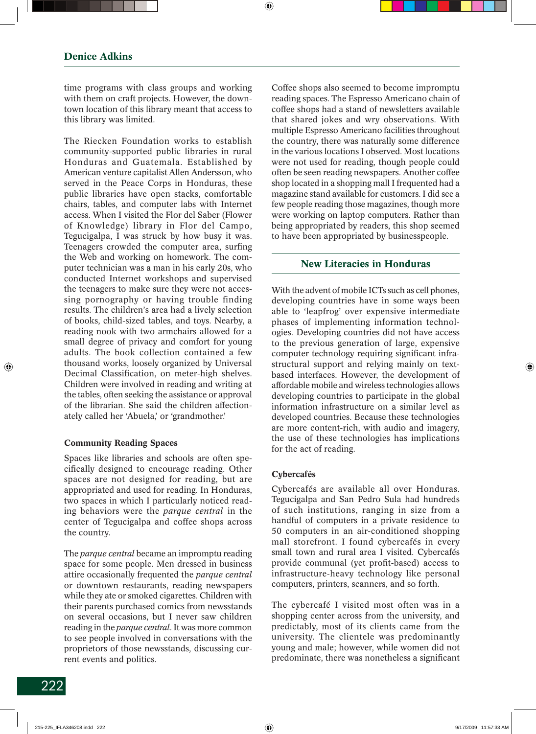time programs with class groups and working with them on craft projects. However, the downtown location of this library meant that access to this library was limited.

The Riecken Foundation works to establish community-supported public libraries in rural Honduras and Guatemala. Established by American venture capitalist Allen Andersson, who served in the Peace Corps in Honduras, these public libraries have open stacks, comfortable chairs, tables, and computer labs with Internet access. When I visited the Flor del Saber (Flower of Knowledge) library in Flor del Campo, Tegucigalpa, I was struck by how busy it was. Teenagers crowded the computer area, surfing the Web and working on homework. The computer technician was a man in his early 20s, who conducted Internet workshops and supervised the teenagers to make sure they were not accessing pornography or having trouble finding results. The children's area had a lively selection of books, child-sized tables, and toys. Nearby, a reading nook with two armchairs allowed for a small degree of privacy and comfort for young adults. The book collection contained a few thousand works, loosely organized by Universal Decimal Classification, on meter-high shelves. Children were involved in reading and writing at the tables, often seeking the assistance or approval of the librarian. She said the children affectionately called her 'Abuela,' or 'grandmother.'

## **Community Reading Spaces**

Spaces like libraries and schools are often specifi cally designed to encourage reading. Other spaces are not designed for reading, but are appropriated and used for reading. In Honduras, two spaces in which I particularly noticed reading behaviors were the *parque central* in the center of Tegucigalpa and coffee shops across the country.

The *parque central* became an impromptu reading space for some people. Men dressed in business attire occasionally frequented the *parque central* or downtown restaurants, reading newspapers while they ate or smoked cigarettes. Children with their parents purchased comics from newsstands on several occasions, but I never saw children reading in the *parque central*. It was more common to see people involved in conversations with the proprietors of those newsstands, discussing current events and politics.

Coffee shops also seemed to become impromptu reading spaces. The Espresso Americano chain of coffee shops had a stand of newsletters available that shared jokes and wry observations. With multiple Espresso Americano facilities throughout the country, there was naturally some difference in the various locations I observed. Most locations were not used for reading, though people could often be seen reading newspapers. Another coffee shop located in a shopping mall I frequented had a magazine stand available for customers. I did see a few people reading those magazines, though more were working on laptop computers. Rather than being appropriated by readers, this shop seemed to have been appropriated by businesspeople.

## **New Literacies in Honduras**

With the advent of mobile ICTs such as cell phones, developing countries have in some ways been able to 'leapfrog' over expensive intermediate phases of implementing information technologies. Developing countries did not have access to the previous generation of large, expensive computer technology requiring significant infrastructural support and relying mainly on textbased interfaces. However, the development of affordable mobile and wireless technologies allows developing countries to participate in the global information infrastructure on a similar level as developed countries. Because these technologies are more content-rich, with audio and imagery, the use of these technologies has implications for the act of reading.

## **Cybercafés**

Cybercafés are available all over Honduras. Tegucigalpa and San Pedro Sula had hundreds of such institutions, ranging in size from a handful of computers in a private residence to 50 computers in an air-conditioned shopping mall storefront. I found cybercafés in every small town and rural area I visited. Cybercafés provide communal (yet profit-based) access to infrastructure-heavy technology like personal computers, printers, scanners, and so forth.

The cybercafé I visited most often was in a shopping center across from the university, and predictably, most of its clients came from the university. The clientele was predominantly young and male; however, while women did not predominate, there was nonetheless a significant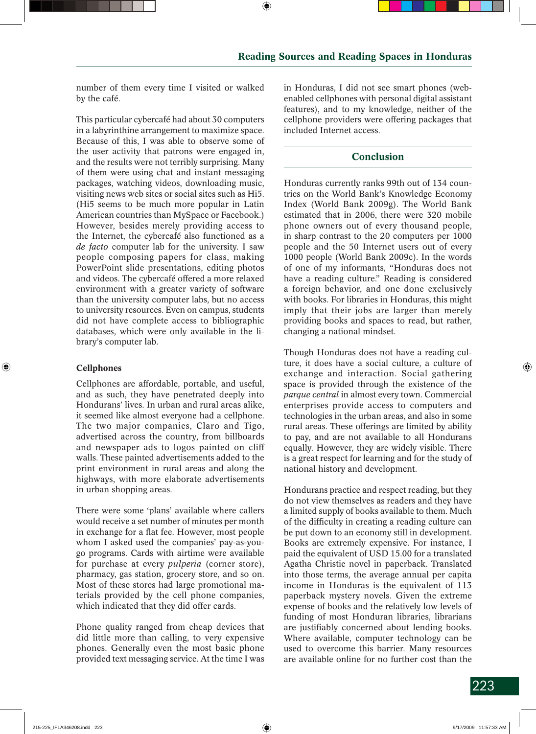number of them every time I visited or walked by the café.

This particular cybercafé had about 30 computers in a labyrinthine arrangement to maximize space. Because of this, I was able to observe some of the user activity that patrons were engaged in, and the results were not terribly surprising. Many of them were using chat and instant messaging packages, watching videos, downloading music, visiting news web sites or social sites such as Hi5. (Hi5 seems to be much more popular in Latin American countries than MySpace or Facebook.) However, besides merely providing access to the Internet, the cybercafé also functioned as a *de facto* computer lab for the university. I saw people composing papers for class, making PowerPoint slide presentations, editing photos and videos. The cybercafé offered a more relaxed environment with a greater variety of software than the university computer labs, but no access to university resources. Even on campus, students did not have complete access to bibliographic databases, which were only available in the library's computer lab.

## **Cellphones**

Cellphones are affordable, portable, and useful, and as such, they have penetrated deeply into Hondurans' lives. In urban and rural areas alike, it seemed like almost everyone had a cellphone. The two major companies, Claro and Tigo, advertised across the country, from billboards and newspaper ads to logos painted on cliff walls. These painted advertisements added to the print environment in rural areas and along the highways, with more elaborate advertisements in urban shopping areas.

There were some 'plans' available where callers would receive a set number of minutes per month in exchange for a flat fee. However, most people whom I asked used the companies' pay-as-yougo programs. Cards with airtime were available for purchase at every *pulperia* (corner store), pharmacy, gas station, grocery store, and so on. Most of these stores had large promotional materials provided by the cell phone companies, which indicated that they did offer cards.

Phone quality ranged from cheap devices that did little more than calling, to very expensive phones. Generally even the most basic phone provided text messaging service. At the time I was

in Honduras, I did not see smart phones (webenabled cellphones with personal digital assistant features), and to my knowledge, neither of the cellphone providers were offering packages that included Internet access.

# **Conclusion**

Honduras currently ranks 99th out of 134 countries on the World Bank's Knowledge Economy Index (World Bank 2009g). The World Bank estimated that in 2006, there were 320 mobile phone owners out of every thousand people, in sharp contrast to the 20 computers per 1000 people and the 50 Internet users out of every 1000 people (World Bank 2009c). In the words of one of my informants, "Honduras does not have a reading culture." Reading is considered a foreign behavior, and one done exclusively with books. For libraries in Honduras, this might imply that their jobs are larger than merely providing books and spaces to read, but rather, changing a national mindset.

Though Honduras does not have a reading culture, it does have a social culture, a culture of exchange and interaction. Social gathering space is provided through the existence of the *parque central* in almost every town. Commercial enterprises provide access to computers and technologies in the urban areas, and also in some rural areas. These offerings are limited by ability to pay, and are not available to all Hondurans equally. However, they are widely visible. There is a great respect for learning and for the study of national history and development.

Hondurans practice and respect reading, but they do not view themselves as readers and they have a limited supply of books available to them. Much of the difficulty in creating a reading culture can be put down to an economy still in development. Books are extremely expensive. For instance, I paid the equivalent of USD 15.00 for a translated Agatha Christie novel in paperback. Translated into those terms, the average annual per capita income in Honduras is the equivalent of 113 paperback mystery novels. Given the extreme expense of books and the relatively low levels of funding of most Honduran libraries, librarians are justifiably concerned about lending books. Where available, computer technology can be used to overcome this barrier. Many resources are available online for no further cost than the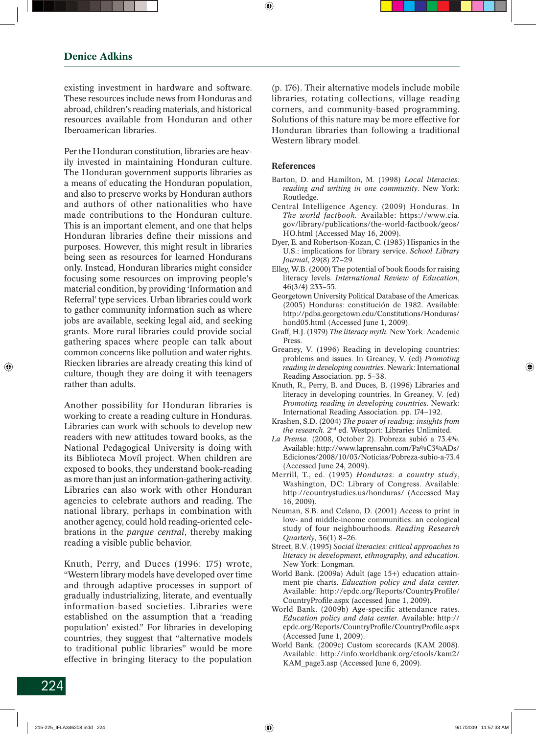existing investment in hardware and software. These resources include news from Honduras and abroad, children's reading materials, and historical resources available from Honduran and other Iberoamerican libraries.

Per the Honduran constitution, libraries are heavily invested in maintaining Honduran culture. The Honduran government supports libraries as a means of educating the Honduran population, and also to preserve works by Honduran authors and authors of other nationalities who have made contributions to the Honduran culture. This is an important element, and one that helps Honduran libraries define their missions and purposes. However, this might result in libraries being seen as resources for learned Hondurans only. Instead, Honduran libraries might consider focusing some resources on improving people's material condition, by providing 'Information and Referral' type services. Urban libraries could work to gather community information such as where jobs are available, seeking legal aid, and seeking grants. More rural libraries could provide social gathering spaces where people can talk about common concerns like pollution and water rights. Riecken libraries are already creating this kind of culture, though they are doing it with teenagers rather than adults.

Another possibility for Honduran libraries is working to create a reading culture in Honduras. Libraries can work with schools to develop new readers with new attitudes toward books, as the National Pedagogical University is doing with its Biblioteca Movíl project. When children are exposed to books, they understand book-reading as more than just an information-gathering activity. Libraries can also work with other Honduran agencies to celebrate authors and reading. The national library, perhaps in combination with another agency, could hold reading-oriented celebrations in the *parque central*, thereby making reading a visible public behavior.

Knuth, Perry, and Duces (1996: 175) wrote, "Western library models have developed over time and through adaptive processes in support of gradually industrializing, literate, and eventually information-based societies. Libraries were established on the assumption that a 'reading population' existed." For libraries in developing countries, they suggest that "alternative models to traditional public libraries" would be more effective in bringing literacy to the population

(p. 176). Their alternative models include mobile libraries, rotating collections, village reading corners, and community-based programming. Solutions of this nature may be more effective for Honduran libraries than following a traditional Western library model.

### **References**

- Barton, D. and Hamilton, M. (1998) *Local literacies: reading and writing in one community*. New York: Routledge.
- Central Intelligence Agency. (2009) Honduras. In *The world factbook.* Available: https://www.cia. gov/library/publications/the-world-factbook/geos/ HO.html (Accessed May 16, 2009).
- Dyer, E. and Robertson-Kozan, C. (1983) Hispanics in the U.S.: implications for library service. *School Library Journal*, 29(8) 27–29.
- Elley, W.B. (2000) The potential of book floods for raising literacy levels. *International Review of Education*, 46(3/4) 233–55.
- Georgetown University Political Database of the Americas. (2005) Honduras: constitución de 1982. Available: http://pdba.georgetown.edu/Constitutions/Honduras/ hond05.html (Accessed June 1, 2009).
- Graff, H.J. (1979) *The literacy myth.* New York: Academic Press.
- Greaney, V. (1996) Reading in developing countries: problems and issues. In Greaney, V. (ed) *Promoting reading in developing countries.* Newark: International Reading Association. pp. 5–38.
- Knuth, R., Perry, B. and Duces, B. (1996) Libraries and literacy in developing countries. In Greaney, V. (ed) *Promoting reading in developing countries*. Newark: International Reading Association. pp. 174–192.
- Krashen, S.D. (2004) *The power of reading: insights from the research.* 2nd ed. Westport: Libraries Unlimited.
- *La Prensa.* (2008, October 2). Pobreza subió a 73.4%. Available: http://www.laprensahn.com/Pa%C3%ADs/ Ediciones/2008/10/03/Noticias/Pobreza-subio-a-73.4 (Accessed June 24, 2009).
- Merrill, T., ed. (1995) *Honduras: a country study*, Washington, DC: Library of Congress. Available: http://countrystudies.us/honduras/ (Accessed May 16, 2009).
- Neuman, S.B. and Celano, D. (2001) Access to print in low- and middle-income communities: an ecological study of four neighbourhoods. *Reading Research Quarterly*, 36(1) 8–26.
- Street, B.V. (1995) *Social literacies: critical approaches to literacy in development, ethnography, and education*. New York: Longman.
- World Bank. (2009a) Adult (age 15+) education attainment pie charts. *Education policy and data center*. Available: http://epdc.org/Reports/CountryProfile/ CountryProfile.aspx (accessed June 1, 2009).
- World Bank. (2009b) Age-specific attendance rates. *Education policy and data center*. Available: http:// epdc.org/Reports/CountryProfile/CountryProfile.aspx (Accessed June 1, 2009).
- World Bank. (2009c) Custom scorecards (KAM 2008). Available: http://info.worldbank.org/etools/kam2/ KAM\_page3.asp (Accessed June 6, 2009).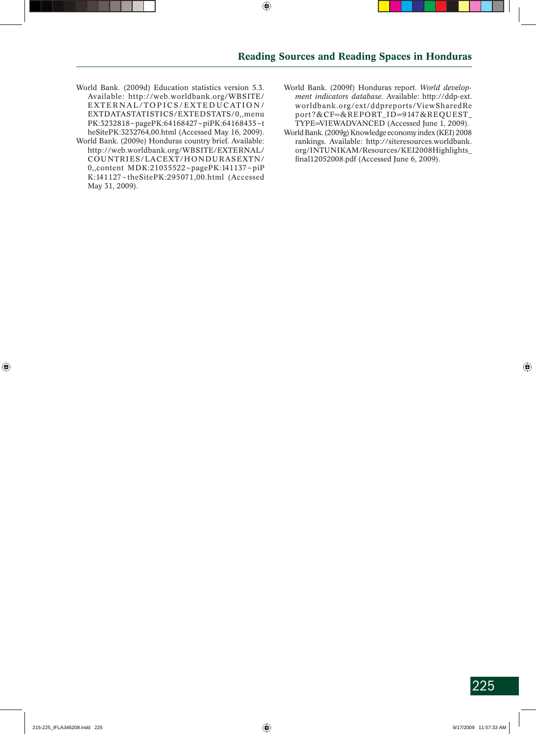- World Bank. (2009d) Education statistics version 5.3. Available: http://web.worldbank.org/WBSITE/ EXTERNAL/TOPICS/EXTEDUCATION/ EXTDATASTATISTICS/EXTEDSTATS/0,,menu PK:3232818~pagePK:64168427~piPK:64168435~t heSitePK:3232764,00.html (Accessed May 16, 2009).
- World Bank. (2009e) Honduras country brief. Available: http://web.worldbank.org/WBSITE/EXTERNAL/ COUNTRIES/LACEXT/HONDURASEXTN/ 0,,content MDK:21035522~pagePK:141137~piP K:141127~theSitePK:295071,00.html (Accessed May 31, 2009).
- World Bank. (2009f) Honduras report. *World development indicators database*. Available: http://ddp-ext. worldbank.org/ext/ddpreports/ViewSharedRe port?&CF=&REPORT\_ID=9147&REQUEST\_ TYPE=VIEWADVANCED (Accessed June 1, 2009).
- World Bank. (2009g) Knowledge economy index (KEI) 2008 rankings. Available: http://siteresources.worldbank. org/INTUNIKAM/Resources/KEI2008Highlights\_ final12052008.pdf (Accessed June 6, 2009).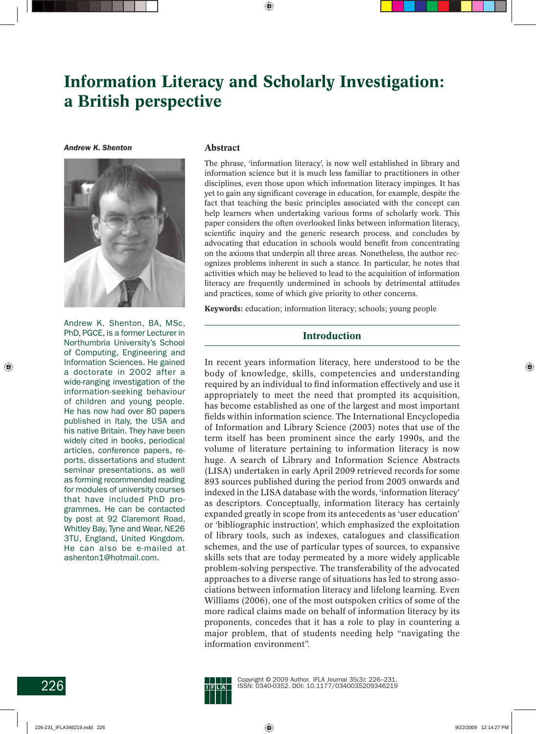# **Information Literacy and Scholarly Investigation: a British perspective**

*Andrew K. Shenton*



Andrew K. Shenton, BA, MSc, PhD, PGCE, is a former Lecturer in Northumbria University's School of Computing, Engineering and Information Sciences. He gained a doctorate in 2002 after a wide-ranging investigation of the information-seeking behaviour of children and young people. He has now had over 80 papers published in Italy, the USA and his native Britain. They have been widely cited in books, periodical articles, conference papers, reports, dissertations and student seminar presentations, as well as forming recommended reading for modules of university courses that have included PhD programmes. He can be contacted by post at 92 Claremont Road, Whitley Bay, Tyne and Wear, NE26 3TU, England, United Kingdom. He can also be e-mailed at ashenton1@hotmail.com.

#### **Abstract**

The phrase, 'information literacy', is now well established in library and information science but it is much less familiar to practitioners in other disciplines, even those upon which information literacy impinges. It has yet to gain any significant coverage in education, for example, despite the fact that teaching the basic principles associated with the concept can help learners when undertaking various forms of scholarly work. This paper considers the often overlooked links between information literacy, scientific inquiry and the generic research process, and concludes by advocating that education in schools would benefit from concentrating on the axioms that underpin all three areas. Nonetheless, the author recognizes problems inherent in such a stance. In particular, he notes that activities which may be believed to lead to the acquisition of information literacy are frequently undermined in schools by detrimental attitudes and practices, some of which give priority to other concerns.

**Keywords:** education; information literacy; schools; young people

### **Introduction**

In recent years information literacy, here understood to be the body of knowledge, skills, competencies and understanding required by an individual to find information effectively and use it appropriately to meet the need that prompted its acquisition, has become established as one of the largest and most important fields within information science. The International Encyclopedia of Information and Library Science (2003) notes that use of the term itself has been prominent since the early 1990s, and the volume of literature pertaining to information literacy is now huge. A search of Library and Information Science Abstracts (LISA) undertaken in early April 2009 retrieved records for some 893 sources published during the period from 2005 onwards and indexed in the LISA database with the words, 'information literacy' as descriptors. Conceptually, information literacy has certainly expanded greatly in scope from its antecedents as 'user education' or 'bibliographic instruction', which emphasized the exploitation of library tools, such as indexes, catalogues and classification schemes, and the use of particular types of sources, to expansive skills sets that are today permeated by a more widely applicable problem-solving perspective. The transferability of the advocated approaches to a diverse range of situations has led to strong associations between information literacy and lifelong learning. Even Williams (2006), one of the most outspoken critics of some of the more radical claims made on behalf of information literacy by its proponents, concedes that it has a role to play in countering a major problem, that of students needing help "navigating the information environment".

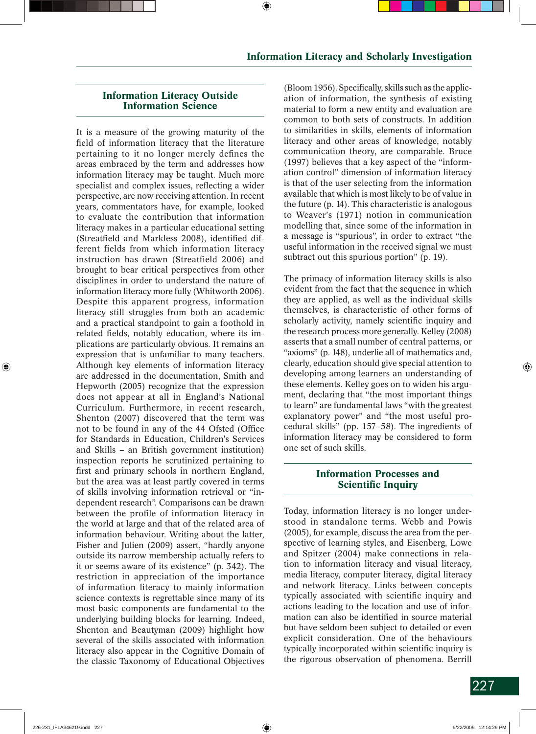## **Information Literacy Outside Information Science**

It is a measure of the growing maturity of the field of information literacy that the literature pertaining to it no longer merely defines the areas embraced by the term and addresses how information literacy may be taught. Much more specialist and complex issues, reflecting a wider perspective, are now receiving attention. In recent years, commentators have, for example, looked to evaluate the contribution that information literacy makes in a particular educational setting (Streatfield and Markless 2008), identified different fields from which information literacy instruction has drawn (Streatfield 2006) and brought to bear critical perspectives from other disciplines in order to understand the nature of information literacy more fully (Whitworth 2006). Despite this apparent progress, information literacy still struggles from both an academic and a practical standpoint to gain a foothold in related fields, notably education, where its implications are particularly obvious. It remains an expression that is unfamiliar to many teachers. Although key elements of information literacy are addressed in the documentation, Smith and Hepworth (2005) recognize that the expression does not appear at all in England's National Curriculum. Furthermore, in recent research, Shenton (2007) discovered that the term was not to be found in any of the 44 Ofsted (Office for Standards in Education, Children's Services and Skills – an British government institution) inspection reports he scrutinized pertaining to first and primary schools in northern England, but the area was at least partly covered in terms of skills involving information retrieval or "independent research". Comparisons can be drawn between the profile of information literacy in the world at large and that of the related area of information behaviour. Writing about the latter, Fisher and Julien (2009) assert, "hardly anyone outside its narrow membership actually refers to it or seems aware of its existence" (p. 342). The restriction in appreciation of the importance of information literacy to mainly information science contexts is regrettable since many of its most basic components are fundamental to the underlying building blocks for learning. Indeed, Shenton and Beautyman (2009) highlight how several of the skills associated with information literacy also appear in the Cognitive Domain of the classic Taxonomy of Educational Objectives

 $(Bloom 1956)$ . Specifically, skills such as the application of information, the synthesis of existing material to form a new entity and evaluation are common to both sets of constructs. In addition to similarities in skills, elements of information literacy and other areas of knowledge, notably communication theory, are comparable. Bruce (1997) believes that a key aspect of the "information control" dimension of information literacy is that of the user selecting from the information available that which is most likely to be of value in the future (p. 14). This characteristic is analogous to Weaver's (1971) notion in communication modelling that, since some of the information in a message is "spurious", in order to extract "the useful information in the received signal we must subtract out this spurious portion" (p. 19).

The primacy of information literacy skills is also evident from the fact that the sequence in which they are applied, as well as the individual skills themselves, is characteristic of other forms of scholarly activity, namely scientific inquiry and the research process more generally. Kelley (2008) asserts that a small number of central patterns, or "axioms" (p. 148), underlie all of mathematics and, clearly, education should give special attention to developing among learners an understanding of these elements. Kelley goes on to widen his argument, declaring that "the most important things to learn" are fundamental laws "with the greatest explanatory power" and "the most useful procedural skills" (pp. 157–58). The ingredients of information literacy may be considered to form one set of such skills.

# **Information Processes and Scientific Inquiry**

Today, information literacy is no longer understood in standalone terms. Webb and Powis (2005), for example, discuss the area from the perspective of learning styles, and Eisenberg, Lowe and Spitzer (2004) make connections in relation to information literacy and visual literacy, media literacy, computer literacy, digital literacy and network literacy. Links between concepts typically associated with scientific inquiry and actions leading to the location and use of information can also be identified in source material but have seldom been subject to detailed or even explicit consideration. One of the behaviours typically incorporated within scientific inquiry is the rigorous observation of phenomena. Berrill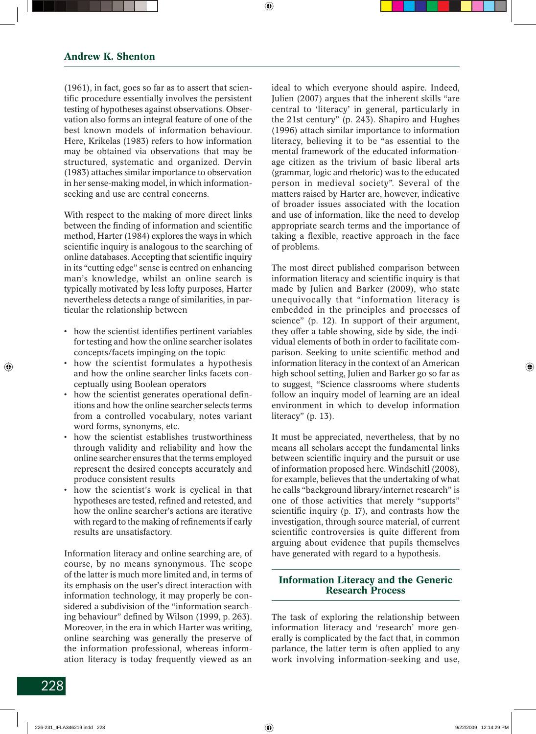(1961), in fact, goes so far as to assert that scientific procedure essentially involves the persistent testing of hypotheses against observations. Observation also forms an integral feature of one of the best known models of information behaviour. Here, Krikelas (1983) refers to how information may be obtained via observations that may be structured, systematic and organized. Dervin (1983) attaches similar importance to observation in her sense-making model, in which informationseeking and use are central concerns.

With respect to the making of more direct links between the finding of information and scientific method, Harter (1984) explores the ways in which scientific inquiry is analogous to the searching of online databases. Accepting that scientific inquiry in its "cutting edge" sense is centred on enhancing man's knowledge, whilst an online search is typically motivated by less lofty purposes, Harter nevertheless detects a range of similarities, in particular the relationship between

- how the scientist identifies pertinent variables for testing and how the online searcher isolates concepts/facets impinging on the topic
- how the scientist formulates a hypothesis and how the online searcher links facets conceptually using Boolean operators
- how the scientist generates operational definitions and how the online searcher selects terms from a controlled vocabulary, notes variant word forms, synonyms, etc.
- how the scientist establishes trustworthiness through validity and reliability and how the online searcher ensures that the terms employed represent the desired concepts accurately and produce consistent results
- how the scientist's work is cyclical in that hypotheses are tested, refined and retested, and how the online searcher's actions are iterative with regard to the making of refinements if early results are unsatisfactory.

Information literacy and online searching are, of course, by no means synonymous. The scope of the latter is much more limited and, in terms of its emphasis on the user's direct interaction with information technology, it may properly be considered a subdivision of the "information searching behaviour" defined by Wilson (1999, p. 263). Moreover, in the era in which Harter was writing, online searching was generally the preserve of the information professional, whereas information literacy is today frequently viewed as an

ideal to which everyone should aspire. Indeed, Julien (2007) argues that the inherent skills "are central to 'literacy' in general, particularly in the 21st century" (p. 243). Shapiro and Hughes (1996) attach similar importance to information literacy, believing it to be "as essential to the mental framework of the educated informationage citizen as the trivium of basic liberal arts (grammar, logic and rhetoric) was to the educated person in medieval society". Several of the matters raised by Harter are, however, indicative of broader issues associated with the location and use of information, like the need to develop appropriate search terms and the importance of taking a flexible, reactive approach in the face of problems.

The most direct published comparison between information literacy and scientific inquiry is that made by Julien and Barker (2009), who state unequivocally that "information literacy is embedded in the principles and processes of science" (p. 12). In support of their argument, they offer a table showing, side by side, the individual elements of both in order to facilitate comparison. Seeking to unite scientific method and information literacy in the context of an American high school setting, Julien and Barker go so far as to suggest, "Science classrooms where students follow an inquiry model of learning are an ideal environment in which to develop information literacy" (p. 13).

It must be appreciated, nevertheless, that by no means all scholars accept the fundamental links between scientific inquiry and the pursuit or use of information proposed here. Windschitl (2008), for example, believes that the undertaking of what he calls "background library/internet research" is one of those activities that merely "supports" scientific inquiry (p.  $17$ ), and contrasts how the investigation, through source material, of current scientific controversies is quite different from arguing about evidence that pupils themselves have generated with regard to a hypothesis.

## **Information Literacy and the Generic Research Process**

The task of exploring the relationship between information literacy and 'research' more generally is complicated by the fact that, in common parlance, the latter term is often applied to any work involving information-seeking and use,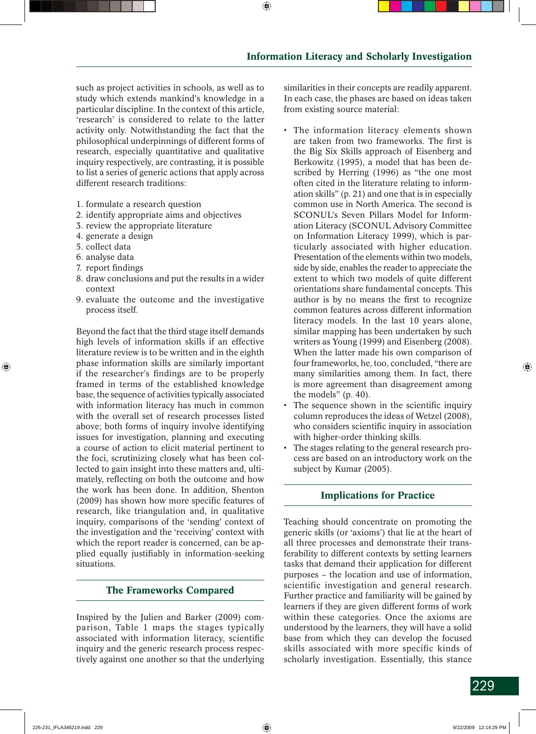such as project activities in schools, as well as to study which extends mankind's knowledge in a particular discipline. In the context of this article, 'research' is considered to relate to the latter activity only. Notwithstanding the fact that the philosophical underpinnings of different forms of research, especially quantitative and qualitative inquiry respectively, are contrasting, it is possible to list a series of generic actions that apply across different research traditions:

- 1. formulate a research question
- 2. identify appropriate aims and objectives
- 3. review the appropriate literature
- 4. generate a design
- 5. collect data
- 6. analyse data
- 7. report findings
- 8. draw conclusions and put the results in a wider context
- 9. evaluate the outcome and the investigative process itself.

Beyond the fact that the third stage itself demands high levels of information skills if an effective literature review is to be written and in the eighth phase information skills are similarly important if the researcher's findings are to be properly framed in terms of the established knowledge base, the sequence of activities typically associated with information literacy has much in common with the overall set of research processes listed above; both forms of inquiry involve identifying issues for investigation, planning and executing a course of action to elicit material pertinent to the foci, scrutinizing closely what has been collected to gain insight into these matters and, ultimately, reflecting on both the outcome and how the work has been done. In addition, Shenton  $(2009)$  has shown how more specific features of research, like triangulation and, in qualitative inquiry, comparisons of the 'sending' context of the investigation and the 'receiving' context with which the report reader is concerned, can be applied equally justifiably in information-seeking situations.

# **The Frameworks Compared**

Inspired by the Julien and Barker (2009) comparison, Table 1 maps the stages typically associated with information literacy, scientific inquiry and the generic research process respectively against one another so that the underlying

similarities in their concepts are readily apparent. In each case, the phases are based on ideas taken from existing source material:

- The information literacy elements shown are taken from two frameworks. The first is the Big Six Skills approach of Eisenberg and Berkowitz (1995), a model that has been described by Herring (1996) as "the one most often cited in the literature relating to information skills" (p. 21) and one that is in especially common use in North America. The second is SCONUL's Seven Pillars Model for Information Literacy (SCONUL Advisory Committee on Information Literacy 1999), which is particularly associated with higher education. Presentation of the elements within two models, side by side, enables the reader to appreciate the extent to which two models of quite different orientations share fundamental concepts. This author is by no means the first to recognize common features across different information literacy models. In the last 10 years alone, similar mapping has been undertaken by such writers as Young (1999) and Eisenberg (2008). When the latter made his own comparison of four frameworks, he, too, concluded, "there are many similarities among them. In fact, there is more agreement than disagreement among the models" (p. 40).
- The sequence shown in the scientific inquiry column reproduces the ideas of Wetzel (2008), who considers scientific inquiry in association with higher-order thinking skills.
- The stages relating to the general research process are based on an introductory work on the subject by Kumar (2005).

# **Implications for Practice**

Teaching should concentrate on promoting the generic skills (or 'axioms') that lie at the heart of all three processes and demonstrate their transferability to different contexts by setting learners tasks that demand their application for different purposes – the location and use of information, scientific investigation and general research. Further practice and familiarity will be gained by learners if they are given different forms of work within these categories. Once the axioms are understood by the learners, they will have a solid base from which they can develop the focused skills associated with more specific kinds of scholarly investigation. Essentially, this stance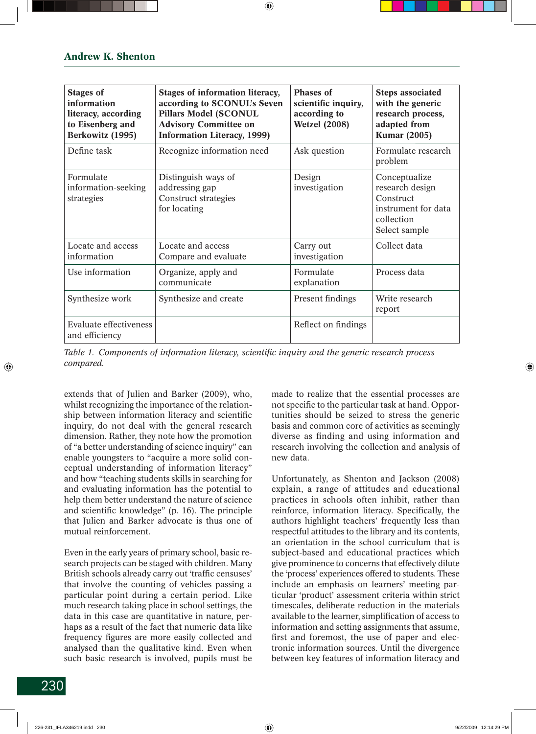| <b>Stages of</b><br>information<br>literacy, according<br>to Eisenberg and<br>Berkowitz (1995) | <b>Stages of information literacy,</b><br>according to SCONUL's Seven<br><b>Pillars Model (SCONUL</b><br><b>Advisory Committee on</b><br><b>Information Literacy, 1999)</b> | <b>Phases of</b><br>scientific inquiry,<br>according to<br><b>Wetzel (2008)</b> | <b>Steps associated</b><br>with the generic<br>research process,<br>adapted from<br><b>Kumar (2005)</b> |
|------------------------------------------------------------------------------------------------|-----------------------------------------------------------------------------------------------------------------------------------------------------------------------------|---------------------------------------------------------------------------------|---------------------------------------------------------------------------------------------------------|
| Define task                                                                                    | Recognize information need                                                                                                                                                  | Ask question                                                                    | Formulate research<br>problem                                                                           |
| Formulate<br>information-seeking<br>strategies                                                 | Distinguish ways of<br>addressing gap<br>Construct strategies<br>for locating                                                                                               | Design<br>investigation                                                         | Conceptualize<br>research design<br>Construct<br>instrument for data<br>collection<br>Select sample     |
| Locate and access<br>information                                                               | Locate and access<br>Compare and evaluate                                                                                                                                   | Carry out<br>investigation                                                      | Collect data                                                                                            |
| Use information                                                                                | Organize, apply and<br>communicate                                                                                                                                          | Formulate<br>explanation                                                        | Process data                                                                                            |
| Synthesize work                                                                                | Synthesize and create                                                                                                                                                       | Present findings                                                                | Write research<br>report                                                                                |
| <b>Evaluate effectiveness</b><br>and efficiency                                                |                                                                                                                                                                             | Reflect on findings                                                             |                                                                                                         |

*Table 1. Components of information literacy, scientific inquiry and the generic research process compared.*

extends that of Julien and Barker (2009), who, whilst recognizing the importance of the relationship between information literacy and scientific inquiry, do not deal with the general research dimension. Rather, they note how the promotion of "a better understanding of science inquiry" can enable youngsters to "acquire a more solid conceptual understanding of information literacy" and how "teaching students skills in searching for and evaluating information has the potential to help them better understand the nature of science and scientific knowledge" (p.  $16$ ). The principle that Julien and Barker advocate is thus one of mutual reinforcement.

Even in the early years of primary school, basic research projects can be staged with children. Many British schools already carry out 'traffic censuses' that involve the counting of vehicles passing a particular point during a certain period. Like much research taking place in school settings, the data in this case are quantitative in nature, perhaps as a result of the fact that numeric data like frequency figures are more easily collected and analysed than the qualitative kind. Even when such basic research is involved, pupils must be

made to realize that the essential processes are not specific to the particular task at hand. Opportunities should be seized to stress the generic basis and common core of activities as seemingly diverse as finding and using information and research involving the collection and analysis of new data.

Unfortunately, as Shenton and Jackson (2008) explain, a range of attitudes and educational practices in schools often inhibit, rather than reinforce, information literacy. Specifically, the authors highlight teachers' frequently less than respectful attitudes to the library and its contents, an orientation in the school curriculum that is subject-based and educational practices which give prominence to concerns that effectively dilute the 'process' experiences offered to students. These include an emphasis on learners' meeting particular 'product' assessment criteria within strict timescales, deliberate reduction in the materials available to the learner, simplification of access to information and setting assignments that assume, first and foremost, the use of paper and electronic information sources. Until the divergence between key features of information literacy and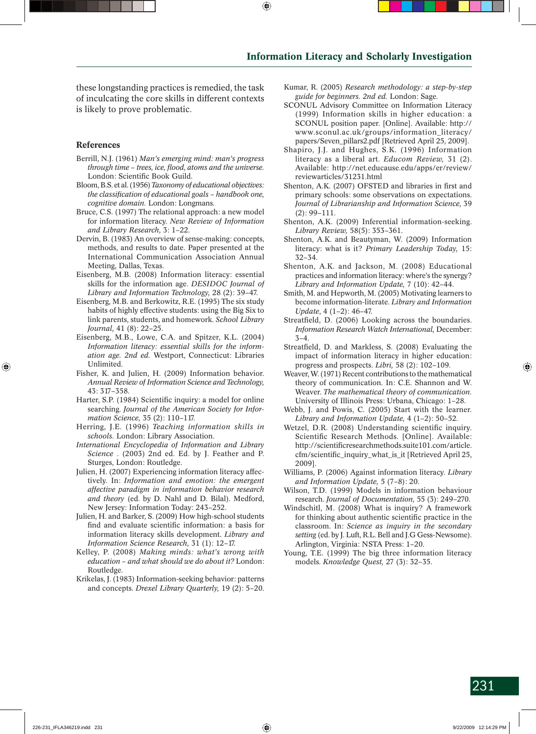these longstanding practices is remedied, the task of inculcating the core skills in different contexts is likely to prove problematic.

#### **References**

- Berrill, N.J. (1961) *Man's emerging mind: man's progress through time – trees, ice, fl ood, atoms and the universe.*  London: Scientific Book Guild.
- Bloom, B.S. et al. (1956) *Taxonomy of educational objectives: the classifi cation of educational goals – handbook one, cognitive domain.* London: Longmans.
- Bruce, C.S. (1997) The relational approach: a new model for information literacy. *New Review of Information and Library Research,* 3: 1–22.
- Dervin, B. (1983) An overview of sense-making: concepts, methods, and results to date. Paper presented at the International Communication Association Annual Meeting, Dallas, Texas.
- Eisenberg, M.B. (2008) Information literacy: essential skills for the information age. *DESIDOC Journal of Library and Information Technology,* 28 (2): 39–47.
- Eisenberg, M.B. and Berkowitz, R.E. (1995) The six study habits of highly effective students: using the Big Six to link parents, students, and homework. *School Library Journal,* 41 (8): 22–25.
- Eisenberg, M.B., Lowe, C.A. and Spitzer, K.L. (2004) *Information literacy: essential skills for the information age. 2nd ed.* Westport, Connecticut: Libraries Unlimited.
- Fisher, K. and Julien, H. (2009) Information behavior. *Annual Review of Information Science and Technology,*  43: 317–358.
- Harter, S.P. (1984) Scientific inquiry: a model for online searching. *Journal of the American Society for Information Science,* 35 (2): 110–117.
- Herring, J.E. (1996) *Teaching information skills in schools.* London: Library Association.
- *International Encyclopedia of Information and Library Science* . (2003) 2nd ed. Ed. by J. Feather and P. Sturges, London: Routledge.
- Julien, H. (2007) Experiencing information literacy affectively. In: *Information and emotion: the emergent affective paradigm in information behavior research and theory* (ed. by D. Nahl and D. Bilal). Medford, New Jersey: Information Today: 243–252.
- Julien, H. and Barker, S. (2009) How high-school students find and evaluate scientific information: a basis for information literacy skills development. *Library and Information Science Research,* 31 (1): 12–17.
- Kelley, P. (2008) *Making minds: what's wrong with education – and what should we do about it?* London: Routledge.
- Krikelas, J. (1983) Information-seeking behavior: patterns and concepts. *Drexel Library Quarterly,* 19 (2): 5–20.
- Kumar, R. (2005) *Research methodology: a step-by-step guide for beginners. 2nd ed.* London: Sage.
- SCONUL Advisory Committee on Information Literacy (1999) Information skills in higher education: a SCONUL position paper. [Online]. Available: http:// www.sconul.ac.uk/groups/information\_literacy/ papers/Seven\_pillars2.pdf [Retrieved April 25, 2009].
- Shapiro, J.J. and Hughes, S.K. (1996) Information literacy as a liberal art. *Educom Review,* 31 (2). Available: http://net.educause.edu/apps/er/review/ reviewarticles/31231.html
- Shenton, A.K. (2007) OFSTED and libraries in first and primary schools: some observations on expectations. *Journal of Librarianship and Information Science,* 39 (2): 99–111.
- Shenton, A.K. (2009) Inferential information-seeking. *Library Review,* 58(5): 353–361.
- Shenton, A.K. and Beautyman, W. (2009) Information literacy: what is it? *Primary Leadership Today,* 15: 32–34.
- Shenton, A.K. and Jackson, M. (2008) Educational practices and information literacy: where's the synergy? *Library and Information Update,* 7 (10): 42–44.
- Smith, M. and Hepworth, M. (2005) Motivating learners to become information-literate. *Library and Information Update*, 4 (1–2): 46–47.
- Streatfield, D. (2006) Looking across the boundaries. *Information Research Watch International,* December:  $3-4.$
- Streatfield, D. and Markless, S. (2008) Evaluating the impact of information literacy in higher education: progress and prospects. *Libri,* 58 (2): 102–109.
- Weaver, W. (1971) Recent contributions to the mathematical theory of communication. In: C.E. Shannon and W. Weaver. *The mathematical theory of communication.*  University of Illinois Press: Urbana, Chicago: 1–28.
- Webb, J. and Powis, C. (2005) Start with the learner. *Library and Information Update,* 4 (1–2): 50–52.
- Wetzel, D.R. (2008) Understanding scientific inquiry. Scientific Research Methods. [Online]. Available: http://scientificresearchmethods.suite101.com/article. cfm/scientific\_inquiry\_what\_is\_it [Retrieved April 25, 2009].
- Williams, P. (2006) Against information literacy. *Library and Information Update,* 5 (7–8): 20.
- Wilson, T.D. (1999) Models in information behaviour research. *Journal of Documentation,* 55 (3): 249–270.
- Windschitl, M. (2008) What is inquiry? A framework for thinking about authentic scientific practice in the classroom. In: *Science as inquiry in the secondary*  setting (ed. by J. Luft, R.L. Bell and J.G Gess-Newsome). Arlington, Virginia: NSTA Press: 1–20.
- Young, T.E. (1999) The big three information literacy models. *Knowledge Quest,* 27 (3): 32–35.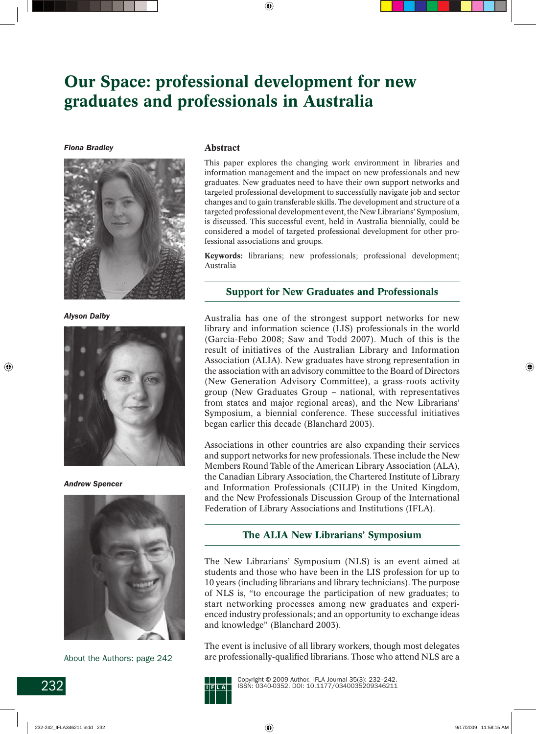# **Our Space: professional development for new graduates and professionals in Australia**

*Fiona Bradley*



*Alyson Dalby*



*Andrew Spencer*



About the Authors: page 242

### **Abstract**

This paper explores the changing work environment in libraries and information management and the impact on new professionals and new graduates. New graduates need to have their own support networks and targeted professional development to successfully navigate job and sector changes and to gain transferable skills. The development and structure of a targeted professional development event, the New Librarians' Symposium, is discussed. This successful event, held in Australia biennially, could be considered a model of targeted professional development for other professional associations and groups.

**Keywords:** librarians; new professionals; professional development; Australia

## **Support for New Graduates and Professionals**

Australia has one of the strongest support networks for new library and information science (LIS) professionals in the world (Garcia-Febo 2008; Saw and Todd 2007). Much of this is the result of initiatives of the Australian Library and Information Association (ALIA). New graduates have strong representation in the association with an advisory committee to the Board of Directors (New Generation Advisory Committee), a grass-roots activity group (New Graduates Group – national, with representatives from states and major regional areas), and the New Librarians' Symposium, a biennial conference. These successful initiatives began earlier this decade (Blanchard 2003).

Associations in other countries are also expanding their services and support networks for new professionals. These include the New Members Round Table of the American Library Association (ALA), the Canadian Library Association, the Chartered Institute of Library and Information Professionals (CILIP) in the United Kingdom, and the New Professionals Discussion Group of the International Federation of Library Associations and Institutions (IFLA).

# **The ALIA New Librarians' Symposium**

The New Librarians' Symposium (NLS) is an event aimed at students and those who have been in the LIS profession for up to 10 years (including librarians and library technicians). The purpose of NLS is, "to encourage the participation of new graduates; to start networking processes among new graduates and experienced industry professionals; and an opportunity to exchange ideas and knowledge" (Blanchard 2003).

The event is inclusive of all library workers, though most delegates are professionally-qualified librarians. Those who attend NLS are a

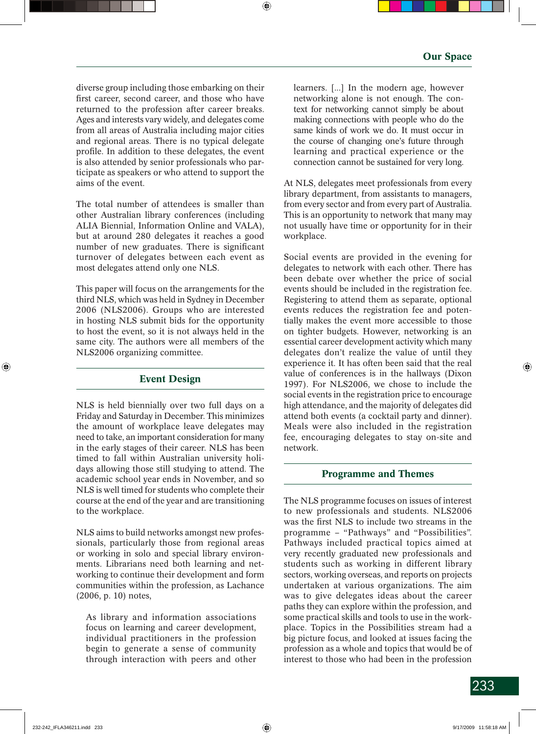diverse group including those embarking on their first career, second career, and those who have returned to the profession after career breaks. Ages and interests vary widely, and delegates come from all areas of Australia including major cities and regional areas. There is no typical delegate profile. In addition to these delegates, the event is also attended by senior professionals who participate as speakers or who attend to support the aims of the event.

The total number of attendees is smaller than other Australian library conferences (including ALIA Biennial, Information Online and VALA), but at around 280 delegates it reaches a good number of new graduates. There is significant turnover of delegates between each event as most delegates attend only one NLS.

This paper will focus on the arrangements for the third NLS, which was held in Sydney in December 2006 (NLS2006). Groups who are interested in hosting NLS submit bids for the opportunity to host the event, so it is not always held in the same city. The authors were all members of the NLS2006 organizing committee.

# **Event Design**

NLS is held biennially over two full days on a Friday and Saturday in December. This minimizes the amount of workplace leave delegates may need to take, an important consideration for many in the early stages of their career. NLS has been timed to fall within Australian university holidays allowing those still studying to attend. The academic school year ends in November, and so NLS is well timed for students who complete their course at the end of the year and are transitioning to the workplace.

NLS aims to build networks amongst new professionals, particularly those from regional areas or working in solo and special library environments. Librarians need both learning and networking to continue their development and form communities within the profession, as Lachance (2006, p. 10) notes,

As library and information associations focus on learning and career development, individual practitioners in the profession begin to generate a sense of community through interaction with peers and other learners. [...] In the modern age, however networking alone is not enough. The context for networking cannot simply be about making connections with people who do the same kinds of work we do. It must occur in the course of changing one's future through learning and practical experience or the connection cannot be sustained for very long.

At NLS, delegates meet professionals from every library department, from assistants to managers, from every sector and from every part of Australia. This is an opportunity to network that many may not usually have time or opportunity for in their workplace.

Social events are provided in the evening for delegates to network with each other. There has been debate over whether the price of social events should be included in the registration fee. Registering to attend them as separate, optional events reduces the registration fee and potentially makes the event more accessible to those on tighter budgets. However, networking is an essential career development activity which many delegates don't realize the value of until they experience it. It has often been said that the real value of conferences is in the hallways (Dixon 1997). For NLS2006, we chose to include the social events in the registration price to encourage high attendance, and the majority of delegates did attend both events (a cocktail party and dinner). Meals were also included in the registration fee, encouraging delegates to stay on-site and network.

# **Programme and Themes**

The NLS programme focuses on issues of interest to new professionals and students. NLS2006 was the first NLS to include two streams in the programme – "Pathways" and "Possibilities". Pathways included practical topics aimed at very recently graduated new professionals and students such as working in different library sectors, working overseas, and reports on projects undertaken at various organizations. The aim was to give delegates ideas about the career paths they can explore within the profession, and some practical skills and tools to use in the workplace. Topics in the Possibilities stream had a big picture focus, and looked at issues facing the profession as a whole and topics that would be of interest to those who had been in the profession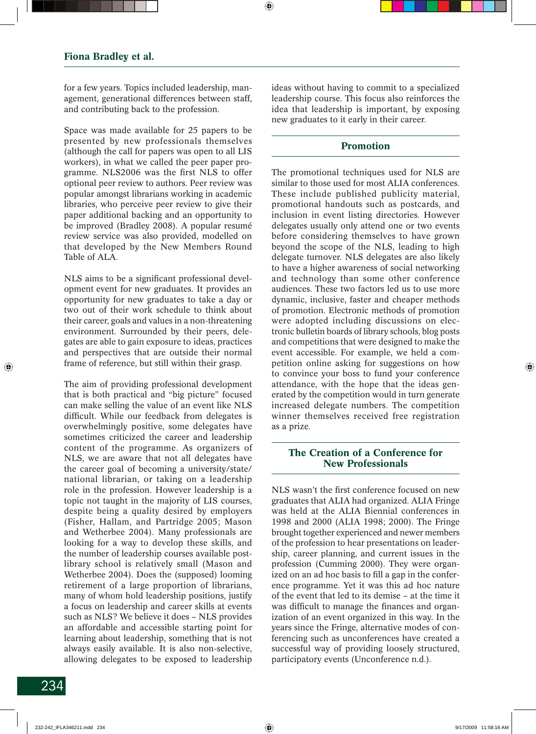for a few years. Topics included leadership, management, generational differences between staff, and contributing back to the profession.

Space was made available for 25 papers to be presented by new professionals themselves (although the call for papers was open to all LIS workers), in what we called the peer paper programme. NLS2006 was the first NLS to offer optional peer review to authors. Peer review was popular amongst librarians working in academic libraries, who perceive peer review to give their paper additional backing and an opportunity to be improved (Bradley 2008). A popular resumé review service was also provided, modelled on that developed by the New Members Round Table of ALA.

NLS aims to be a significant professional development event for new graduates. It provides an opportunity for new graduates to take a day or two out of their work schedule to think about their career, goals and values in a non-threatening environment. Surrounded by their peers, delegates are able to gain exposure to ideas, practices and perspectives that are outside their normal frame of reference, but still within their grasp.

The aim of providing professional development that is both practical and "big picture" focused can make selling the value of an event like NLS difficult. While our feedback from delegates is overwhelmingly positive, some delegates have sometimes criticized the career and leadership content of the programme. As organizers of NLS, we are aware that not all delegates have the career goal of becoming a university/state/ national librarian, or taking on a leadership role in the profession. However leadership is a topic not taught in the majority of LIS courses, despite being a quality desired by employers (Fisher, Hallam, and Partridge 2005; Mason and Wetherbee 2004). Many professionals are looking for a way to develop these skills, and the number of leadership courses available postlibrary school is relatively small (Mason and Wetherbee 2004). Does the (supposed) looming retirement of a large proportion of librarians, many of whom hold leadership positions, justify a focus on leadership and career skills at events such as NLS? We believe it does – NLS provides an affordable and accessible starting point for learning about leadership, something that is not always easily available. It is also non-selective, allowing delegates to be exposed to leadership

ideas without having to commit to a specialized leadership course. This focus also reinforces the idea that leadership is important, by exposing new graduates to it early in their career.

# **Promotion**

The promotional techniques used for NLS are similar to those used for most ALIA conferences. These include published publicity material, promotional handouts such as postcards, and inclusion in event listing directories. However delegates usually only attend one or two events before considering themselves to have grown beyond the scope of the NLS, leading to high delegate turnover. NLS delegates are also likely to have a higher awareness of social networking and technology than some other conference audiences. These two factors led us to use more dynamic, inclusive, faster and cheaper methods of promotion. Electronic methods of promotion were adopted including discussions on electronic bulletin boards of library schools, blog posts and competitions that were designed to make the event accessible. For example, we held a competition online asking for suggestions on how to convince your boss to fund your conference attendance, with the hope that the ideas generated by the competition would in turn generate increased delegate numbers. The competition winner themselves received free registration as a prize.

## **The Creation of a Conference for New Professionals**

NLS wasn't the first conference focused on new graduates that ALIA had organized. ALIA Fringe was held at the ALIA Biennial conferences in 1998 and 2000 (ALIA 1998; 2000). The Fringe brought together experienced and newer members of the profession to hear presentations on leadership, career planning, and current issues in the profession (Cumming 2000). They were organized on an ad hoc basis to fill a gap in the conference programme. Yet it was this ad hoc nature of the event that led to its demise – at the time it was difficult to manage the finances and organization of an event organized in this way. In the years since the Fringe, alternative modes of conferencing such as unconferences have created a successful way of providing loosely structured, participatory events (Unconference n.d.).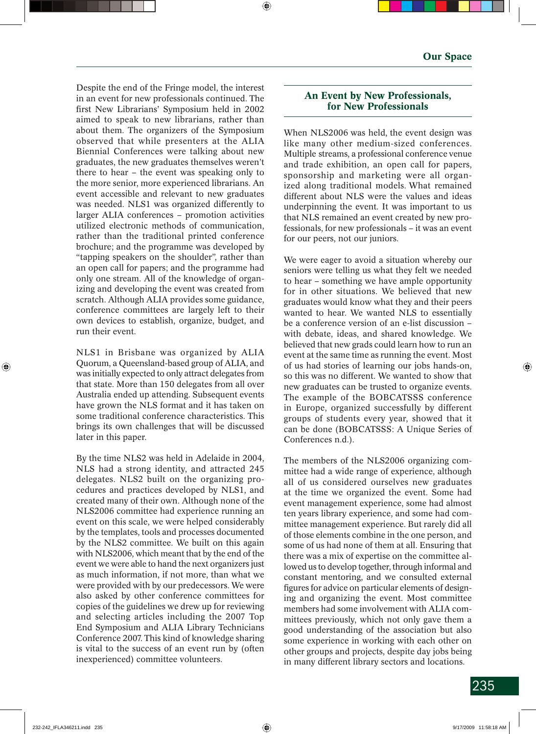Despite the end of the Fringe model, the interest in an event for new professionals continued. The first New Librarians' Symposium held in 2002 aimed to speak to new librarians, rather than about them. The organizers of the Symposium observed that while presenters at the ALIA Biennial Conferences were talking about new graduates, the new graduates themselves weren't there to hear – the event was speaking only to the more senior, more experienced librarians. An event accessible and relevant to new graduates was needed. NLS1 was organized differently to larger ALIA conferences – promotion activities utilized electronic methods of communication, rather than the traditional printed conference brochure; and the programme was developed by "tapping speakers on the shoulder", rather than an open call for papers; and the programme had only one stream. All of the knowledge of organizing and developing the event was created from scratch. Although ALIA provides some guidance, conference committees are largely left to their own devices to establish, organize, budget, and run their event.

NLS1 in Brisbane was organized by ALIA Quorum, a Queensland-based group of ALIA, and was initially expected to only attract delegates from that state. More than 150 delegates from all over Australia ended up attending. Subsequent events have grown the NLS format and it has taken on some traditional conference characteristics. This brings its own challenges that will be discussed later in this paper.

By the time NLS2 was held in Adelaide in 2004, NLS had a strong identity, and attracted 245 delegates. NLS2 built on the organizing procedures and practices developed by NLS1, and created many of their own. Although none of the NLS2006 committee had experience running an event on this scale, we were helped considerably by the templates, tools and processes documented by the NLS2 committee. We built on this again with NLS2006, which meant that by the end of the event we were able to hand the next organizers just as much information, if not more, than what we were provided with by our predecessors. We were also asked by other conference committees for copies of the guidelines we drew up for reviewing and selecting articles including the 2007 Top End Symposium and ALIA Library Technicians Conference 2007. This kind of knowledge sharing is vital to the success of an event run by (often inexperienced) committee volunteers.

# **An Event by New Professionals, for New Professionals**

When NLS2006 was held, the event design was like many other medium-sized conferences. Multiple streams, a professional conference venue and trade exhibition, an open call for papers, sponsorship and marketing were all organized along traditional models. What remained different about NLS were the values and ideas underpinning the event. It was important to us that NLS remained an event created by new professionals, for new professionals – it was an event for our peers, not our juniors.

We were eager to avoid a situation whereby our seniors were telling us what they felt we needed to hear – something we have ample opportunity for in other situations. We believed that new graduates would know what they and their peers wanted to hear. We wanted NLS to essentially be a conference version of an e-list discussion – with debate, ideas, and shared knowledge. We believed that new grads could learn how to run an event at the same time as running the event. Most of us had stories of learning our jobs hands-on, so this was no different. We wanted to show that new graduates can be trusted to organize events. The example of the BOBCATSSS conference in Europe, organized successfully by different groups of students every year, showed that it can be done (BOBCATSSS: A Unique Series of Conferences n.d.).

The members of the NLS2006 organizing committee had a wide range of experience, although all of us considered ourselves new graduates at the time we organized the event. Some had event management experience, some had almost ten years library experience, and some had committee management experience. But rarely did all of those elements combine in the one person, and some of us had none of them at all. Ensuring that there was a mix of expertise on the committee allowed us to develop together, through informal and constant mentoring, and we consulted external figures for advice on particular elements of designing and organizing the event. Most committee members had some involvement with ALIA committees previously, which not only gave them a good understanding of the association but also some experience in working with each other on other groups and projects, despite day jobs being in many different library sectors and locations.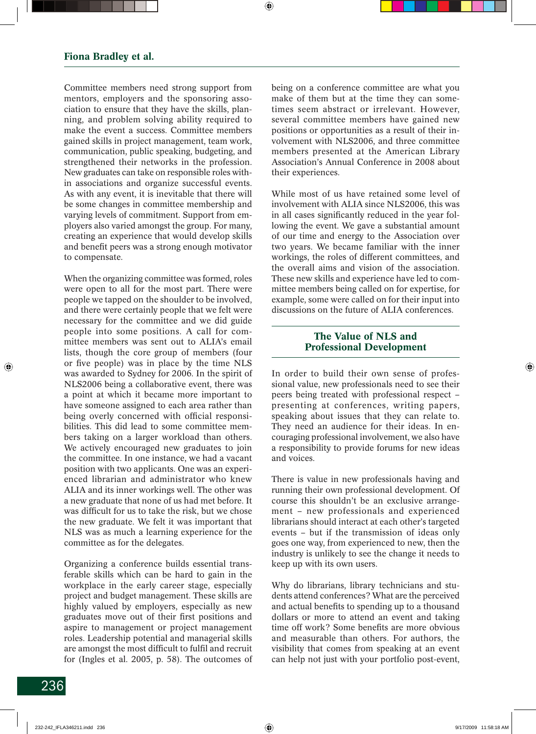Committee members need strong support from mentors, employers and the sponsoring association to ensure that they have the skills, planning, and problem solving ability required to make the event a success. Committee members gained skills in project management, team work, communication, public speaking, budgeting, and strengthened their networks in the profession. New graduates can take on responsible roles within associations and organize successful events. As with any event, it is inevitable that there will be some changes in committee membership and varying levels of commitment. Support from employers also varied amongst the group. For many, creating an experience that would develop skills and benefit peers was a strong enough motivator to compensate.

When the organizing committee was formed, roles were open to all for the most part. There were people we tapped on the shoulder to be involved, and there were certainly people that we felt were necessary for the committee and we did guide people into some positions. A call for committee members was sent out to ALIA's email lists, though the core group of members (four or five people) was in place by the time NLS was awarded to Sydney for 2006. In the spirit of NLS2006 being a collaborative event, there was a point at which it became more important to have someone assigned to each area rather than being overly concerned with official responsibilities. This did lead to some committee members taking on a larger workload than others. We actively encouraged new graduates to join the committee. In one instance, we had a vacant position with two applicants. One was an experienced librarian and administrator who knew ALIA and its inner workings well. The other was a new graduate that none of us had met before. It was difficult for us to take the risk, but we chose the new graduate. We felt it was important that NLS was as much a learning experience for the committee as for the delegates.

Organizing a conference builds essential transferable skills which can be hard to gain in the workplace in the early career stage, especially project and budget management. These skills are highly valued by employers, especially as new graduates move out of their first positions and aspire to management or project management roles. Leadership potential and managerial skills are amongst the most difficult to fulfil and recruit for (Ingles et al. 2005, p. 58). The outcomes of being on a conference committee are what you make of them but at the time they can sometimes seem abstract or irrelevant. However, several committee members have gained new positions or opportunities as a result of their involvement with NLS2006, and three committee members presented at the American Library Association's Annual Conference in 2008 about their experiences.

While most of us have retained some level of involvement with ALIA since NLS2006, this was in all cases significantly reduced in the year following the event. We gave a substantial amount of our time and energy to the Association over two years. We became familiar with the inner workings, the roles of different committees, and the overall aims and vision of the association. These new skills and experience have led to committee members being called on for expertise, for example, some were called on for their input into discussions on the future of ALIA conferences.

## **The Value of NLS and Professional Development**

In order to build their own sense of professional value, new professionals need to see their peers being treated with professional respect – presenting at conferences, writing papers, speaking about issues that they can relate to. They need an audience for their ideas. In encouraging professional involvement, we also have a responsibility to provide forums for new ideas and voices.

There is value in new professionals having and running their own professional development. Of course this shouldn't be an exclusive arrangement – new professionals and experienced librarians should interact at each other's targeted events – but if the transmission of ideas only goes one way, from experienced to new, then the industry is unlikely to see the change it needs to keep up with its own users.

Why do librarians, library technicians and students attend conferences? What are the perceived and actual benefits to spending up to a thousand dollars or more to attend an event and taking time off work? Some benefits are more obvious and measurable than others. For authors, the visibility that comes from speaking at an event can help not just with your portfolio post-event,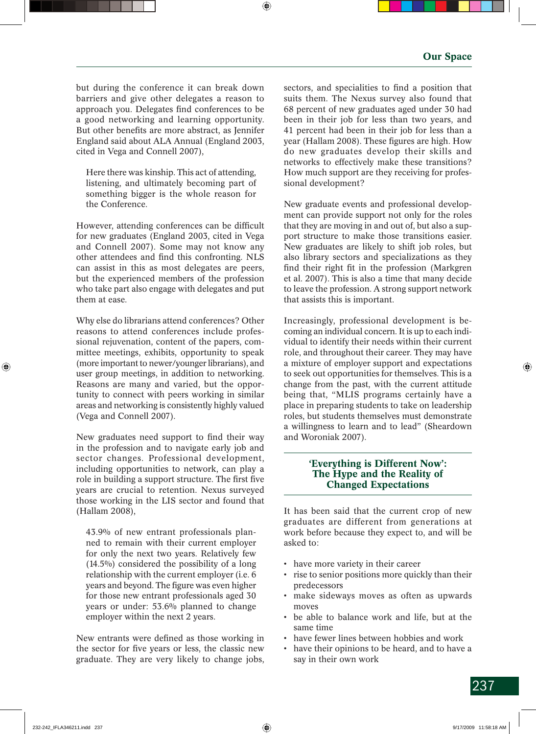but during the conference it can break down barriers and give other delegates a reason to approach you. Delegates find conferences to be a good networking and learning opportunity. But other benefits are more abstract, as Jennifer England said about ALA Annual (England 2003, cited in Vega and Connell 2007),

Here there was kinship. This act of attending, listening, and ultimately becoming part of something bigger is the whole reason for the Conference.

However, attending conferences can be difficult for new graduates (England 2003, cited in Vega and Connell 2007). Some may not know any other attendees and find this confronting. NLS can assist in this as most delegates are peers, but the experienced members of the profession who take part also engage with delegates and put them at ease.

Why else do librarians attend conferences? Other reasons to attend conferences include professional rejuvenation, content of the papers, committee meetings, exhibits, opportunity to speak (more important to newer/younger librarians), and user group meetings, in addition to networking. Reasons are many and varied, but the opportunity to connect with peers working in similar areas and networking is consistently highly valued (Vega and Connell 2007).

New graduates need support to find their way in the profession and to navigate early job and sector changes. Professional development, including opportunities to network, can play a role in building a support structure. The first five years are crucial to retention. Nexus surveyed those working in the LIS sector and found that (Hallam 2008),

43.9% of new entrant professionals planned to remain with their current employer for only the next two years. Relatively few (14.5%) considered the possibility of a long relationship with the current employer (i.e. 6 years and beyond. The figure was even higher for those new entrant professionals aged 30 years or under: 53.6% planned to change employer within the next 2 years.

New entrants were defined as those working in the sector for five years or less, the classic new graduate. They are very likely to change jobs, sectors, and specialities to find a position that suits them. The Nexus survey also found that 68 percent of new graduates aged under 30 had been in their job for less than two years, and 41 percent had been in their job for less than a year (Hallam 2008). These figures are high. How do new graduates develop their skills and networks to effectively make these transitions? How much support are they receiving for professional development?

New graduate events and professional development can provide support not only for the roles that they are moving in and out of, but also a support structure to make those transitions easier. New graduates are likely to shift job roles, but also library sectors and specializations as they find their right fit in the profession (Markgren et al. 2007). This is also a time that many decide to leave the profession. A strong support network that assists this is important.

Increasingly, professional development is becoming an individual concern. It is up to each individual to identify their needs within their current role, and throughout their career. They may have a mixture of employer support and expectations to seek out opportunities for themselves. This is a change from the past, with the current attitude being that, "MLIS programs certainly have a place in preparing students to take on leadership roles, but students themselves must demonstrate a willingness to learn and to lead" (Sheardown and Woroniak 2007).

## **'Everything is Different Now': The Hype and the Reality of Changed Expectations**

It has been said that the current crop of new graduates are different from generations at work before because they expect to, and will be asked to:

- have more variety in their career
- rise to senior positions more quickly than their predecessors
- make sideways moves as often as upwards moves
- be able to balance work and life, but at the same time
- have fewer lines between hobbies and work
- have their opinions to be heard, and to have a say in their own work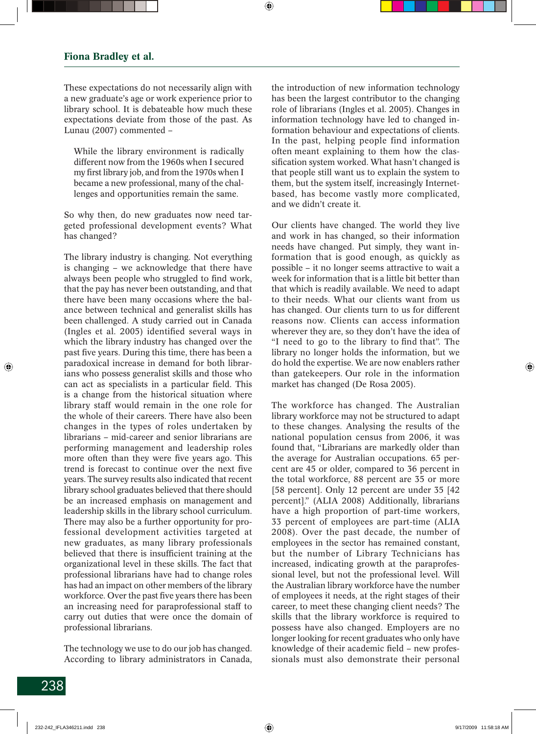These expectations do not necessarily align with a new graduate's age or work experience prior to library school. It is debateable how much these expectations deviate from those of the past. As Lunau (2007) commented –

While the library environment is radically different now from the 1960s when I secured my first library job, and from the 1970s when I became a new professional, many of the challenges and opportunities remain the same.

So why then, do new graduates now need targeted professional development events? What has changed?

The library industry is changing. Not everything is changing – we acknowledge that there have always been people who struggled to find work, that the pay has never been outstanding, and that there have been many occasions where the balance between technical and generalist skills has been challenged. A study carried out in Canada (Ingles et al. 2005) identified several ways in which the library industry has changed over the past five years. During this time, there has been a paradoxical increase in demand for both librarians who possess generalist skills and those who can act as specialists in a particular field. This is a change from the historical situation where library staff would remain in the one role for the whole of their careers. There have also been changes in the types of roles undertaken by librarians – mid-career and senior librarians are performing management and leadership roles more often than they were five years ago. This trend is forecast to continue over the next five years. The survey results also indicated that recent library school graduates believed that there should be an increased emphasis on management and leadership skills in the library school curriculum. There may also be a further opportunity for professional development activities targeted at new graduates, as many library professionals believed that there is insufficient training at the organizational level in these skills. The fact that professional librarians have had to change roles has had an impact on other members of the library workforce. Over the past five years there has been an increasing need for paraprofessional staff to carry out duties that were once the domain of professional librarians.

The technology we use to do our job has changed. According to library administrators in Canada, the introduction of new information technology has been the largest contributor to the changing role of librarians (Ingles et al. 2005). Changes in information technology have led to changed information behaviour and expectations of clients. In the past, helping people find information often meant explaining to them how the classification system worked. What hasn't changed is that people still want us to explain the system to them, but the system itself, increasingly Internetbased, has become vastly more complicated, and we didn't create it.

Our clients have changed. The world they live and work in has changed, so their information needs have changed. Put simply, they want information that is good enough, as quickly as possible – it no longer seems attractive to wait a week for information that is a little bit better than that which is readily available. We need to adapt to their needs. What our clients want from us has changed. Our clients turn to us for different reasons now. Clients can access information wherever they are, so they don't have the idea of "I need to go to the library to find that". The library no longer holds the information, but we do hold the expertise. We are now enablers rather than gatekeepers. Our role in the information market has changed (De Rosa 2005).

The workforce has changed. The Australian library workforce may not be structured to adapt to these changes. Analysing the results of the national population census from 2006, it was found that, "Librarians are markedly older than the average for Australian occupations. 65 percent are 45 or older, compared to 36 percent in the total workforce, 88 percent are 35 or more [58 percent]. Only 12 percent are under 35 [42 percent]." (ALIA 2008) Additionally, librarians have a high proportion of part-time workers, 33 percent of employees are part-time (ALIA 2008). Over the past decade, the number of employees in the sector has remained constant, but the number of Library Technicians has increased, indicating growth at the paraprofessional level, but not the professional level. Will the Australian library workforce have the number of employees it needs, at the right stages of their career, to meet these changing client needs? The skills that the library workforce is required to possess have also changed. Employers are no longer looking for recent graduates who only have knowledge of their academic field – new professionals must also demonstrate their personal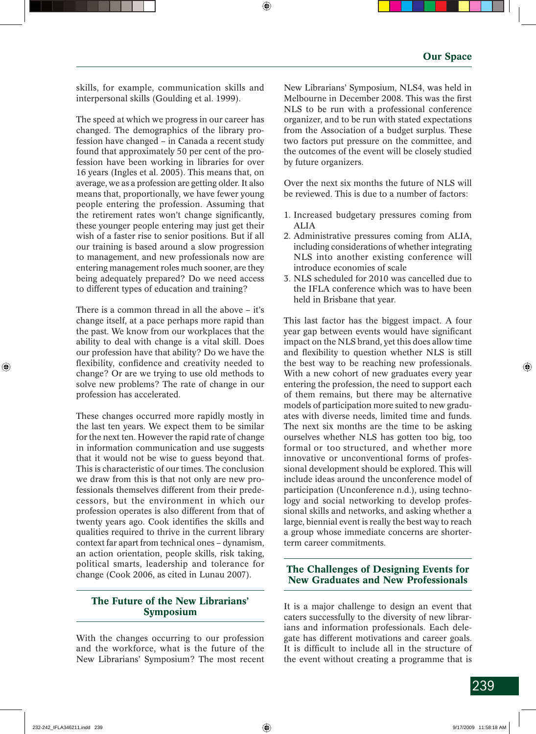skills, for example, communication skills and interpersonal skills (Goulding et al. 1999).

The speed at which we progress in our career has changed. The demographics of the library profession have changed – in Canada a recent study found that approximately 50 per cent of the profession have been working in libraries for over 16 years (Ingles et al. 2005). This means that, on average, we as a profession are getting older. It also means that, proportionally, we have fewer young people entering the profession. Assuming that the retirement rates won't change significantly, these younger people entering may just get their wish of a faster rise to senior positions. But if all our training is based around a slow progression to management, and new professionals now are entering management roles much sooner, are they being adequately prepared? Do we need access to different types of education and training?

There is a common thread in all the above – it's change itself, at a pace perhaps more rapid than the past. We know from our workplaces that the ability to deal with change is a vital skill. Does our profession have that ability? Do we have the flexibility, confidence and creativity needed to change? Or are we trying to use old methods to solve new problems? The rate of change in our profession has accelerated.

These changes occurred more rapidly mostly in the last ten years. We expect them to be similar for the next ten. However the rapid rate of change in information communication and use suggests that it would not be wise to guess beyond that. This is characteristic of our times. The conclusion we draw from this is that not only are new professionals themselves different from their predecessors, but the environment in which our profession operates is also different from that of twenty years ago. Cook identifies the skills and qualities required to thrive in the current library context far apart from technical ones – dynamism, an action orientation, people skills, risk taking, political smarts, leadership and tolerance for change (Cook 2006, as cited in Lunau 2007).

# **The Future of the New Librarians' Symposium**

With the changes occurring to our profession and the workforce, what is the future of the New Librarians' Symposium? The most recent

New Librarians' Symposium, NLS4, was held in Melbourne in December 2008. This was the first NLS to be run with a professional conference organizer, and to be run with stated expectations from the Association of a budget surplus. These two factors put pressure on the committee, and the outcomes of the event will be closely studied by future organizers.

Over the next six months the future of NLS will be reviewed. This is due to a number of factors:

- 1. Increased budgetary pressures coming from ALIA
- 2. Administrative pressures coming from ALIA, including considerations of whether integrating NLS into another existing conference will introduce economies of scale
- 3. NLS scheduled for 2010 was cancelled due to the IFLA conference which was to have been held in Brisbane that year.

This last factor has the biggest impact. A four year gap between events would have significant impact on the NLS brand, yet this does allow time and flexibility to question whether NLS is still the best way to be reaching new professionals. With a new cohort of new graduates every year entering the profession, the need to support each of them remains, but there may be alternative models of participation more suited to new graduates with diverse needs, limited time and funds. The next six months are the time to be asking ourselves whether NLS has gotten too big, too formal or too structured, and whether more innovative or unconventional forms of professional development should be explored. This will include ideas around the unconference model of participation (Unconference n.d.), using technology and social networking to develop professional skills and networks, and asking whether a large, biennial event is really the best way to reach a group whose immediate concerns are shorterterm career commitments.

## **The Challenges of Designing Events for New Graduates and New Professionals**

It is a major challenge to design an event that caters successfully to the diversity of new librarians and information professionals. Each delegate has different motivations and career goals. It is difficult to include all in the structure of the event without creating a programme that is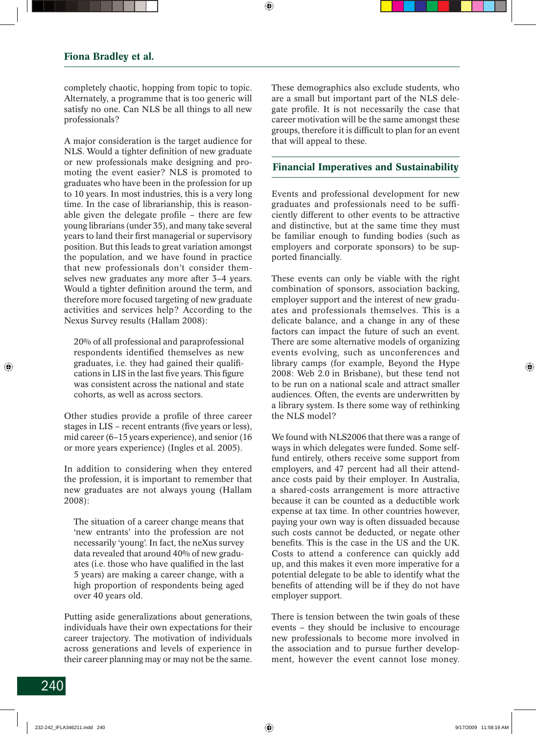completely chaotic, hopping from topic to topic. Alternately, a programme that is too generic will satisfy no one. Can NLS be all things to all new professionals?

A major consideration is the target audience for NLS. Would a tighter definition of new graduate or new professionals make designing and promoting the event easier? NLS is promoted to graduates who have been in the profession for up to 10 years. In most industries, this is a very long time. In the case of librarianship, this is reasonable given the delegate profile  $-$  there are few young librarians (under 35), and many take several years to land their first managerial or supervisory position. But this leads to great variation amongst the population, and we have found in practice that new professionals don't consider themselves new graduates any more after 3–4 years. Would a tighter definition around the term, and therefore more focused targeting of new graduate activities and services help? According to the Nexus Survey results (Hallam 2008):

20% of all professional and paraprofessional respondents identified themselves as new graduates, i.e. they had gained their qualifications in LIS in the last five years. This figure was consistent across the national and state cohorts, as well as across sectors.

Other studies provide a profile of three career stages in LIS – recent entrants (five years or less), mid career (6–15 years experience), and senior (16 or more years experience) (Ingles et al. 2005).

In addition to considering when they entered the profession, it is important to remember that new graduates are not always young (Hallam 2008):

The situation of a career change means that 'new entrants' into the profession are not necessarily 'young'. In fact, the neXus survey data revealed that around 40% of new graduates (i.e. those who have qualified in the last 5 years) are making a career change, with a high proportion of respondents being aged over 40 years old.

Putting aside generalizations about generations, individuals have their own expectations for their career trajectory. The motivation of individuals across generations and levels of experience in their career planning may or may not be the same.

These demographics also exclude students, who are a small but important part of the NLS delegate profile. It is not necessarily the case that career motivation will be the same amongst these groups, therefore it is difficult to plan for an event that will appeal to these.

## **Financial Imperatives and Sustainability**

Events and professional development for new graduates and professionals need to be sufficiently different to other events to be attractive and distinctive, but at the same time they must be familiar enough to funding bodies (such as employers and corporate sponsors) to be supported financially.

These events can only be viable with the right combination of sponsors, association backing, employer support and the interest of new graduates and professionals themselves. This is a delicate balance, and a change in any of these factors can impact the future of such an event. There are some alternative models of organizing events evolving, such as unconferences and library camps (for example, Beyond the Hype 2008: Web 2.0 in Brisbane), but these tend not to be run on a national scale and attract smaller audiences. Often, the events are underwritten by a library system. Is there some way of rethinking the NLS model?

We found with NLS2006 that there was a range of ways in which delegates were funded. Some selffund entirely, others receive some support from employers, and 47 percent had all their attendance costs paid by their employer. In Australia, a shared-costs arrangement is more attractive because it can be counted as a deductible work expense at tax time. In other countries however, paying your own way is often dissuaded because such costs cannot be deducted, or negate other benefits. This is the case in the US and the UK. Costs to attend a conference can quickly add up, and this makes it even more imperative for a potential delegate to be able to identify what the benefits of attending will be if they do not have employer support.

There is tension between the twin goals of these events – they should be inclusive to encourage new professionals to become more involved in the association and to pursue further development, however the event cannot lose money.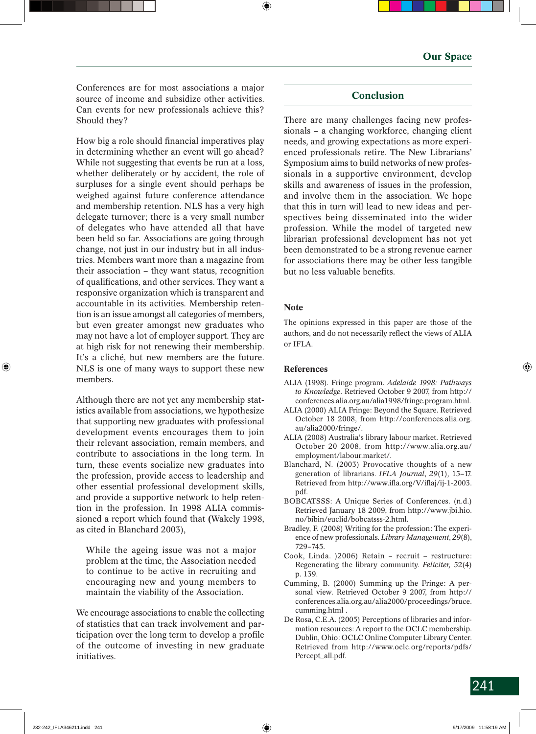Conferences are for most associations a major source of income and subsidize other activities. Can events for new professionals achieve this? Should they?

How big a role should financial imperatives play in determining whether an event will go ahead? While not suggesting that events be run at a loss, whether deliberately or by accident, the role of surpluses for a single event should perhaps be weighed against future conference attendance and membership retention. NLS has a very high delegate turnover; there is a very small number of delegates who have attended all that have been held so far. Associations are going through change, not just in our industry but in all industries. Members want more than a magazine from their association – they want status, recognition of qualifications, and other services. They want a responsive organization which is transparent and accountable in its activities. Membership retention is an issue amongst all categories of members, but even greater amongst new graduates who may not have a lot of employer support. They are at high risk for not renewing their membership. It's a cliché, but new members are the future. NLS is one of many ways to support these new members.

Although there are not yet any membership statistics available from associations, we hypothesize that supporting new graduates with professional development events encourages them to join their relevant association, remain members, and contribute to associations in the long term. In turn, these events socialize new graduates into the profession, provide access to leadership and other essential professional development skills, and provide a supportive network to help retention in the profession. In 1998 ALIA commissioned a report which found that **(**Wakely 1998, as cited in Blanchard 2003),

While the ageing issue was not a major problem at the time, the Association needed to continue to be active in recruiting and encouraging new and young members to maintain the viability of the Association.

We encourage associations to enable the collecting of statistics that can track involvement and participation over the long term to develop a profile of the outcome of investing in new graduate initiatives.

# **Conclusion**

There are many challenges facing new professionals – a changing workforce, changing client needs, and growing expectations as more experienced professionals retire. The New Librarians' Symposium aims to build networks of new professionals in a supportive environment, develop skills and awareness of issues in the profession, and involve them in the association. We hope that this in turn will lead to new ideas and perspectives being disseminated into the wider profession. While the model of targeted new librarian professional development has not yet been demonstrated to be a strong revenue earner for associations there may be other less tangible but no less valuable benefits.

## **Note**

The opinions expressed in this paper are those of the authors, and do not necessarily reflect the views of ALIA or IFLA.

### **References**

- ALIA (1998). Fringe program. *Adelaide 1998: Pathways to Knowledge*. Retrieved October 9 2007, from http:// conferences.alia.org.au/alia1998/fringe.program.html.
- ALIA (2000) ALIA Fringe: Beyond the Square. Retrieved October 18 2008, from http://conferences.alia.org. au/alia2000/fringe/.
- ALIA (2008) Australia's library labour market. Retrieved October 20 2008, from http://www.alia.org.au/ employment/labour.market/.
- Blanchard, N. (2003) Provocative thoughts of a new generation of librarians. *IFLA Journal*, *29*(1), 15–17. Retrieved from http://www.ifla.org/V/iflaj/ij-1-2003. pdf.
- BOBCATSSS: A Unique Series of Conferences. (n.d.) Retrieved January 18 2009, from http://www.jbi.hio. no/bibin/euclid/bobcatsss-2.html.
- Bradley, F. (2008) Writing for the profession: The experience of new professionals. *Library Management*, *29*(8), 729–745.
- Cook, Linda. )2006) Retain recruit restructure: Regenerating the library community. *Feliciter,* 52(4) p. 139.
- Cumming, B. (2000) Summing up the Fringe: A personal view. Retrieved October 9 2007, from http:// conferences.alia.org.au/alia2000/proceedings/bruce. cumming.html .
- De Rosa, C.E.A. (2005) Perceptions of libraries and information resources: A report to the OCLC membership. Dublin, Ohio: OCLC Online Computer Library Center. Retrieved from http://www.oclc.org/reports/pdfs/ Percept\_all.pdf.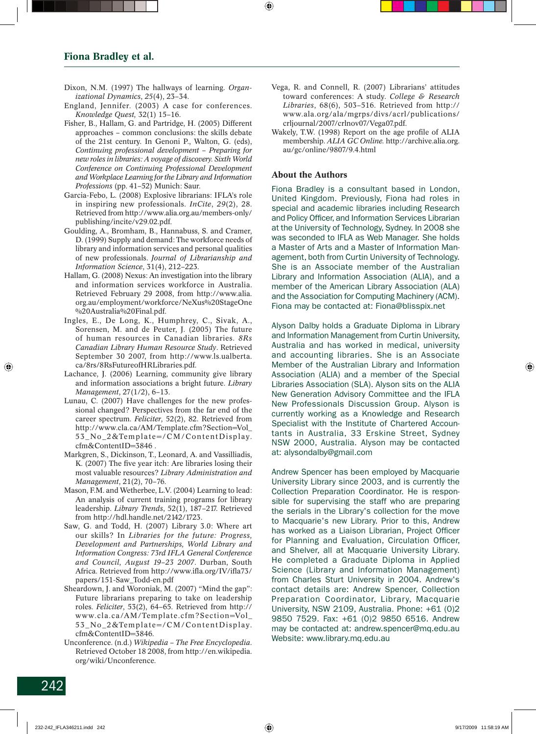- Dixon, N.M. (1997) The hallways of learning. *Organizational Dynamics*, *25*(4), 23–34.
- England, Jennifer. (2003) A case for conferences. *Knowledge Quest,* 32(1) 15–16.
- Fisher, B., Hallam, G. and Partridge, H. (2005) Different approaches – common conclusions: the skills debate of the 21st century. In Genoni P., Walton, G. (eds), *Continuing professional development – Preparing for new roles in libraries: A voyage of discovery. Sixth World Conference on Continuing Professional Development and Workplace Learning for the Library and Information Professions* (pp. 41–52) Munich: Saur.
- Garcia-Febo, L. (2008) Explosive librarians: IFLA's role in inspiring new professionals. *InCite*, *29*(2), 28. Retrieved from http://www.alia.org.au/members-only/ publishing/incite/v29.02.pdf.
- Goulding, A., Bromham, B., Hannabuss, S. and Cramer, D. (1999) Supply and demand: The workforce needs of library and information services and personal qualities of new professionals. *Journal of Librarianship and Information Science*, 31(4), 212–223.
- Hallam, G. (2008) Nexus: An investigation into the library and information services workforce in Australia. Retrieved February 29 2008, from http://www.alia. org.au/employment/workforce/NeXus%20StageOne %20Australia%20Final.pdf.
- Ingles, E., De Long, K., Humphrey, C., Sivak, A., Sorensen, M. and de Peuter, J. (2005) The future of human resources in Canadian libraries. *8Rs Canadian Library Human Resource Study*. Retrieved September 30 2007, from http://www.ls.ualberta. ca/8rs/8RsFutureofHRLibraries.pdf.
- Lachance, J. (2006) Learning, community give library and information associations a bright future. *Library Management*, 27(1/2), 6–13.
- Lunau, C. (2007) Have challenges for the new professional changed? Perspectives from the far end of the career spectrum. *Feliciter*, 52(2), 82. Retrieved from http://www.cla.ca/AM/Template.cfm?Section=Vol\_ 53\_No\_2&Template=/CM/ContentDisplay. cfm&ContentID=3846 .
- Markgren, S., Dickinson, T., Leonard, A. and Vassilliadis, K. (2007) The five year itch: Are libraries losing their most valuable resources? *Library Administration and Management*, 21(2), 70–76.
- Mason, F.M. and Wetherbee, L.V. (2004) Learning to lead: An analysis of current training programs for library leadership. *Library Trends*, 52(1), 187–217. Retrieved from http://hdl.handle.net/2142/1723.
- Saw, G. and Todd, H. (2007) Library 3.0: Where art our skills? In *Libraries for the future: Progress, Development and Partnerships, World Library and Information Congress: 73rd IFLA General Conference and Council, August 19–23 2007*. Durban, South Africa. Retrieved from http://www.ifla.org/IV/ifla73/ papers/151-Saw\_Todd-en.pdf
- Sheardown, J. and Woroniak, M. (2007) "Mind the gap": Future librarians preparing to take on leadership roles. *Feliciter*, 53(2), 64–65. Retrieved from http:// www.cla.ca/AM/Template.cfm?Section=Vol\_ 53\_No\_2&Template=/CM/ContentDisplay. cfm&ContentID=3846.
- Unconference. (n.d.) *Wikipedia The Free Encyclopedia*. Retrieved October 18 2008, from http://en.wikipedia. org/wiki/Unconference.
- Vega, R. and Connell, R. (2007) Librarians' attitudes toward conferences: A study. *College & Research Libraries*, 68(6), 503–516. Retrieved from http:// www.ala.org/ala/mgrps/divs/acrl/publications/ crljournal/2007/crlnov07/Vega07.pdf.
- Wakely, T.W. (1998) Report on the age profile of ALIA membership. *ALIA GC Online.* http://archive.alia.org. au/gc/online/9807/9.4.html

#### **About the Authors**

Fiona Bradley is a consultant based in London, United Kingdom. Previously, Fiona had roles in special and academic libraries including Research and Policy Officer, and Information Services Librarian at the University of Technology, Sydney. In 2008 she was seconded to IFLA as Web Manager. She holds a Master of Arts and a Master of Information Management, both from Curtin University of Technology. She is an Associate member of the Australian Library and Information Association (ALIA), and a member of the American Library Association (ALA) and the Association for Computing Machinery (ACM). Fiona may be contacted at: Fiona@blisspix.net

Alyson Dalby holds a Graduate Diploma in Library and Information Management from Curtin University, Australia and has worked in medical, university and accounting libraries. She is an Associate Member of the Australian Library and Information Association (ALIA) and a member of the Special Libraries Association (SLA). Alyson sits on the ALIA New Generation Advisory Committee and the IFLA New Professionals Discussion Group. Alyson is currently working as a Knowledge and Research Specialist with the Institute of Chartered Accountants in Australia, 33 Erskine Street, Sydney NSW 2000, Australia. Alyson may be contacted at: alysondalby@gmail.com

Andrew Spencer has been employed by Macquarie University Library since 2003, and is currently the Collection Preparation Coordinator. He is responsible for supervising the staff who are preparing the serials in the Library's collection for the move to Macquarie's new Library. Prior to this, Andrew has worked as a Liaison Librarian, Project Officer for Planning and Evaluation, Circulation Officer, and Shelver, all at Macquarie University Library. He completed a Graduate Diploma in Applied Science (Library and Information Management) from Charles Sturt University in 2004. Andrew's contact details are: Andrew Spencer, Collection Preparation Coordinator, Library, Macquarie University, NSW 2109, Australia. Phone: +61 (0)2 9850 7529. Fax: +61 (0)2 9850 6516. Andrew may be contacted at: andrew.spencer@mq.edu.au Website: www.library.mq.edu.au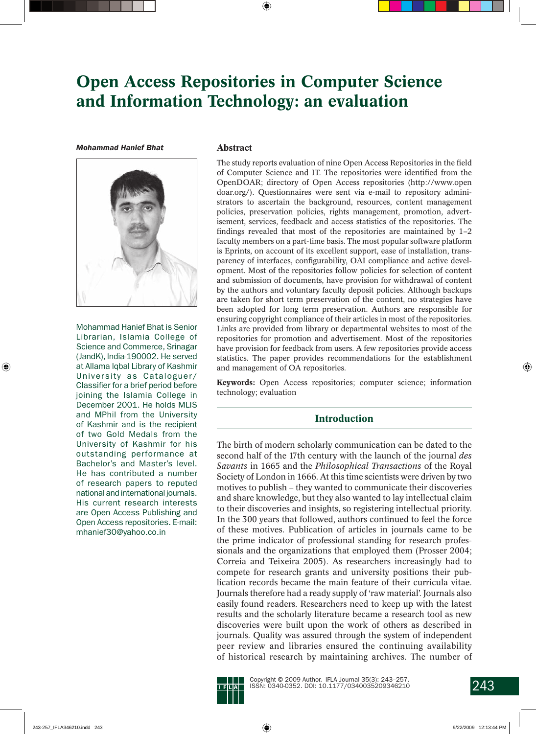# **Open Access Repositories in Computer Science and Information Technology: an evaluation**

#### *Mohammad Hanief Bhat*



Mohammad Hanief Bhat is Senior Librarian, Islamia College of Science and Commerce, Srinagar (JandK), India-190002. He served at Allama Iqbal Library of Kashmir University as Cataloguer/ Classifier for a brief period before joining the Islamia College in December 2001. He holds MLIS and MPhil from the University of Kashmir and is the recipient of two Gold Medals from the University of Kashmir for his outstanding performance at Bachelor's and Master's level. He has contributed a number of research papers to reputed national and international journals. His current research interests are Open Access Publishing and Open Access repositories. E-mail: mhanief30@yahoo.co.in

#### **Abstract**

The study reports evaluation of nine Open Access Repositories in the field of Computer Science and IT. The repositories were identified from the OpenDOAR; directory of Open Access repositories (http://www.open doar.org/). Questionnaires were sent via e-mail to repository administrators to ascertain the background, resources, content management policies, preservation policies, rights management, promotion, advertisement, services, feedback and access statistics of the repositories. The findings revealed that most of the repositories are maintained by  $1-2$ faculty members on a part-time basis. The most popular software platform is Eprints, on account of its excellent support, ease of installation, transparency of interfaces, configurability, OAI compliance and active development. Most of the repositories follow policies for selection of content and submission of documents, have provision for withdrawal of content by the authors and voluntary faculty deposit policies. Although backups are taken for short term preservation of the content, no strategies have been adopted for long term preservation. Authors are responsible for ensuring copyright compliance of their articles in most of the repositories. Links are provided from library or departmental websites to most of the repositories for promotion and advertisement. Most of the repositories have provision for feedback from users. A few repositories provide access statistics. The paper provides recommendations for the establishment and management of OA repositories.

**Keywords:** Open Access repositories; computer science; information technology; evaluation

## **Introduction**

The birth of modern scholarly communication can be dated to the second half of the 17th century with the launch of the journal *des Savants* in 1665 and the *Philosophical Transactions* of the Royal Society of London in 1666. At this time scientists were driven by two motives to publish – they wanted to communicate their discoveries and share knowledge, but they also wanted to lay intellectual claim to their discoveries and insights, so registering intellectual priority. In the 300 years that followed, authors continued to feel the force of these motives. Publication of articles in journals came to be the prime indicator of professional standing for research professionals and the organizations that employed them (Prosser 2004; Correia and Teixeira 2005). As researchers increasingly had to compete for research grants and university positions their publication records became the main feature of their curricula vitae. Journals therefore had a ready supply of 'raw material'. Journals also easily found readers. Researchers need to keep up with the latest results and the scholarly literature became a research tool as new discoveries were built upon the work of others as described in journals. Quality was assured through the system of independent peer review and libraries ensured the continuing availability of historical research by maintaining archives. The number of

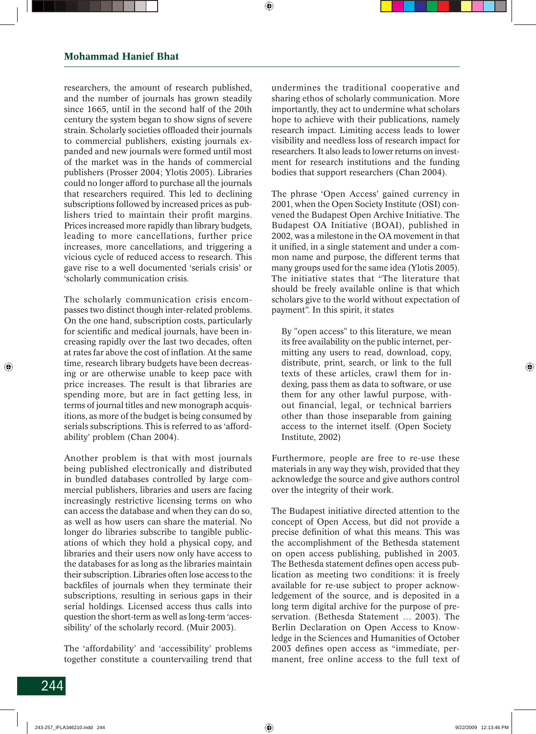researchers, the amount of research published, and the number of journals has grown steadily since 1665, until in the second half of the 20th century the system began to show signs of severe strain. Scholarly societies offloaded their journals to commercial publishers, existing journals expanded and new journals were formed until most of the market was in the hands of commercial publishers (Prosser 2004; Ylotis 2005). Libraries could no longer afford to purchase all the journals that researchers required. This led to declining subscriptions followed by increased prices as publishers tried to maintain their profit margins. Prices increased more rapidly than library budgets, leading to more cancellations, further price increases, more cancellations, and triggering a vicious cycle of reduced access to research. This gave rise to a well documented 'serials crisis' or 'scholarly communication crisis.

The scholarly communication crisis encompasses two distinct though inter-related problems. On the one hand, subscription costs, particularly for scientific and medical journals, have been increasing rapidly over the last two decades, often at rates far above the cost of inflation. At the same time, research library budgets have been decreasing or are otherwise unable to keep pace with price increases. The result is that libraries are spending more, but are in fact getting less, in terms of journal titles and new monograph acquisitions, as more of the budget is being consumed by serials subscriptions. This is referred to as 'affordability' problem (Chan 2004).

Another problem is that with most journals being published electronically and distributed in bundled databases controlled by large commercial publishers, libraries and users are facing increasingly restrictive licensing terms on who can access the database and when they can do so, as well as how users can share the material. No longer do libraries subscribe to tangible publications of which they hold a physical copy, and libraries and their users now only have access to the databases for as long as the libraries maintain their subscription. Libraries often lose access to the backfiles of journals when they terminate their subscriptions, resulting in serious gaps in their serial holdings. Licensed access thus calls into question the short-term as well as long-term 'accessibility' of the scholarly record. (Muir 2003).

The 'affordability' and 'accessibility' problems together constitute a countervailing trend that undermines the traditional cooperative and sharing ethos of scholarly communication. More importantly, they act to undermine what scholars hope to achieve with their publications, namely research impact. Limiting access leads to lower visibility and needless loss of research impact for researchers. It also leads to lower returns on investment for research institutions and the funding bodies that support researchers (Chan 2004).

The phrase 'Open Access' gained currency in 2001, when the Open Society Institute (OSI) convened the Budapest Open Archive Initiative. The Budapest OA Initiative (BOAI), published in 2002, was a milestone in the OA movement in that it unified, in a single statement and under a common name and purpose, the different terms that many groups used for the same idea (Ylotis 2005). The initiative states that "The literature that should be freely available online is that which scholars give to the world without expectation of payment". In this spirit, it states

By "open access" to this literature, we mean its free availability on the public internet, permitting any users to read, download, copy, distribute, print, search, or link to the full texts of these articles, crawl them for indexing, pass them as data to software, or use them for any other lawful purpose, without financial, legal, or technical barriers other than those inseparable from gaining access to the internet itself. (Open Society Institute, 2002)

Furthermore, people are free to re-use these materials in any way they wish, provided that they acknowledge the source and give authors control over the integrity of their work.

The Budapest initiative directed attention to the concept of Open Access, but did not provide a precise definition of what this means. This was the accomplishment of the Bethesda statement on open access publishing, published in 2003. The Bethesda statement defines open access publication as meeting two conditions: it is freely available for re-use subject to proper acknowledgement of the source, and is deposited in a long term digital archive for the purpose of preservation. (Bethesda Statement … 2003). The Berlin Declaration on Open Access to Knowledge in the Sciences and Humanities of October 2003 defines open access as "immediate, permanent, free online access to the full text of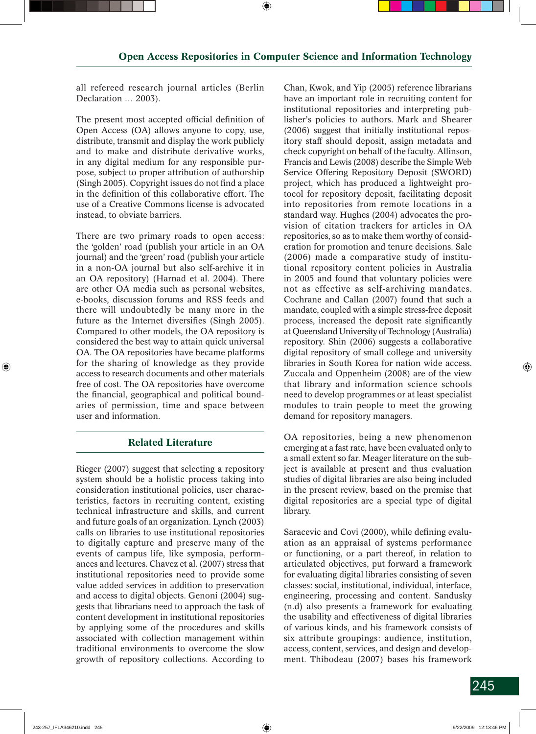all refereed research journal articles (Berlin Declaration … 2003).

The present most accepted official definition of Open Access (OA) allows anyone to copy, use, distribute, transmit and display the work publicly and to make and distribute derivative works, in any digital medium for any responsible purpose, subject to proper attribution of authorship (Singh 2005). Copyright issues do not find a place in the definition of this collaborative effort. The use of a Creative Commons license is advocated instead, to obviate barriers.

There are two primary roads to open access: the 'golden' road (publish your article in an OA journal) and the 'green' road (publish your article in a non-OA journal but also self-archive it in an OA repository) (Harnad et al. 2004). There are other OA media such as personal websites, e-books, discussion forums and RSS feeds and there will undoubtedly be many more in the future as the Internet diversifies (Singh 2005). Compared to other models, the OA repository is considered the best way to attain quick universal OA. The OA repositories have became platforms for the sharing of knowledge as they provide access to research documents and other materials free of cost. The OA repositories have overcome the financial, geographical and political boundaries of permission, time and space between user and information.

# **Related Literature**

Rieger (2007) suggest that selecting a repository system should be a holistic process taking into consideration institutional policies, user characteristics, factors in recruiting content, existing technical infrastructure and skills, and current and future goals of an organization. Lynch (2003) calls on libraries to use institutional repositories to digitally capture and preserve many of the events of campus life, like symposia, performances and lectures. Chavez et al. (2007) stress that institutional repositories need to provide some value added services in addition to preservation and access to digital objects. Genoni (2004) suggests that librarians need to approach the task of content development in institutional repositories by applying some of the procedures and skills associated with collection management within traditional environments to overcome the slow growth of repository collections. According to

Chan, Kwok, and Yip (2005) reference librarians have an important role in recruiting content for institutional repositories and interpreting publisher's policies to authors. Mark and Shearer (2006) suggest that initially institutional repository staff should deposit, assign metadata and check copyright on behalf of the faculty. Allinson, Francis and Lewis (2008) describe the Simple Web Service Offering Repository Deposit (SWORD) project, which has produced a lightweight protocol for repository deposit, facilitating deposit into repositories from remote locations in a standard way. Hughes (2004) advocates the provision of citation trackers for articles in OA repositories, so as to make them worthy of consideration for promotion and tenure decisions. Sale (2006) made a comparative study of institutional repository content policies in Australia in 2005 and found that voluntary policies were not as effective as self-archiving mandates. Cochrane and Callan (2007) found that such a mandate, coupled with a simple stress-free deposit process, increased the deposit rate significantly at Queensland University of Technology (Australia) repository. Shin (2006) suggests a collaborative digital repository of small college and university libraries in South Korea for nation wide access. Zuccala and Oppenheim (2008) are of the view that library and information science schools need to develop programmes or at least specialist modules to train people to meet the growing demand for repository managers.

OA repositories, being a new phenomenon emerging at a fast rate, have been evaluated only to a small extent so far. Meager literature on the subject is available at present and thus evaluation studies of digital libraries are also being included in the present review, based on the premise that digital repositories are a special type of digital library.

Saracevic and Covi (2000), while defining evaluation as an appraisal of systems performance or functioning, or a part thereof, in relation to articulated objectives, put forward a framework for evaluating digital libraries consisting of seven classes: social, institutional, individual, interface, engineering, processing and content. Sandusky (n.d) also presents a framework for evaluating the usability and effectiveness of digital libraries of various kinds, and his framework consists of six attribute groupings: audience, institution, access, content, services, and design and development. Thibodeau (2007) bases his framework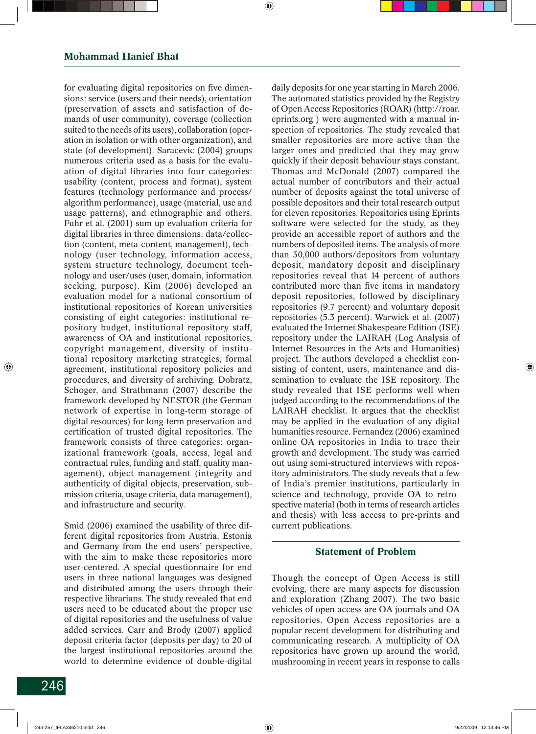for evaluating digital repositories on five dimensions: service (users and their needs), orientation (preservation of assets and satisfaction of demands of user community), coverage (collection suited to the needs of its users), collaboration (operation in isolation or with other organization), and state (of development). Saracevic (2004) groups numerous criteria used as a basis for the evaluation of digital libraries into four categories: usability (content, process and format), system features (technology performance and process/ algorithm performance), usage (material, use and usage patterns), and ethnographic and others. Fuhr et al. (2001) sum up evaluation criteria for digital libraries in three dimensions: data/collection (content, meta-content, management), technology (user technology, information access, system structure technology, document technology and user/uses (user, domain, information seeking, purpose). Kim (2006) developed an evaluation model for a national consortium of institutional repositories of Korean universities consisting of eight categories: institutional repository budget, institutional repository staff, awareness of OA and institutional repositories, copyright management, diversity of institutional repository marketing strategies, formal agreement, institutional repository policies and procedures, and diversity of archiving. Dobratz, Schoger, and Strathmann (2007) describe the framework developed by NESTOR (the German network of expertise in long-term storage of digital resources) for long-term preservation and certification of trusted digital repositories. The framework consists of three categories: organizational framework (goals, access, legal and contractual rules, funding and staff, quality management), object management (integrity and authenticity of digital objects, preservation, submission criteria, usage criteria, data management), and infrastructure and security.

Smid (2006) examined the usability of three different digital repositories from Austria, Estonia and Germany from the end users' perspective, with the aim to make these repositories more user-centered. A special questionnaire for end users in three national languages was designed and distributed among the users through their respective librarians. The study revealed that end users need to be educated about the proper use of digital repositories and the usefulness of value added services. Carr and Brody (2007) applied deposit criteria factor (deposits per day) to 20 of the largest institutional repositories around the world to determine evidence of double-digital

daily deposits for one year starting in March 2006. The automated statistics provided by the Registry of Open Access Repositories (ROAR) (http://roar. eprints.org ) were augmented with a manual inspection of repositories. The study revealed that smaller repositories are more active than the larger ones and predicted that they may grow quickly if their deposit behaviour stays constant. Thomas and McDonald (2007) compared the actual number of contributors and their actual number of deposits against the total universe of possible depositors and their total research output for eleven repositories. Repositories using Eprints software were selected for the study, as they provide an accessible report of authors and the numbers of deposited items. The analysis of more than 30,000 authors/depositors from voluntary deposit, mandatory deposit and disciplinary repositories reveal that 14 percent of authors contributed more than five items in mandatory deposit repositories, followed by disciplinary repositories (9.7 percent) and voluntary deposit repositories (5.3 percent). Warwick et al. (2007) evaluated the Internet Shakespeare Edition (ISE) repository under the LAIRAH (Log Analysis of Internet Resources in the Arts and Humanities) project. The authors developed a checklist consisting of content, users, maintenance and dissemination to evaluate the ISE repository. The study revealed that ISE performs well when judged according to the recommendations of the LAIRAH checklist. It argues that the checklist may be applied in the evaluation of any digital humanities resource. Fernandez (2006) examined online OA repositories in India to trace their growth and development. The study was carried out using semi-structured interviews with repository administrators. The study reveals that a few of India's premier institutions, particularly in science and technology, provide OA to retrospective material (both in terms of research articles and thesis) with less access to pre-prints and current publications.

# **Statement of Problem**

Though the concept of Open Access is still evolving, there are many aspects for discussion and exploration (Zhang 2007). The two basic vehicles of open access are OA journals and OA repositories. Open Access repositories are a popular recent development for distributing and communicating research. A multiplicity of OA repositories have grown up around the world, mushrooming in recent years in response to calls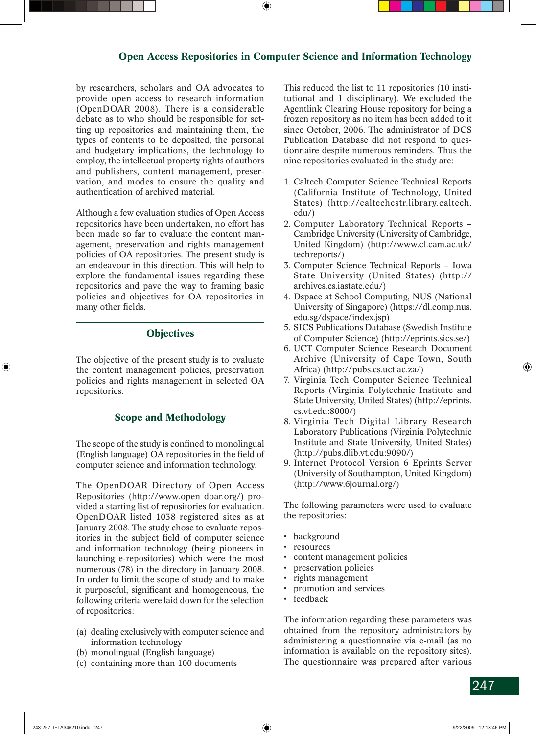by researchers, scholars and OA advocates to provide open access to research information (OpenDOAR 2008). There is a considerable debate as to who should be responsible for setting up repositories and maintaining them, the types of contents to be deposited, the personal and budgetary implications, the technology to employ, the intellectual property rights of authors and publishers, content management, preservation, and modes to ensure the quality and authentication of archived material.

Although a few evaluation studies of Open Access repositories have been undertaken, no effort has been made so far to evaluate the content management, preservation and rights management policies of OA repositories. The present study is an endeavour in this direction. This will help to explore the fundamental issues regarding these repositories and pave the way to framing basic policies and objectives for OA repositories in many other fields.

# **Objectives**

The objective of the present study is to evaluate the content management policies, preservation policies and rights management in selected OA repositories.

# **Scope and Methodology**

The scope of the study is confined to monolingual (English language) OA repositories in the field of computer science and information technology.

The OpenDOAR Directory of Open Access Repositories (http://www.open doar.org/) provided a starting list of repositories for evaluation. OpenDOAR listed 1038 registered sites as at January 2008. The study chose to evaluate repositories in the subject field of computer science and information technology (being pioneers in launching e-repositories) which were the most numerous (78) in the directory in January 2008. In order to limit the scope of study and to make it purposeful, significant and homogeneous, the following criteria were laid down for the selection of repositories:

- (a) dealing exclusively with computer science and information technology
- (b) monolingual (English language)
- (c) containing more than 100 documents

This reduced the list to 11 repositories (10 institutional and 1 disciplinary). We excluded the Agentlink Clearing House repository for being a frozen repository as no item has been added to it since October, 2006. The administrator of DCS Publication Database did not respond to questionnaire despite numerous reminders. Thus the nine repositories evaluated in the study are:

- 1. Caltech Computer Science Technical Reports (California Institute of Technology, United States) (http://caltechcstr.library.caltech. edu/)
- 2. Computer Laboratory Technical Reports Cambridge University (University of Cambridge, United Kingdom) (http://www.cl.cam.ac.uk/ techreports/)
- 3. Computer Science Technical Reports Iowa State University (United States) (http:// archives.cs.iastate.edu/)
- 4. Dspace at School Computing, NUS (National University of Singapore) (https://dl.comp.nus. edu.sg/dspace/index.jsp)
- 5. SICS Publications Database (Swedish Institute of Computer Science) (http://eprints.sics.se/)
- 6. UCT Computer Science Research Document Archive (University of Cape Town, South Africa) (http://pubs.cs.uct.ac.za/)
- 7. Virginia Tech Computer Science Technical Reports (Virginia Polytechnic Institute and State University, United States) (http://eprints. cs.vt.edu:8000/)
- 8. Virginia Tech Digital Library Research Laboratory Publications (Virginia Polytechnic Institute and State University, United States) (http://pubs.dlib.vt.edu:9090/)
- 9. Internet Protocol Version 6 Eprints Server (University of Southampton, United Kingdom) (http://www.6journal.org/)

The following parameters were used to evaluate the repositories:

- background
- resources
- content management policies
- preservation policies
- rights management
- promotion and services
- feedback

The information regarding these parameters was obtained from the repository administrators by administering a questionnaire via e-mail (as no information is available on the repository sites). The questionnaire was prepared after various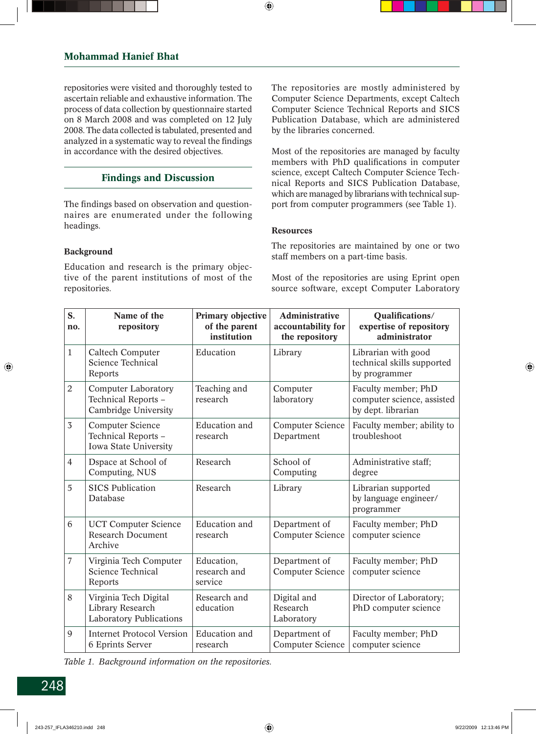# **Mohammad Hanief Bhat**

repositories were visited and thoroughly tested to ascertain reliable and exhaustive information. The process of data collection by questionnaire started on 8 March 2008 and was completed on 12 July 2008. The data collected is tabulated, presented and analyzed in a systematic way to reveal the findings in accordance with the desired objectives.

# **Findings and Discussion**

The findings based on observation and questionnaires are enumerated under the following headings.

## **Background**

Education and research is the primary objective of the parent institutions of most of the repositories.

The repositories are mostly administered by Computer Science Departments, except Caltech Computer Science Technical Reports and SICS Publication Database, which are administered by the libraries concerned.

Most of the repositories are managed by faculty members with PhD qualifications in computer science, except Caltech Computer Science Technical Reports and SICS Publication Database, which are managed by librarians with technical support from computer programmers (see Table 1).

#### **Resources**

The repositories are maintained by one or two staff members on a part-time basis.

Most of the repositories are using Eprint open source software, except Computer Laboratory

| S.<br>no.      | Name of the<br>repository                                                        | <b>Primary objective</b><br>of the parent<br>institution | <b>Administrative</b><br>accountability for<br>the repository | Qualifications/<br>expertise of repository<br>administrator             |
|----------------|----------------------------------------------------------------------------------|----------------------------------------------------------|---------------------------------------------------------------|-------------------------------------------------------------------------|
| $\mathbf{1}$   | <b>Caltech Computer</b><br>Science Technical<br>Reports                          | Education                                                | Library                                                       | Librarian with good<br>technical skills supported<br>by programmer      |
| $\mathbf{2}$   | <b>Computer Laboratory</b><br>Technical Reports -<br><b>Cambridge University</b> | Teaching and<br>research                                 | Computer<br>laboratory                                        | Faculty member; PhD<br>computer science, assisted<br>by dept. librarian |
| $\overline{3}$ | <b>Computer Science</b><br>Technical Reports -<br>Iowa State University          | <b>Education</b> and<br>research                         | <b>Computer Science</b><br>Department                         | Faculty member; ability to<br>troubleshoot                              |
| $\overline{4}$ | Dspace at School of<br>Computing, NUS                                            | Research                                                 | School of<br>Computing                                        | Administrative staff;<br>degree                                         |
| 5              | <b>SICS Publication</b><br>Database                                              | Research                                                 | Library                                                       | Librarian supported<br>by language engineer/<br>programmer              |
| 6              | <b>UCT Computer Science</b><br><b>Research Document</b><br>Archive               | <b>Education</b> and<br>research                         | Department of<br><b>Computer Science</b>                      | Faculty member; PhD<br>computer science                                 |
| 7              | Virginia Tech Computer<br>Science Technical<br>Reports                           | Education,<br>research and<br>service                    | Department of<br><b>Computer Science</b>                      | Faculty member; PhD<br>computer science                                 |
| 8              | Virginia Tech Digital<br>Library Research<br><b>Laboratory Publications</b>      | Research and<br>education                                | Digital and<br>Research<br>Laboratory                         | Director of Laboratory;<br>PhD computer science                         |
| $\overline{9}$ | <b>Internet Protocol Version</b><br>6 Eprints Server                             | <b>Education</b> and<br>research                         | Department of<br><b>Computer Science</b>                      | Faculty member; PhD<br>computer science                                 |

*Table 1. Background information on the repositories.*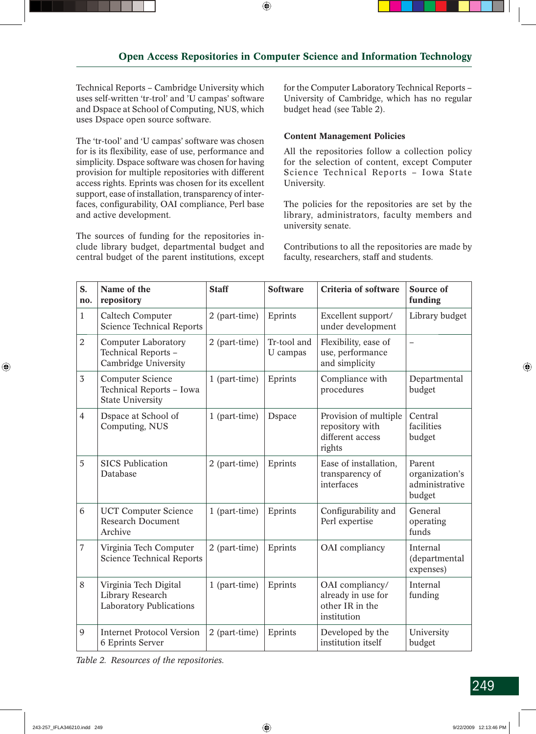Technical Reports – Cambridge University which uses self-written 'tr-trol' and 'U campas' software and Dspace at School of Computing, NUS, which uses Dspace open source software.

The 'tr-tool' and 'U campas' software was chosen for is its flexibility, ease of use, performance and simplicity. Dspace software was chosen for having provision for multiple repositories with different access rights. Eprints was chosen for its excellent support, ease of installation, transparency of interfaces, configurability, OAI compliance, Perl base and active development.

The sources of funding for the repositories include library budget, departmental budget and central budget of the parent institutions, except for the Computer Laboratory Technical Reports – University of Cambridge, which has no regular budget head (see Table 2).

# **Content Management Policies**

All the repositories follow a collection policy for the selection of content, except Computer Science Technical Reports – Iowa State University.

The policies for the repositories are set by the library, administrators, faculty members and university senate.

Contributions to all the repositories are made by faculty, researchers, staff and students.

| S.<br>no.      | Name of the<br>repository                                                      | <b>Staff</b>  | <b>Software</b>         | <b>Criteria of software</b>                                             | Source of<br>funding                                 |
|----------------|--------------------------------------------------------------------------------|---------------|-------------------------|-------------------------------------------------------------------------|------------------------------------------------------|
| $\mathbf{1}$   | Caltech Computer<br><b>Science Technical Reports</b>                           | 2 (part-time) | Eprints                 | Excellent support/<br>under development                                 | Library budget                                       |
| $\overline{2}$ | <b>Computer Laboratory</b><br>Technical Reports -<br>Cambridge University      | 2 (part-time) | Tr-tool and<br>U campas | Flexibility, ease of<br>use, performance<br>and simplicity              | $\overline{\phantom{0}}$                             |
| $\overline{3}$ | <b>Computer Science</b><br>Technical Reports - Iowa<br><b>State University</b> | 1 (part-time) | Eprints                 | Compliance with<br>procedures                                           | Departmental<br>budget                               |
| $\overline{4}$ | Dspace at School of<br>Computing, NUS                                          | 1 (part-time) | <b>D</b> space          | Provision of multiple<br>repository with<br>different access<br>rights  | Central<br>facilities<br>budget                      |
| 5              | <b>SICS Publication</b><br>Database                                            | 2 (part-time) | Eprints                 | Ease of installation,<br>transparency of<br>interfaces                  | Parent<br>organization's<br>administrative<br>budget |
| 6              | <b>UCT Computer Science</b><br><b>Research Document</b><br>Archive             | 1 (part-time) | Eprints                 | Configurability and<br>Perl expertise                                   | General<br>operating<br>funds                        |
| $\overline{7}$ | Virginia Tech Computer<br><b>Science Technical Reports</b>                     | 2 (part-time) | Eprints                 | OAI compliancy                                                          | Internal<br>(departmental<br>expenses)               |
| 8              | Virginia Tech Digital<br>Library Research<br><b>Laboratory Publications</b>    | 1 (part-time) | Eprints                 | OAI compliancy/<br>already in use for<br>other IR in the<br>institution | Internal<br>funding                                  |
| 9              | <b>Internet Protocol Version</b><br>6 Eprints Server                           | 2 (part-time) | Eprints                 | Developed by the<br>institution itself                                  | University<br>budget                                 |

*Table 2. Resources of the repositories.*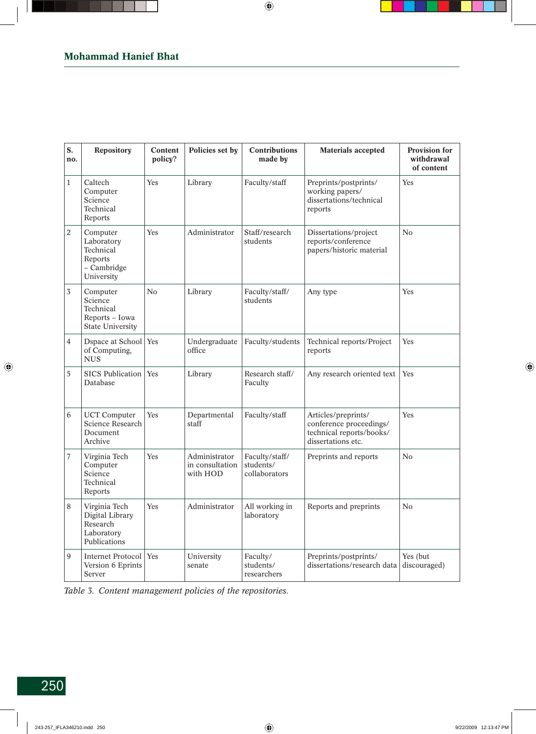| S.<br>no.    | Repository                                                                    | Content<br>policy? | Policies set by                              | <b>Contributions</b><br>made by              | <b>Materials accepted</b>                                                                        | <b>Provision for</b><br>withdrawal<br>of content |
|--------------|-------------------------------------------------------------------------------|--------------------|----------------------------------------------|----------------------------------------------|--------------------------------------------------------------------------------------------------|--------------------------------------------------|
| 1            | Caltech<br>Computer<br>Science<br>Technical<br>Reports                        | Yes                | Library                                      | Faculty/staff                                | Preprints/postprints/<br>working papers/<br>dissertations/technical<br>reports                   | Yes                                              |
| $\mathbf{2}$ | Computer<br>Laboratory<br>Technical<br>Reports<br>- Cambridge<br>University   | Yes                | Administrator                                | Staff/research<br>students                   | Dissertations/project<br>reports/conference<br>papers/historic material                          | N <sub>0</sub>                                   |
| 3            | Computer<br>Science<br>Technical<br>Reports - Iowa<br><b>State University</b> | N <sub>0</sub>     | Library                                      | Faculty/staff/<br>students                   | Any type                                                                                         | Yes                                              |
| 4            | Dspace at School   Yes<br>of Computing,<br><b>NUS</b>                         |                    | Undergraduate<br>office                      | Faculty/students                             | Technical reports/Project<br>reports                                                             | Yes                                              |
| 5            | SICS Publication<br>Database                                                  | Yes                | Library                                      | Research staff/<br>Faculty                   | Any research oriented text                                                                       | Yes                                              |
| 6            | <b>UCT</b> Computer<br>Science Research<br>Document<br>Archive                | Yes                | Departmental<br>staff                        | Faculty/staff                                | Articles/preprints/<br>conference proceedings/<br>technical reports/books/<br>dissertations etc. | Yes                                              |
| 7            | Virginia Tech<br>Computer<br>Science<br>Technical<br>Reports                  | Yes                | Administrator<br>in consultation<br>with HOD | Faculty/staff/<br>students/<br>collaborators | Preprints and reports                                                                            | No                                               |
| 8            | Virginia Tech<br>Digital Library<br>Research<br>Laboratory<br>Publications    | Yes                | Administrator                                | All working in<br>laboratory                 | Reports and preprints                                                                            | No                                               |
| 9            | Internet Protocol<br>Version 6 Eprints<br>Server                              | Yes                | University<br>senate                         | Faculty/<br>students/<br>researchers         | Preprints/postprints/<br>dissertations/research data                                             | Yes (but<br>discouraged)                         |

*Table 3. Content management policies of the repositories.*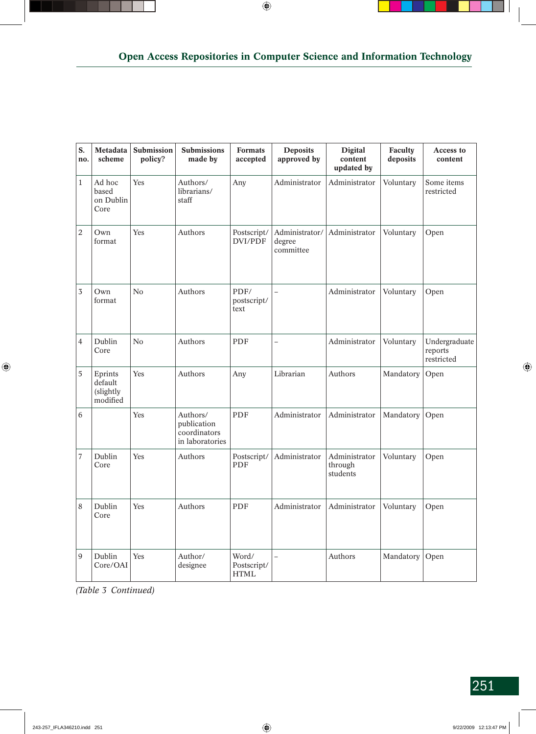| S.<br>no.      | Metadata<br>scheme                          | Submission<br>policy? | <b>Submissions</b><br>made by                              | <b>Formats</b><br>accepted          | <b>Deposits</b><br>approved by        | <b>Digital</b><br>content<br>updated by | Faculty<br>deposits | Access to<br>content                   |
|----------------|---------------------------------------------|-----------------------|------------------------------------------------------------|-------------------------------------|---------------------------------------|-----------------------------------------|---------------------|----------------------------------------|
| $\mathbf{1}$   | Ad hoc<br>based<br>on Dublin<br>Core        | Yes                   | Authors/<br>librarians/<br>staff                           | Any                                 | Administrator                         | Administrator                           | Voluntary           | Some items<br>restricted               |
| $\overline{2}$ | Own<br>format                               | Yes                   | Authors                                                    | Postscript/<br>DVI/PDF              | Administrator/<br>degree<br>committee | Administrator                           | Voluntary           | Open                                   |
| 3              | Own<br>format                               | N <sub>0</sub>        | Authors                                                    | PDF/<br>postscript/<br>text         | $\qquad \qquad -$                     | Administrator                           | Voluntary           | Open                                   |
| 4              | Dublin<br>Core                              | N <sub>o</sub>        | Authors                                                    | PDF                                 | $\overline{\phantom{0}}$              | Administrator                           | Voluntary           | Undergraduate<br>reports<br>restricted |
| 5              | Eprints<br>default<br>(slightly<br>modified | Yes                   | Authors                                                    | Any                                 | Librarian                             | Authors                                 | Mandatory           | Open                                   |
| 6              |                                             | Yes                   | Authors/<br>publication<br>coordinators<br>in laboratories | PDF                                 | Administrator                         | Administrator                           | Mandatory           | Open                                   |
| 7              | Dublin<br>Core                              | Yes                   | Authors                                                    | Postscript/<br>PDF                  | Administrator                         | Administrator<br>through<br>students    | Voluntary           | Open                                   |
| $\,8\,$        | Dublin<br>Core                              | Yes                   | Authors                                                    | PDF                                 | Administrator                         | Administrator   Voluntary               |                     | Open                                   |
| $\mathsf{9}$   | Dublin<br>Core/OAI                          | Yes                   | Author/<br>designee                                        | Word/<br>Postscript/<br><b>HTML</b> |                                       | Authors                                 | Mandatory           | Open                                   |

*(Table 3 Continued)*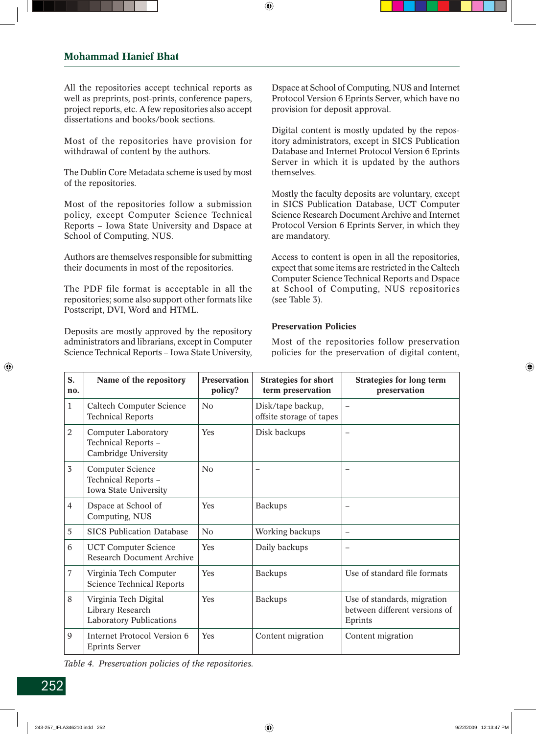All the repositories accept technical reports as well as preprints, post-prints, conference papers, project reports, etc. A few repositories also accept dissertations and books/book sections.

Most of the repositories have provision for withdrawal of content by the authors.

The Dublin Core Metadata scheme is used by most of the repositories.

Most of the repositories follow a submission policy, except Computer Science Technical Reports – Iowa State University and Dspace at School of Computing, NUS.

Authors are themselves responsible for submitting their documents in most of the repositories.

The PDF file format is acceptable in all the repositories; some also support other formats like Postscript, DVI, Word and HTML.

Deposits are mostly approved by the repository administrators and librarians, except in Computer Science Technical Reports – Iowa State University, Dspace at School of Computing, NUS and Internet Protocol Version 6 Eprints Server, which have no provision for deposit approval.

Digital content is mostly updated by the repository administrators, except in SICS Publication Database and Internet Protocol Version 6 Eprints Server in which it is updated by the authors themselves.

Mostly the faculty deposits are voluntary, except in SICS Publication Database, UCT Computer Science Research Document Archive and Internet Protocol Version 6 Eprints Server, in which they are mandatory.

Access to content is open in all the repositories, expect that some items are restricted in the Caltech Computer Science Technical Reports and Dspace at School of Computing, NUS repositories (see Table 3).

# **Preservation Policies**

Most of the repositories follow preservation policies for the preservation of digital content,

| S.<br>no.      | Name of the repository                                                      | <b>Preservation</b><br>policy? | <b>Strategies for short</b><br>term preservation | <b>Strategies for long term</b><br>preservation                         |
|----------------|-----------------------------------------------------------------------------|--------------------------------|--------------------------------------------------|-------------------------------------------------------------------------|
| $\mathbf{1}$   | <b>Caltech Computer Science</b><br><b>Technical Reports</b>                 | N <sub>o</sub>                 | Disk/tape backup,<br>offsite storage of tapes    | $\overline{\phantom{m}}$                                                |
| $\overline{2}$ | <b>Computer Laboratory</b><br>Technical Reports -<br>Cambridge University   | Yes                            | Disk backups                                     | $\overline{\phantom{0}}$                                                |
| $\overline{3}$ | <b>Computer Science</b><br>Technical Reports -<br>Iowa State University     | $\rm No$                       |                                                  |                                                                         |
| $\overline{4}$ | Dspace at School of<br>Computing, NUS                                       | Yes                            | <b>Backups</b>                                   |                                                                         |
| 5              | <b>SICS Publication Database</b>                                            | No                             | Working backups                                  | $\overline{\phantom{m}}$                                                |
| 6              | <b>UCT Computer Science</b><br><b>Research Document Archive</b>             | Yes                            | Daily backups                                    | $\qquad \qquad -$                                                       |
| 7              | Virginia Tech Computer<br><b>Science Technical Reports</b>                  | Yes                            | <b>Backups</b>                                   | Use of standard file formats                                            |
| 8              | Virginia Tech Digital<br>Library Research<br><b>Laboratory Publications</b> | Yes                            | <b>Backups</b>                                   | Use of standards, migration<br>between different versions of<br>Eprints |
| 9              | Internet Protocol Version 6<br><b>Eprints Server</b>                        | Yes                            | Content migration                                | Content migration                                                       |

*Table 4. Preservation policies of the repositories.*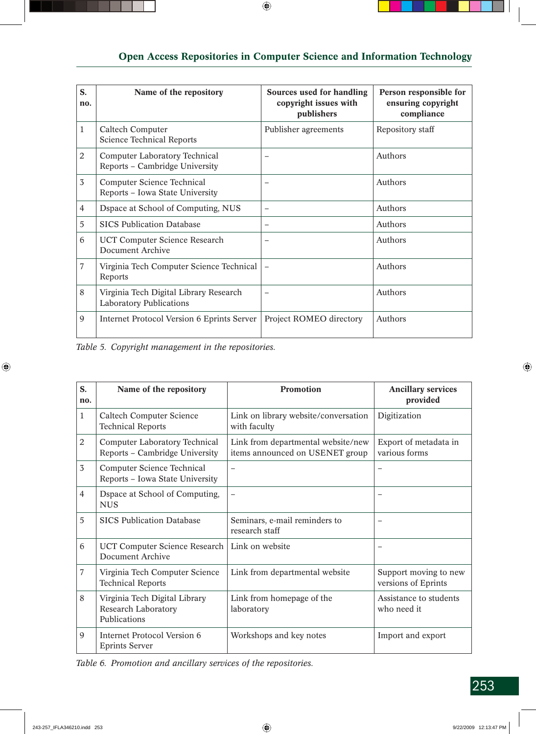| S.<br>no.      | Name of the repository                                                   | Sources used for handling<br>copyright issues with<br>publishers | Person responsible for<br>ensuring copyright<br>compliance |
|----------------|--------------------------------------------------------------------------|------------------------------------------------------------------|------------------------------------------------------------|
| $\mathbf{1}$   | Caltech Computer<br><b>Science Technical Reports</b>                     | Publisher agreements                                             | Repository staff                                           |
| 2              | <b>Computer Laboratory Technical</b><br>Reports - Cambridge University   |                                                                  | Authors                                                    |
| 3              | <b>Computer Science Technical</b><br>Reports - Iowa State University     |                                                                  | Authors                                                    |
| $\overline{4}$ | Dspace at School of Computing, NUS                                       | -                                                                | <b>Authors</b>                                             |
| 5              | <b>SICS Publication Database</b>                                         |                                                                  | <b>Authors</b>                                             |
| 6              | <b>UCT Computer Science Research</b><br><b>Document Archive</b>          |                                                                  | Authors                                                    |
| 7              | Virginia Tech Computer Science Technical<br>Reports                      | $\qquad \qquad -$                                                | Authors                                                    |
| 8              | Virginia Tech Digital Library Research<br><b>Laboratory Publications</b> |                                                                  | <b>Authors</b>                                             |
| 9              | Internet Protocol Version 6 Eprints Server                               | Project ROMEO directory                                          | Authors                                                    |

*Table 5. Copyright management in the repositories.*

| S.<br>no.      | Name of the repository                                                      | <b>Promotion</b>                                                      | <b>Ancillary services</b><br>provided        |
|----------------|-----------------------------------------------------------------------------|-----------------------------------------------------------------------|----------------------------------------------|
| $\mathbf{1}$   | <b>Caltech Computer Science</b><br><b>Technical Reports</b>                 | Link on library website/conversation<br>with faculty                  | Digitization                                 |
| $\overline{2}$ | <b>Computer Laboratory Technical</b><br>Reports - Cambridge University      | Link from departmental website/new<br>items announced on USENET group | Export of metadata in<br>various forms       |
| $\overline{3}$ | <b>Computer Science Technical</b><br>Reports - Iowa State University        | $\overline{\phantom{0}}$                                              |                                              |
| $\overline{4}$ | Dspace at School of Computing,<br><b>NUS</b>                                | $\overline{\phantom{0}}$                                              | $\qquad \qquad -$                            |
| 5              | <b>SICS Publication Database</b>                                            | Seminars, e-mail reminders to<br>research staff                       |                                              |
| 6              | <b>UCT Computer Science Research</b><br>Document Archive                    | Link on website                                                       |                                              |
| $\overline{7}$ | Virginia Tech Computer Science<br><b>Technical Reports</b>                  | Link from departmental website                                        | Support moving to new<br>versions of Eprints |
| 8              | Virginia Tech Digital Library<br><b>Research Laboratory</b><br>Publications | Link from homepage of the<br>laboratory                               | Assistance to students<br>who need it        |
| 9              | Internet Protocol Version 6<br><b>Eprints Server</b>                        | Workshops and key notes                                               | Import and export                            |

*Table 6. Promotion and ancillary services of the repositories.*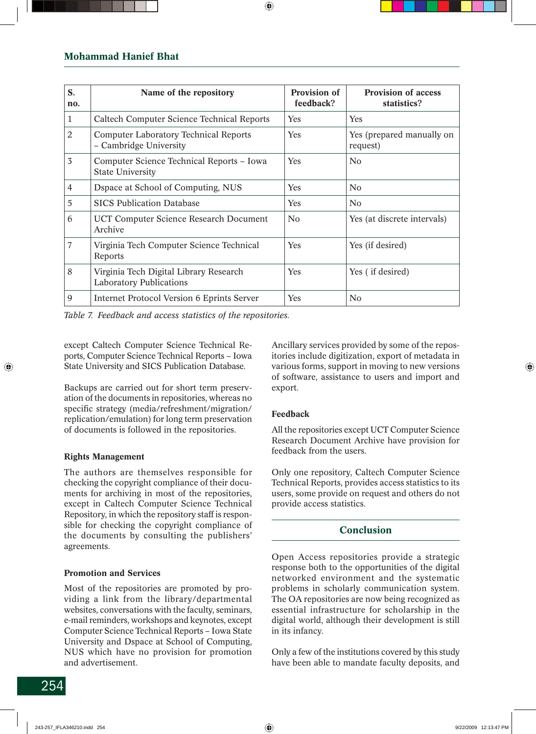# **Mohammad Hanief Bhat**

| S.<br>no.      | Name of the repository                                                   | <b>Provision of</b><br>feedback? | <b>Provision of access</b><br>statistics? |
|----------------|--------------------------------------------------------------------------|----------------------------------|-------------------------------------------|
| 1              | <b>Caltech Computer Science Technical Reports</b>                        | Yes                              | Yes                                       |
| $\overline{2}$ | <b>Computer Laboratory Technical Reports</b><br>- Cambridge University   | <b>Yes</b>                       | Yes (prepared manually on<br>request)     |
| $\overline{3}$ | Computer Science Technical Reports - Iowa<br><b>State University</b>     | <b>Yes</b>                       | N <sub>0</sub>                            |
| $\overline{4}$ | Dspace at School of Computing, NUS                                       | Yes                              | N <sub>0</sub>                            |
| 5              | <b>SICS Publication Database</b>                                         | Yes                              | N <sub>0</sub>                            |
| 6              | UCT Computer Science Research Document<br>Archive                        | N <sub>0</sub>                   | Yes (at discrete intervals)               |
| 7              | Virginia Tech Computer Science Technical<br>Reports                      | <b>Yes</b>                       | Yes (if desired)                          |
| 8              | Virginia Tech Digital Library Research<br><b>Laboratory Publications</b> | Yes                              | Yes (if desired)                          |
| 9              | Internet Protocol Version 6 Eprints Server                               | Yes                              | N <sub>0</sub>                            |

*Table 7. Feedback and access statistics of the repositories.*

except Caltech Computer Science Technical Reports, Computer Science Technical Reports – Iowa State University and SICS Publication Database.

Backups are carried out for short term preservation of the documents in repositories, whereas no specific strategy (media/refreshment/migration/ replication/emulation) for long term preservation of documents is followed in the repositories.

# **Rights Management**

The authors are themselves responsible for checking the copyright compliance of their documents for archiving in most of the repositories, except in Caltech Computer Science Technical Repository, in which the repository staff is responsible for checking the copyright compliance of the documents by consulting the publishers' agreements.

# **Promotion and Services**

Most of the repositories are promoted by providing a link from the library/departmental websites, conversations with the faculty, seminars, e-mail reminders, workshops and keynotes, except Computer Science Technical Reports – Iowa State University and Dspace at School of Computing, NUS which have no provision for promotion and advertisement.

Ancillary services provided by some of the repositories include digitization, export of metadata in various forms, support in moving to new versions of software, assistance to users and import and export.

# **Feedback**

All the repositories except UCT Computer Science Research Document Archive have provision for feedback from the users.

Only one repository, Caltech Computer Science Technical Reports, provides access statistics to its users, some provide on request and others do not provide access statistics.

# **Conclusion**

Open Access repositories provide a strategic response both to the opportunities of the digital networked environment and the systematic problems in scholarly communication system. The OA repositories are now being recognized as essential infrastructure for scholarship in the digital world, although their development is still in its infancy.

Only a few of the institutions covered by this study have been able to mandate faculty deposits, and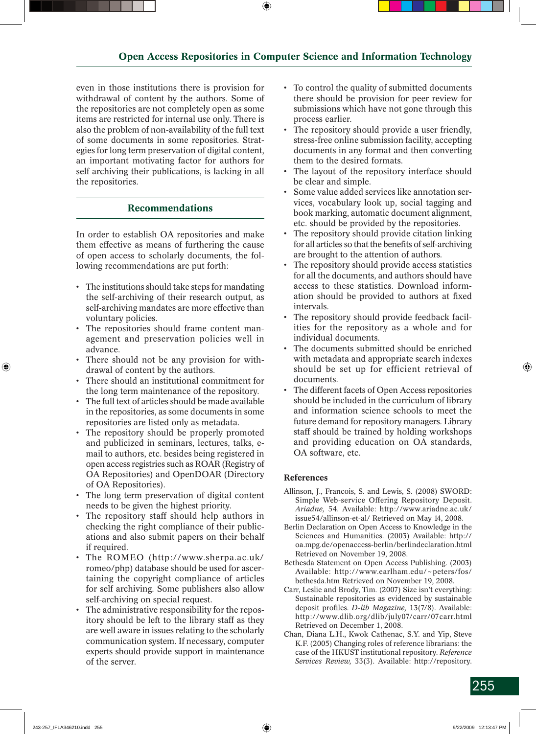even in those institutions there is provision for withdrawal of content by the authors. Some of the repositories are not completely open as some items are restricted for internal use only. There is also the problem of non-availability of the full text of some documents in some repositories. Strategies for long term preservation of digital content, an important motivating factor for authors for self archiving their publications, is lacking in all the repositories.

# **Recommendations**

In order to establish OA repositories and make them effective as means of furthering the cause of open access to scholarly documents, the following recommendations are put forth:

- The institutions should take steps for mandating the self-archiving of their research output, as self-archiving mandates are more effective than voluntary policies.
- The repositories should frame content management and preservation policies well in advance.
- There should not be any provision for withdrawal of content by the authors.
- There should an institutional commitment for the long term maintenance of the repository.
- The full text of articles should be made available in the repositories, as some documents in some repositories are listed only as metadata.
- The repository should be properly promoted and publicized in seminars, lectures, talks, email to authors, etc. besides being registered in open access registries such as ROAR (Registry of OA Repositories) and OpenDOAR (Directory of OA Repositories).
- The long term preservation of digital content needs to be given the highest priority.
- The repository staff should help authors in checking the right compliance of their publications and also submit papers on their behalf if required.
- The ROMEO (http://www.sherpa.ac.uk/ romeo/php) database should be used for ascertaining the copyright compliance of articles for self archiving. Some publishers also allow self-archiving on special request.
- The administrative responsibility for the repository should be left to the library staff as they are well aware in issues relating to the scholarly communication system. If necessary, computer experts should provide support in maintenance of the server.
- To control the quality of submitted documents there should be provision for peer review for submissions which have not gone through this process earlier.
- The repository should provide a user friendly, stress-free online submission facility, accepting documents in any format and then converting them to the desired formats.
- The layout of the repository interface should be clear and simple.
- Some value added services like annotation services, vocabulary look up, social tagging and book marking, automatic document alignment, etc. should be provided by the repositories.
- The repository should provide citation linking for all articles so that the benefits of self-archiving are brought to the attention of authors.
- The repository should provide access statistics for all the documents, and authors should have access to these statistics. Download information should be provided to authors at fixed intervals.
- The repository should provide feedback facilities for the repository as a whole and for individual documents.
- The documents submitted should be enriched with metadata and appropriate search indexes should be set up for efficient retrieval of documents.
- The different facets of Open Access repositories should be included in the curriculum of library and information science schools to meet the future demand for repository managers. Library staff should be trained by holding workshops and providing education on OA standards, OA software, etc.

# **References**

- Allinson, J., Francois, S. and Lewis, S. (2008) SWORD: Simple Web-service Offering Repository Deposit. *Ariadne,* 54. Available: http://www.ariadne.ac.uk/ issue54/allinson-et-al/ Retrieved on May 14, 2008.
- Berlin Declaration on Open Access to Knowledge in the Sciences and Humanities. (2003) Available: http:// oa.mpg.de/openaccess-berlin/berlindeclaration.html Retrieved on November 19, 2008.
- Bethesda Statement on Open Access Publishing. (2003) Available: http://www.earlham.edu/~peters/fos/ bethesda.htm Retrieved on November 19, 2008.
- Carr, Leslie and Brody, Tim. (2007) Size isn't everything: Sustainable repositories as evidenced by sustainable deposit profiles. *D-lib Magazine*, 13(7/8). Available: http://www.dlib.org/dlib/july07/carr/07carr.html Retrieved on December 1, 2008.
- Chan, Diana L.H., Kwok Cathenac, S.Y. and Yip, Steve K.F. (2005) Changing roles of reference librarians: the case of the HKUST institutional repository. *Reference Services Review,* 33(3). Available: http://repository.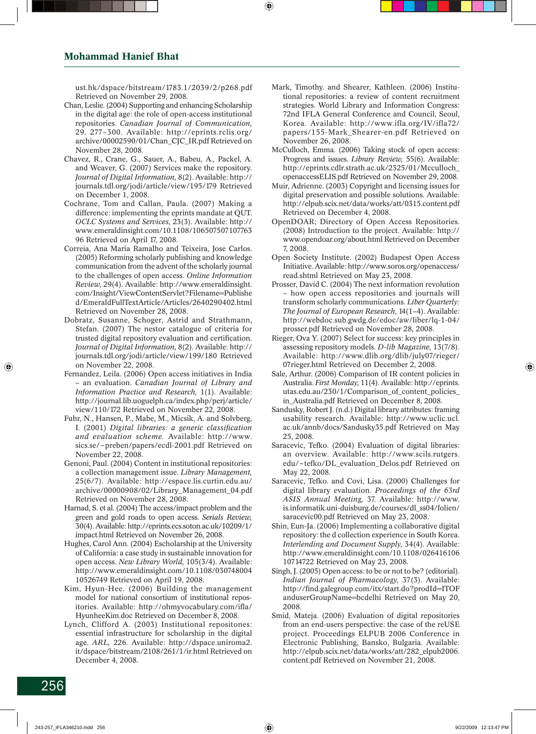ust.hk/dspace/bitstream/1783.1/2039/2/p268.pdf Retrieved on November 29, 2008.

- Chan, Leslie. (2004) Supporting and enhancing Scholarship in the digital age: the role of open-access institutional repositories. *Canadian Journal of Communication,*  29. 277–300. Available: http://eprints.rclis.org/ archive/00002590/01/Chan\_CJC\_IR.pdf Retrieved on November 28, 2008.
- Chavez, R., Crane, G., Sauer, A., Babeu, A., Packel, A. and Weaver, G. (2007) Services make the repository. *Journal of Digital Information,* 8(2). Available: http:// journals.tdl.org/jodi/article/view/195/179 Retrieved on December 1, 2008.
- Cochrane, Tom and Callan, Paula. (2007) Making a difference: implementing the eprints mandate at QUT. *OCLC Systems and Services,* 23(3). Available: http:// www.emeraldinsight.com/10.1108/106507507107763 96 Retrieved on April 17, 2008.
- Correia, Ana Maria Ramalho and Teixeira, Jose Carlos. (2005) Reforming scholarly publishing and knowledge communication from the advent of the scholarly journal to the challenges of open access. *Online Information Review,* 29(4). Available: http://www.emeraldinsight. com/Insight/ViewContentServlet?Filename=Publishe d/EmeraldFullTextArticle/Articles/2640290402.html Retrieved on November 28, 2008.
- Dobratz, Susanne, Schoger, Astrid and Strathmann, Stefan. (2007) The nestor catalogue of criteria for trusted digital repository evaluation and certification. *Journal of Digital Information,* 8(2). Available: http:// journals.tdl.org/jodi/article/view/199/180 Retrieved on November 22, 2008.
- Fernandez, Leila. (2006) Open access initiatives in India – an evaluation. *Canadian Journal of Library and Information Practice and Research,* 1(1). Available: http://journal.lib.uoguelph.ca/index.php/perj/article/ view/110/172 Retrieved on November 22, 2008.
- Fuhr, N., Hansen, P., Mabe, M., Micsik, A. and Solvberg, I. (2001) *Digital libraries: a generic classification and evaluation scheme.* Available: http://www. sics.se/~preben/papers/ecdl-2001.pdf Retrieved on November 22, 2008.
- Genoni, Paul. (2004) Content in institutional repositories: a collection management issue. *Library Management,*  25(6/7). Available: http://espace.lis.curtin.edu.au/ archive/00000908/02/Library\_Management\_04.pdf Retrieved on November 28, 2008.
- Harnad, S. et al. (2004) The access/impact problem and the green and gold roads to open access. *Serials Review,*  30(4). Available: http://eprints.ecs.soton.ac.uk/10209/1/ impact.html Retrieved on November 26, 2008.
- Hughes, Carol Ann. (2004) Escholarship at the University of California: a case study in sustainable innovation for open access. *New Library World,* 105(3/4). Available: http://www.emeraldinsight.com/10.1108/030748004 10526749 Retrieved on April 19, 2008.
- Kim, Hyun-Hee. (2006) Building the management model for national consortium of institutional repositories. Available: http://ohmyvocabulary.com/ifla/ HyunheeKim.doc Retrieved on December 8, 2008.
- Lynch, Clifford A. (2003) Institutional repositones: essential infrastructure for scholarship in the digital age. *ARL,* 226. Available: http://dspace.uniroma2. it/dspace/bitstream/2108/261/1/ir.html Retrieved on December 4, 2008.
- Mark, Timothy. and Shearer, Kathleen. (2006) Institutional repositories: a review of content recruitment strategies. World Library and Information Congress: 72nd IFLA General Conference and Council, Seoul, Korea. Available: http://www.ifla.org/IV/ifla72/ papers/155-Mark\_Shearer-en.pdf Retrieved on November 26, 2008.
- McCulloch, Emma. (2006) Taking stock of open access: Progress and issues. *Library Review,* 55(6). Available: http://eprints.cdlr.strath.ac.uk/2325/01/Mcculloch\_ openaccessELIS.pdf Retrieved on November 29, 2008.
- Muir, Adrienne. (2003) Copyright and licensing issues for digital preservation and possible solutions. Available: http://elpub.scix.net/data/works/att/0315.content.pdf Retrieved on December 4, 2008.
- OpenDOAR; Directory of Open Access Repositories. (2008) Introduction to the project. Available: http:// www.opendoar.org/about.html Retrieved on December 7, 2008.
- Open Society Institute. (2002) Budapest Open Access Initiative. Available: http://www.soros.org/openaccess/ read.shtml Retrieved on May 23, 2008.
- Prosser, David C. (2004) The next information revolution – how open access repositories and journals will transform scholarly communications. *Liber Quarterly: The Journal of European Research,* 14(1–4). Available: http://webdoc.sub.gwdg.de/edoc/aw/liber/lq-1-04/ prosser.pdf Retrieved on November 28, 2008.
- Rieger, Ova Y. (2007) Select for success: key principles in assessing repository models. *D-lib Magazine,* 13(7/8). Available: http://www.dlib.org/dlib/july07/rieger/ 07rieger.html Retrieved on December 2, 2008.
- Sale, Arthur. (2006) Comparison of IR content policies in Australia. *First Monday,* 11(4). Available: http://eprints. utas.edu.au/230/1/Comparison\_of\_content\_policies\_ in\_Australia.pdf Retrieved on December 8, 2008.
- Sandusky, Robert J. (n.d.) Digital library attributes: framing usability research. Available: http://www.uclic.ucl. ac.uk/annb/docs/Sandusky35.pdf Retrieved on May 25, 2008.
- Saracevic, Tefko. (2004) Evaluation of digital libraries: an overview. Available: http://www.scils.rutgers. edu/~tefko/DL\_evaluation\_Delos.pdf Retrieved on May 22, 2008.
- Saracevic, Tefko. and Covi, Lisa. (2000) Challenges for digital library evaluation. *Proceedings of the 63rd ASIS Annual Meeting,* 37. Available: http://www. is.informatik.uni-duisburg.de/courses/dl\_ss04/folien/ saracevic00.pdf Retrieved on May 23, 2008.
- Shin, Eun-Ja. (2006) Implementing a collaborative digital repository: the d collection experience in South Korea. *Interlending and Document Supply,* 34(4). Available: http://www.emeraldinsight.com/10.1108/026416106 10714722 Retrieved on May 23, 2008.
- Singh, J. (2005) Open access: to be or not to be? (editorial). *Indian Journal of Pharmacology,* 37(3). Available: http://find.galegroup.com/itx/start.do?prodId=ITOF anduserGroupName=bcdelhi Retrieved on May 20, 2008.
- Smid, Mateja. (2006) Evaluation of digital repositories from an end-users perspective: the case of the reUSE project. Proceedings ELPUB 2006 Conference in Electronic Publishing, Bansko, Bulgaria. Available: http://elpub.scix.net/data/works/att/282\_elpub2006. content.pdf Retrieved on November 21, 2008.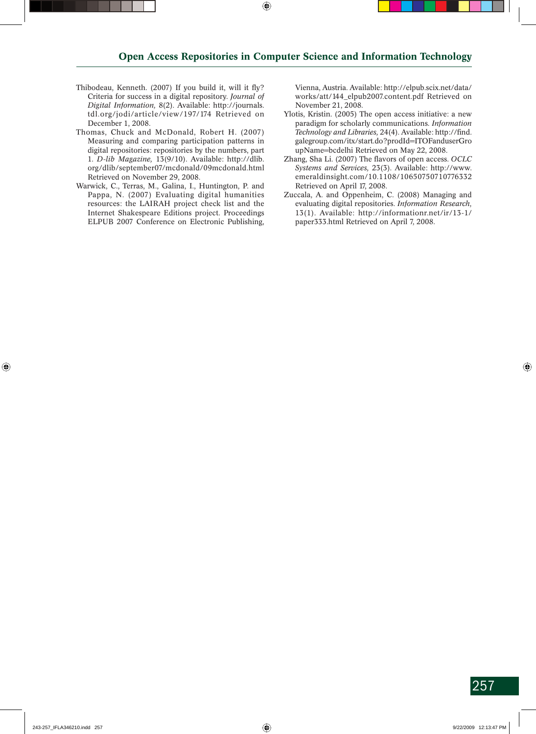- Thibodeau, Kenneth. (2007) If you build it, will it fly? Criteria for success in a digital repository. *Journal of Digital Information,* 8(2). Available: http://journals. tdl.org/jodi/article/view/197/174 Retrieved on December 1, 2008.
- Thomas, Chuck and McDonald, Robert H. (2007) Measuring and comparing participation patterns in digital repositories: repositories by the numbers, part 1. *D-lib Magazine,* 13(9/10). Available: http://dlib. org/dlib/september07/mcdonald/09mcdonald.html Retrieved on November 29, 2008.
- Warwick, C., Terras, M., Galina, I., Huntington, P. and Pappa, N. (2007) Evaluating digital humanities resources: the LAIRAH project check list and the Internet Shakespeare Editions project. Proceedings ELPUB 2007 Conference on Electronic Publishing,

Vienna, Austria. Available: http://elpub.scix.net/data/ works/att/144\_elpub2007.content.pdf Retrieved on November 21, 2008.

- Ylotis, Kristin. (2005) The open access initiative: a new paradigm for scholarly communications. *Information*  Technology and Libraries, 24(4). Available: http://find. galegroup.com/itx/start.do?prodId=ITOFanduserGro upName=bcdelhi Retrieved on May 22, 2008.
- Zhang, Sha Li. (2007) The flavors of open access. *OCLC Systems and Services,* 23(3). Available: http://www. emeraldinsight.com/10.1108/10650750710776332 Retrieved on April 17, 2008.
- Zuccala, A. and Oppenheim, C. (2008) Managing and evaluating digital repositories. *Information Research,*  13(1). Available: http://informationr.net/ir/13-1/ paper333.html Retrieved on April 7, 2008.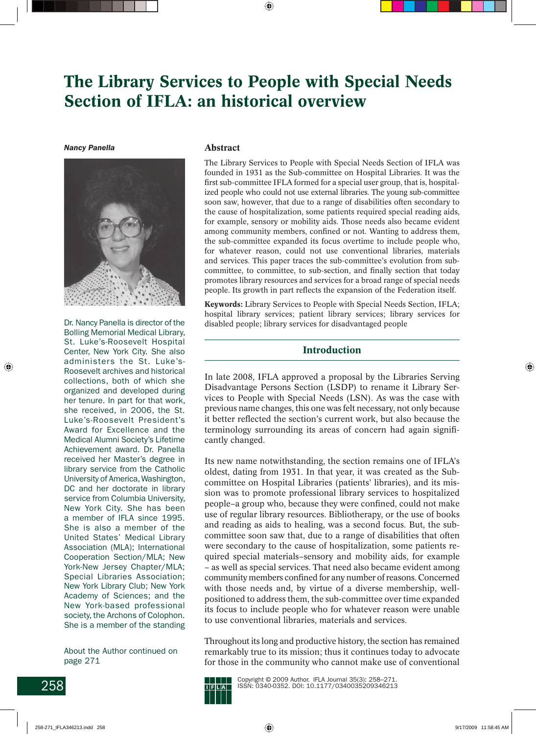# **The Library Services to People with Special Needs Section of IFLA: an historical overview**

*Nancy Panella*



Dr. Nancy Panella is director of the Bolling Memorial Medical Library, St. Luke's-Roosevelt Hospital Center, New York City. She also administers the St. Luke's-Roosevelt archives and historical collections, both of which she organized and developed during her tenure. In part for that work, she received, in 2006, the St. Luke's-Roosevelt President's Award for Excellence and the Medical Alumni Society's Lifetime Achievement award. Dr. Panella received her Master's degree in library service from the Catholic University of America, Washington, DC and her doctorate in library service from Columbia University, New York City. She has been a member of IFLA since 1995. She is also a member of the United States' Medical Library Association (MLA); International Cooperation Section/MLA; New York-New Jersey Chapter/MLA; Special Libraries Association; New York Library Club; New York Academy of Sciences; and the New York-based professional society, the Archons of Colophon. She is a member of the standing

About the Author continued on page 271

#### **Abstract**

The Library Services to People with Special Needs Section of IFLA was founded in 1931 as the Sub-committee on Hospital Libraries. It was the first sub-committee IFLA formed for a special user group, that is, hospitalized people who could not use external libraries. The young sub-committee soon saw, however, that due to a range of disabilities often secondary to the cause of hospitalization, some patients required special reading aids, for example, sensory or mobility aids. Those needs also became evident among community members, confined or not. Wanting to address them, the sub-committee expanded its focus overtime to include people who, for whatever reason, could not use conventional libraries, materials and services. This paper traces the sub-committee's evolution from subcommittee, to committee, to sub-section, and finally section that today promotes library resources and services for a broad range of special needs people. Its growth in part reflects the expansion of the Federation itself.

**Keywords:** Library Services to People with Special Needs Section, IFLA; hospital library services; patient library services; library services for disabled people; library services for disadvantaged people

## **Introduction**

In late 2008, IFLA approved a proposal by the Libraries Serving Disadvantage Persons Section (LSDP) to rename it Library Services to People with Special Needs (LSN). As was the case with previous name changes, this one was felt necessary, not only because it better reflected the section's current work, but also because the terminology surrounding its areas of concern had again significantly changed.

Its new name notwithstanding, the section remains one of IFLA's oldest, dating from 1931. In that year, it was created as the Subcommittee on Hospital Libraries (patients' libraries), and its mission was to promote professional library services to hospitalized people–a group who, because they were confined, could not make use of regular library resources. Bibliotherapy, or the use of books and reading as aids to healing, was a second focus. But, the subcommittee soon saw that, due to a range of disabilities that often were secondary to the cause of hospitalization, some patients required special materials–sensory and mobility aids, for example – as well as special services. That need also became evident among community members confined for any number of reasons. Concerned with those needs and, by virtue of a diverse membership, wellpositioned to address them, the sub-committee over time expanded its focus to include people who for whatever reason were unable to use conventional libraries, materials and services.

Throughout its long and productive history, the section has remained remarkably true to its mission; thus it continues today to advocate for those in the community who cannot make use of conventional



Copyright © 2009 Author. IFLA Journal 35(3): 258–271. **I FLA** ISSN: 0340-0352. DOI: 10.1177/0340035209346213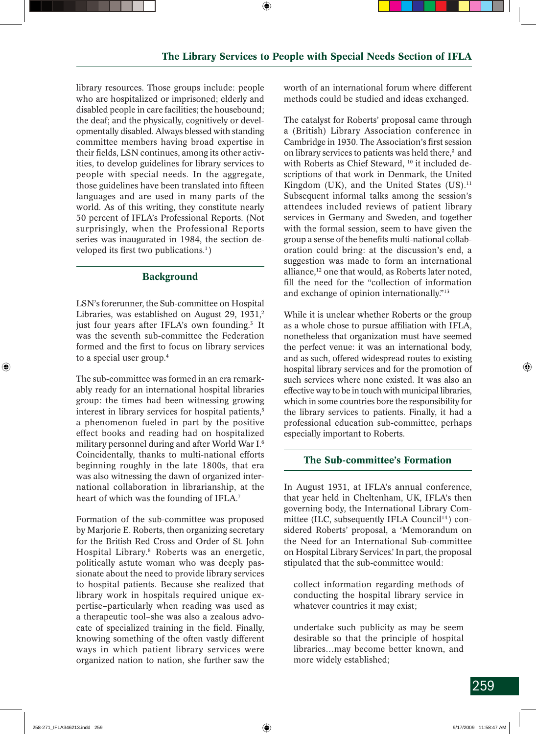library resources. Those groups include: people who are hospitalized or imprisoned; elderly and disabled people in care facilities; the housebound; the deaf; and the physically, cognitively or developmentally disabled. Always blessed with standing committee members having broad expertise in their fields, LSN continues, among its other activities, to develop guidelines for library services to people with special needs. In the aggregate, those guidelines have been translated into fifteen languages and are used in many parts of the world. As of this writing, they constitute nearly 50 percent of IFLA's Professional Reports. (Not surprisingly, when the Professional Reports series was inaugurated in 1984, the section developed its first two publications.<sup>1</sup>)

# **Background**

LSN's forerunner, the Sub-committee on Hospital Libraries, was established on August 29,  $1931$ ,<sup>2</sup> just four years after IFLA's own founding.<sup>3</sup> It was the seventh sub-committee the Federation formed and the first to focus on library services to a special user group.4

The sub-committee was formed in an era remarkably ready for an international hospital libraries group: the times had been witnessing growing interest in library services for hospital patients,<sup>5</sup> a phenomenon fueled in part by the positive effect books and reading had on hospitalized military personnel during and after World War I.6 Coincidentally, thanks to multi-national efforts beginning roughly in the late 1800s, that era was also witnessing the dawn of organized international collaboration in librarianship, at the heart of which was the founding of IFLA.<sup>7</sup>

Formation of the sub-committee was proposed by Marjorie E. Roberts, then organizing secretary for the British Red Cross and Order of St. John Hospital Library.8 Roberts was an energetic, politically astute woman who was deeply passionate about the need to provide library services to hospital patients. Because she realized that library work in hospitals required unique expertise–particularly when reading was used as a therapeutic tool–she was also a zealous advocate of specialized training in the field. Finally, knowing something of the often vastly different ways in which patient library services were organized nation to nation, she further saw the

worth of an international forum where different methods could be studied and ideas exchanged.

The catalyst for Roberts' proposal came through a (British) Library Association conference in Cambridge in 1930. The Association's first session on library services to patients was held there,<sup>9</sup> and with Roberts as Chief Steward, <sup>10</sup> it included descriptions of that work in Denmark, the United Kingdom (UK), and the United States  $(US)^{11}$ Subsequent informal talks among the session's attendees included reviews of patient library services in Germany and Sweden, and together with the formal session, seem to have given the group a sense of the benefits multi-national collaboration could bring: at the discussion's end, a suggestion was made to form an international alliance.<sup>12</sup> one that would, as Roberts later noted. fill the need for the "collection of information and exchange of opinion internationally."13

While it is unclear whether Roberts or the group as a whole chose to pursue affiliation with IFLA, nonetheless that organization must have seemed the perfect venue: it was an international body, and as such, offered widespread routes to existing hospital library services and for the promotion of such services where none existed. It was also an effective way to be in touch with municipal libraries, which in some countries bore the responsibility for the library services to patients. Finally, it had a professional education sub-committee, perhaps especially important to Roberts.

# **The Sub-committee's Formation**

In August 1931, at IFLA's annual conference, that year held in Cheltenham, UK, IFLA's then governing body, the International Library Committee (ILC, subsequently IFLA Council<sup>14</sup>) considered Roberts' proposal, a 'Memorandum on the Need for an International Sub-committee on Hospital Library Services.' In part, the proposal stipulated that the sub-committee would:

collect information regarding methods of conducting the hospital library service in whatever countries it may exist;

undertake such publicity as may be seem desirable so that the principle of hospital libraries…may become better known, and more widely established;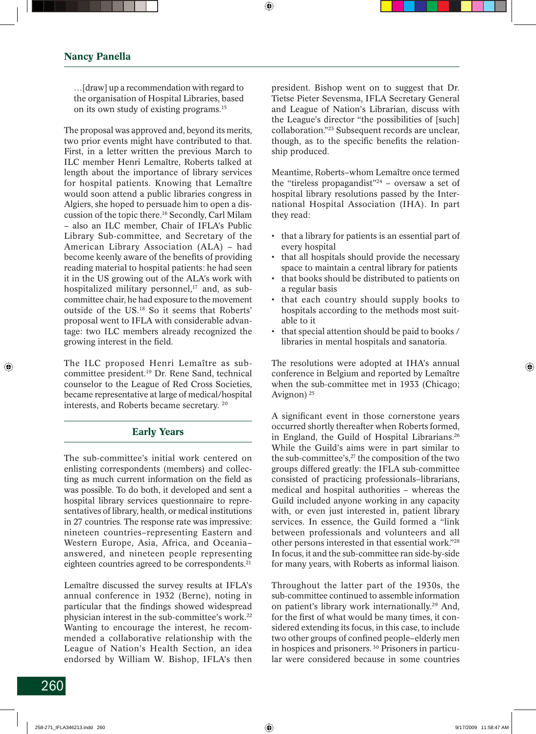…[draw] up a recommendation with regard to the organisation of Hospital Libraries, based on its own study of existing programs.15

The proposal was approved and, beyond its merits, two prior events might have contributed to that. First, in a letter written the previous March to ILC member Henri Lemaître, Roberts talked at length about the importance of library services for hospital patients. Knowing that Lemaître would soon attend a public libraries congress in Algiers, she hoped to persuade him to open a discussion of the topic there.16 Secondly, Carl Milam – also an ILC member, Chair of IFLA's Public Library Sub-committee, and Secretary of the American Library Association (ALA) – had become keenly aware of the benefits of providing reading material to hospital patients: he had seen it in the US growing out of the ALA's work with hospitalized military personnel, $17$  and, as subcommittee chair, he had exposure to the movement outside of the US.18 So it seems that Roberts' proposal went to IFLA with considerable advantage: two ILC members already recognized the growing interest in the field.

The ILC proposed Henri Lemaître as subcommittee president.19 Dr. Rene Sand, technical counselor to the League of Red Cross Societies, became representative at large of medical/hospital interests, and Roberts became secretary. 20

# **Early Years**

The sub-committee's initial work centered on enlisting correspondents (members) and collecting as much current information on the field as was possible. To do both, it developed and sent a hospital library services questionnaire to representatives of library, health, or medical institutions in 27 countries. The response rate was impressive: nineteen countries–representing Eastern and Western Europe, Asia, Africa, and Oceania– answered, and nineteen people representing eighteen countries agreed to be correspondents.<sup>21</sup>

Lemaître discussed the survey results at IFLA's annual conference in 1932 (Berne), noting in particular that the findings showed widespread physician interest in the sub-committee's work.22 Wanting to encourage the interest, he recommended a collaborative relationship with the League of Nation's Health Section, an idea endorsed by William W. Bishop, IFLA's then president. Bishop went on to suggest that Dr. Tietse Pieter Sevensma, IFLA Secretary General and League of Nation's Librarian, discuss with the League's director "the possibilities of [such] collaboration."23 Subsequent records are unclear, though, as to the specific benefits the relationship produced.

Meantime, Roberts–whom Lemaître once termed the "tireless propagandist"24 – oversaw a set of hospital library resolutions passed by the International Hospital Association (IHA). In part they read:

- that a library for patients is an essential part of every hospital
- that all hospitals should provide the necessary space to maintain a central library for patients
- that books should be distributed to patients on a regular basis
- that each country should supply books to hospitals according to the methods most suitable to it
- that special attention should be paid to books / libraries in mental hospitals and sanatoria.

The resolutions were adopted at IHA's annual conference in Belgium and reported by Lemaître when the sub-committee met in 1933 (Chicago; Avignon) 25

A significant event in those cornerstone years occurred shortly thereafter when Roberts formed, in England, the Guild of Hospital Librarians.<sup>26</sup> While the Guild's aims were in part similar to the sub-committee's,<sup>27</sup> the composition of the two groups differed greatly: the IFLA sub-committee consisted of practicing professionals–librarians, medical and hospital authorities – whereas the Guild included anyone working in any capacity with, or even just interested in, patient library services. In essence, the Guild formed a "link between professionals and volunteers and all other persons interested in that essential work."28 In focus, it and the sub-committee ran side-by-side for many years, with Roberts as informal liaison.

Throughout the latter part of the 1930s, the sub-committee continued to assemble information on patient's library work internationally.29 And, for the first of what would be many times, it considered extending its focus, in this case, to include two other groups of confined people–elderly men in hospices and prisoners. 30 Prisoners in particular were considered because in some countries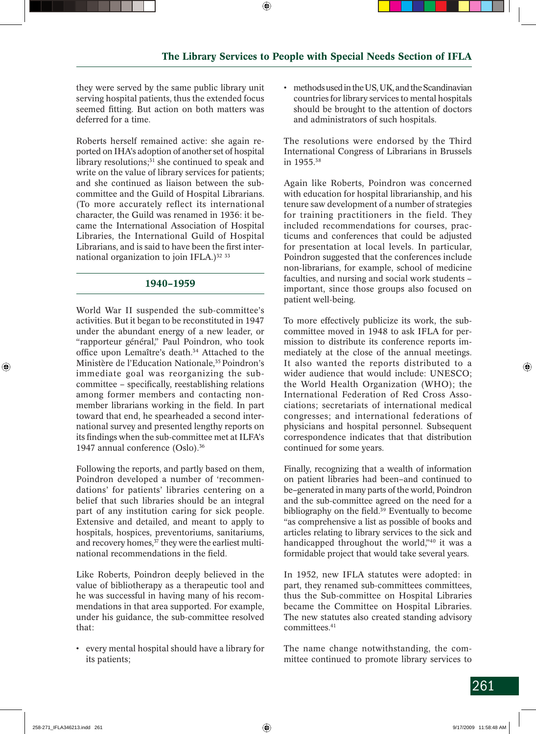they were served by the same public library unit serving hospital patients, thus the extended focus seemed fitting. But action on both matters was deferred for a time.

Roberts herself remained active: she again reported on IHA's adoption of another set of hospital library resolutions; $31$  she continued to speak and write on the value of library services for patients; and she continued as liaison between the subcommittee and the Guild of Hospital Librarians. (To more accurately reflect its international character, the Guild was renamed in 1936: it became the International Association of Hospital Libraries, the International Guild of Hospital Librarians, and is said to have been the first international organization to join IFLA.)<sup>32 33</sup>

# **1940–1959**

World War II suspended the sub-committee's activities. But it began to be reconstituted in 1947 under the abundant energy of a new leader, or "rapporteur général," Paul Poindron, who took office upon Lemaître's death.<sup>34</sup> Attached to the Ministère de l'Education Nationale,<sup>35</sup> Poindron's immediate goal was reorganizing the subcommittee – specifically, reestablishing relations among former members and contacting nonmember librarians working in the field. In part toward that end, he spearheaded a second international survey and presented lengthy reports on its findings when the sub-committee met at ILFA's 1947 annual conference (Oslo).36

Following the reports, and partly based on them, Poindron developed a number of 'recommendations' for patients' libraries centering on a belief that such libraries should be an integral part of any institution caring for sick people. Extensive and detailed, and meant to apply to hospitals, hospices, preventoriums, sanitariums, and recovery homes, $37$  they were the earliest multinational recommendations in the field.

Like Roberts, Poindron deeply believed in the value of bibliotherapy as a therapeutic tool and he was successful in having many of his recommendations in that area supported. For example, under his guidance, the sub-committee resolved that:

• every mental hospital should have a library for its patients;

• methods used in the US, UK, and the Scandinavian countries for library services to mental hospitals should be brought to the attention of doctors and administrators of such hospitals.

The resolutions were endorsed by the Third International Congress of Librarians in Brussels in 1955.38

Again like Roberts, Poindron was concerned with education for hospital librarianship, and his tenure saw development of a number of strategies for training practitioners in the field. They included recommendations for courses, practicums and conferences that could be adjusted for presentation at local levels. In particular, Poindron suggested that the conferences include non-librarians, for example, school of medicine faculties, and nursing and social work students – important, since those groups also focused on patient well-being.

To more effectively publicize its work, the subcommittee moved in 1948 to ask IFLA for permission to distribute its conference reports immediately at the close of the annual meetings. It also wanted the reports distributed to a wider audience that would include: UNESCO; the World Health Organization (WHO); the International Federation of Red Cross Associations; secretariats of international medical congresses; and international federations of physicians and hospital personnel. Subsequent correspondence indicates that that distribution continued for some years.

Finally, recognizing that a wealth of information on patient libraries had been–and continued to be–generated in many parts of the world, Poindron and the sub-committee agreed on the need for a bibliography on the field.<sup>39</sup> Eventually to become "as comprehensive a list as possible of books and articles relating to library services to the sick and handicapped throughout the world,"40 it was a formidable project that would take several years.

In 1952, new IFLA statutes were adopted: in part, they renamed sub-committees committees, thus the Sub-committee on Hospital Libraries became the Committee on Hospital Libraries. The new statutes also created standing advisory committees.41

The name change notwithstanding, the committee continued to promote library services to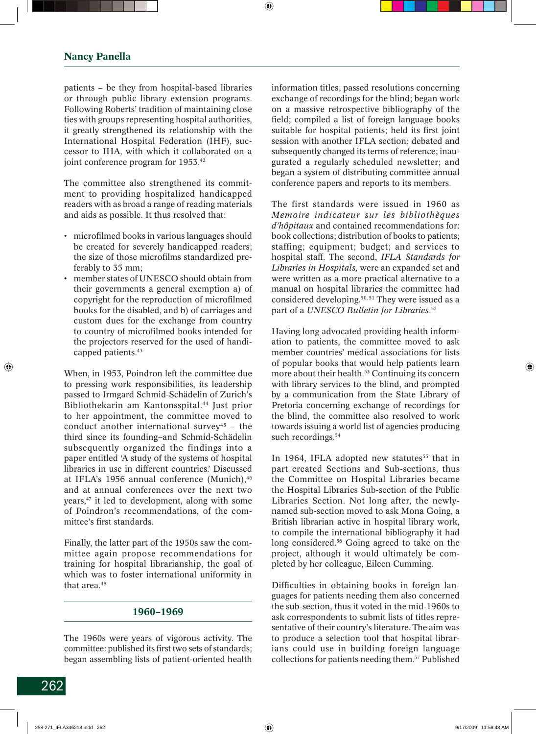patients – be they from hospital-based libraries or through public library extension programs. Following Roberts' tradition of maintaining close ties with groups representing hospital authorities, it greatly strengthened its relationship with the International Hospital Federation (IHF), successor to IHA, with which it collaborated on a joint conference program for 1953.42

The committee also strengthened its commitment to providing hospitalized handicapped readers with as broad a range of reading materials and aids as possible. It thus resolved that:

- microfilmed books in various languages should be created for severely handicapped readers; the size of those microfilms standardized preferably to 35 mm;
- member states of UNESCO should obtain from their governments a general exemption a) of copyright for the reproduction of microfilmed books for the disabled, and b) of carriages and custom dues for the exchange from country to country of microfilmed books intended for the projectors reserved for the used of handicapped patients.43

When, in 1953, Poindron left the committee due to pressing work responsibilities, its leadership passed to Irmgard Schmid-Schädelin of Zurich's Bibliothekarin am Kantonsspital.44 Just prior to her appointment, the committee moved to conduct another international survey<sup>45</sup> – the third since its founding–and Schmid-Schädelin subsequently organized the findings into a paper entitled 'A study of the systems of hospital libraries in use in different countries.' Discussed at IFLA's 1956 annual conference (Munich), 46 and at annual conferences over the next two years,47 it led to development, along with some of Poindron's recommendations, of the committee's first standards.

Finally, the latter part of the 1950s saw the committee again propose recommendations for training for hospital librarianship, the goal of which was to foster international uniformity in that area.<sup>48</sup>

## **1960–1969**

The 1960s were years of vigorous activity. The committee: published its first two sets of standards; began assembling lists of patient-oriented health information titles; passed resolutions concerning exchange of recordings for the blind; began work on a massive retrospective bibliography of the field; compiled a list of foreign language books suitable for hospital patients; held its first joint session with another IFLA section; debated and subsequently changed its terms of reference; inaugurated a regularly scheduled newsletter; and began a system of distributing committee annual conference papers and reports to its members.

The first standards were issued in 1960 as *Memoire indicateur sur les bibliothèques d'hôpitaux* and contained recommendations for: book collections; distribution of books to patients; staffing; equipment; budget; and services to hospital staff. The second, *IFLA Standards for Libraries in Hospitals,* were an expanded set and were written as a more practical alternative to a manual on hospital libraries the committee had considered developing.50, 51 They were issued as a part of a *UNESCO Bulletin for Libraries*. 52

Having long advocated providing health information to patients, the committee moved to ask member countries' medical associations for lists of popular books that would help patients learn more about their health.<sup>53</sup> Continuing its concern with library services to the blind, and prompted by a communication from the State Library of Pretoria concerning exchange of recordings for the blind, the committee also resolved to work towards issuing a world list of agencies producing such recordings.<sup>54</sup>

In 1964, IFLA adopted new statutes<sup>55</sup> that in part created Sections and Sub-sections, thus the Committee on Hospital Libraries became the Hospital Libraries Sub-section of the Public Libraries Section. Not long after, the newlynamed sub-section moved to ask Mona Going, a British librarian active in hospital library work, to compile the international bibliography it had long considered.<sup>56</sup> Going agreed to take on the project, although it would ultimately be completed by her colleague, Eileen Cumming.

Difficulties in obtaining books in foreign languages for patients needing them also concerned the sub-section, thus it voted in the mid-1960s to ask correspondents to submit lists of titles representative of their country's literature. The aim was to produce a selection tool that hospital librarians could use in building foreign language collections for patients needing them.57 Published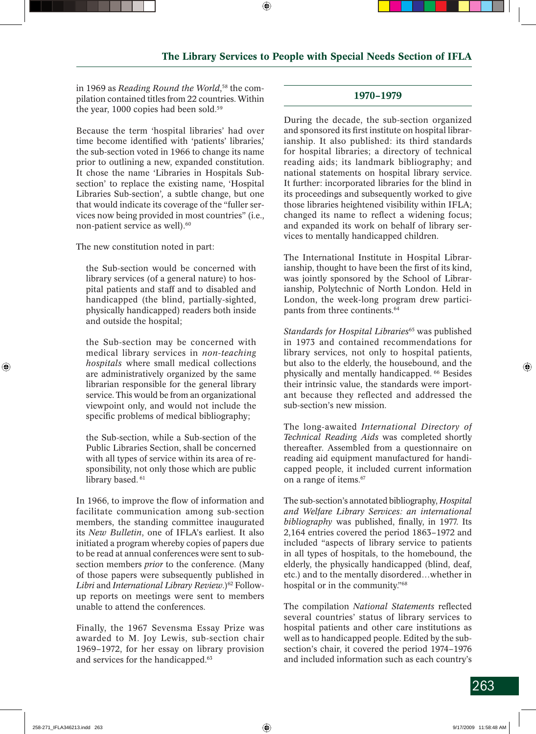in 1969 as *Reading Round the World*, 58 the compilation contained titles from 22 countries. Within the year, 1000 copies had been sold.<sup>59</sup>

Because the term 'hospital libraries' had over time become identified with 'patients' libraries,' the sub-section voted in 1966 to change its name prior to outlining a new, expanded constitution. It chose the name 'Libraries in Hospitals Subsection' to replace the existing name, 'Hospital Libraries Sub-section'*,* a subtle change, but one that would indicate its coverage of the "fuller services now being provided in most countries" (i.e., non-patient service as well).<sup>60</sup>

The new constitution noted in part:

the Sub-section would be concerned with library services (of a general nature) to hospital patients and staff and to disabled and handicapped (the blind, partially-sighted, physically handicapped) readers both inside and outside the hospital;

the Sub-section may be concerned with medical library services in *non-teaching hospitals* where small medical collections are administratively organized by the same librarian responsible for the general library service. This would be from an organizational viewpoint only, and would not include the specific problems of medical bibliography;

the Sub-section, while a Sub-section of the Public Libraries Section, shall be concerned with all types of service within its area of responsibility, not only those which are public library based.<sup>61</sup>

In 1966, to improve the flow of information and facilitate communication among sub-section members, the standing committee inaugurated its *New Bulletin*, one of IFLA's earliest. It also initiated a program whereby copies of papers due to be read at annual conferences were sent to subsection members *prior* to the conference. (Many of those papers were subsequently published in *Libri* and *International Library Review*.)62 Followup reports on meetings were sent to members unable to attend the conferences.

Finally, the 1967 Sevensma Essay Prize was awarded to M. Joy Lewis, sub-section chair 1969–1972, for her essay on library provision and services for the handicapped.63

# **1970–1979**

During the decade, the sub-section organized and sponsored its first institute on hospital librarianship. It also published: its third standards for hospital libraries; a directory of technical reading aids; its landmark bibliography; and national statements on hospital library service. It further: incorporated libraries for the blind in its proceedings and subsequently worked to give those libraries heightened visibility within IFLA; changed its name to reflect a widening focus; and expanded its work on behalf of library services to mentally handicapped children.

The International Institute in Hospital Librarianship, thought to have been the first of its kind, was jointly sponsored by the School of Librarianship, Polytechnic of North London. Held in London, the week-long program drew participants from three continents.64

*Standards for Hospital Libraries*<sup>65</sup> was published in 1973 and contained recommendations for library services, not only to hospital patients, but also to the elderly, the housebound, and the physically and mentally handicapped. 66 Besides their intrinsic value, the standards were important because they reflected and addressed the sub-section's new mission.

The long-awaited *International Directory of Technical Reading Aids* was completed shortly thereafter. Assembled from a questionnaire on reading aid equipment manufactured for handicapped people, it included current information on a range of items.67

The sub-section's annotated bibliography, *Hospital and Welfare Library Services: an international bibliography* was published, finally, in 1977. Its 2,164 entries covered the period 1863–1972 and included "aspects of library service to patients in all types of hospitals, to the homebound, the elderly, the physically handicapped (blind, deaf, etc.) and to the mentally disordered…whether in hospital or in the community."68

The compilation *National Statements* reflected several countries' status of library services to hospital patients and other care institutions as well as to handicapped people. Edited by the subsection's chair, it covered the period 1974–1976 and included information such as each country's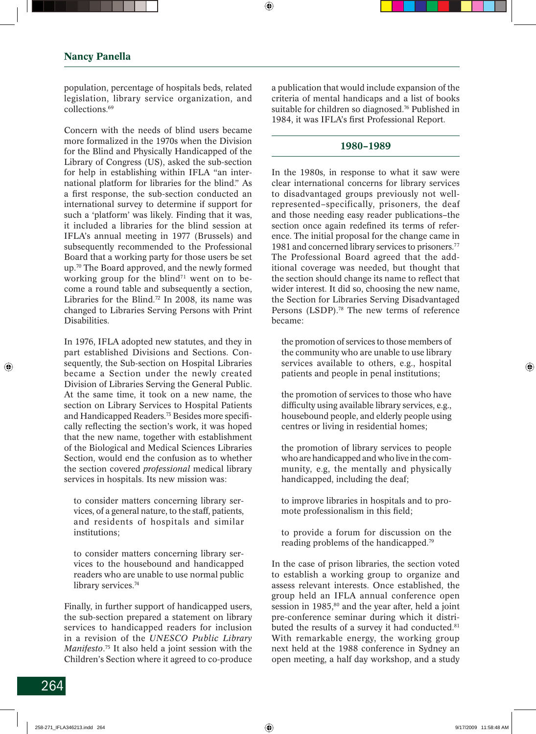population, percentage of hospitals beds, related legislation, library service organization, and collections.69

Concern with the needs of blind users became more formalized in the 1970s when the Division for the Blind and Physically Handicapped of the Library of Congress (US), asked the sub-section for help in establishing within IFLA "an international platform for libraries for the blind." As a first response, the sub-section conducted an international survey to determine if support for such a 'platform' was likely. Finding that it was, it included a libraries for the blind session at IFLA's annual meeting in 1977 (Brussels) and subsequently recommended to the Professional Board that a working party for those users be set up.70 The Board approved, and the newly formed working group for the blind<sup> $71$ </sup> went on to become a round table and subsequently a section, Libraries for the Blind.<sup>72</sup> In 2008, its name was changed to Libraries Serving Persons with Print Disabilities.

In 1976, IFLA adopted new statutes, and they in part established Divisions and Sections. Consequently, the Sub-section on Hospital Libraries became a Section under the newly created Division of Libraries Serving the General Public. At the same time, it took on a new name, the section on Library Services to Hospital Patients and Handicapped Readers.<sup>73</sup> Besides more specifically reflecting the section's work, it was hoped that the new name, together with establishment of the Biological and Medical Sciences Libraries Section, would end the confusion as to whether the section covered *professional* medical library services in hospitals. Its new mission was:

to consider matters concerning library services, of a general nature, to the staff, patients, and residents of hospitals and similar institutions;

to consider matters concerning library services to the housebound and handicapped readers who are unable to use normal public library services.<sup>74</sup>

Finally, in further support of handicapped users, the sub-section prepared a statement on library services to handicapped readers for inclusion in a revision of the *UNESCO Public Library Manifesto*. 75 It also held a joint session with the Children's Section where it agreed to co-produce

a publication that would include expansion of the criteria of mental handicaps and a list of books suitable for children so diagnosed.<sup>76</sup> Published in 1984, it was IFLA's first Professional Report.

# **1980–1989**

In the 1980s, in response to what it saw were clear international concerns for library services to disadvantaged groups previously not wellrepresented–specifically, prisoners, the deaf and those needing easy reader publications–the section once again redefined its terms of reference. The initial proposal for the change came in 1981 and concerned library services to prisoners.77 The Professional Board agreed that the additional coverage was needed, but thought that the section should change its name to reflect that wider interest. It did so, choosing the new name, the Section for Libraries Serving Disadvantaged Persons (LSDP).<sup>78</sup> The new terms of reference became:

the promotion of services to those members of the community who are unable to use library services available to others, e.g., hospital patients and people in penal institutions;

the promotion of services to those who have difficulty using available library services, e.g., housebound people, and elderly people using centres or living in residential homes;

the promotion of library services to people who are handicapped and who live in the community, e.g, the mentally and physically handicapped, including the deaf;

to improve libraries in hospitals and to promote professionalism in this field;

to provide a forum for discussion on the reading problems of the handicapped.79

In the case of prison libraries, the section voted to establish a working group to organize and assess relevant interests. Once established, the group held an IFLA annual conference open session in  $1985$ ,<sup>80</sup> and the year after, held a joint pre-conference seminar during which it distributed the results of a survey it had conducted.<sup>81</sup> With remarkable energy, the working group next held at the 1988 conference in Sydney an open meeting, a half day workshop, and a study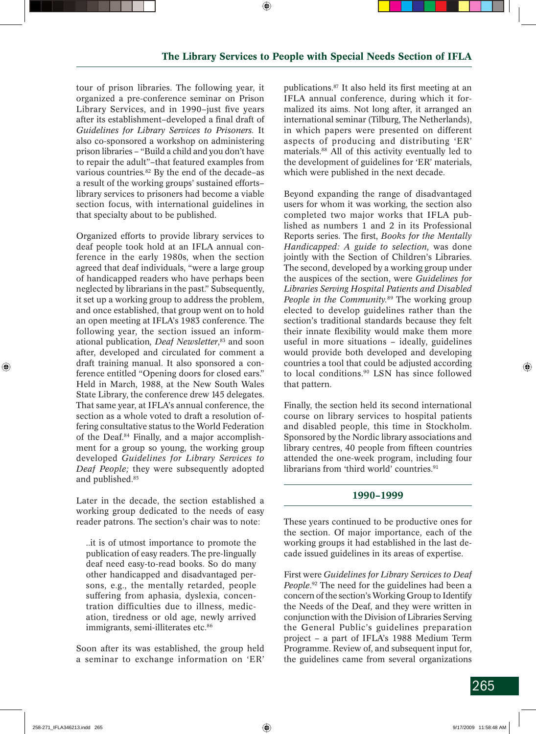tour of prison libraries. The following year, it organized a pre-conference seminar on Prison Library Services, and in 1990-just five years after its establishment-developed a final draft of *Guidelines for Library Services to Prisoners.* It also co-sponsored a workshop on administering prison libraries – "Build a child and you don't have to repair the adult"–that featured examples from various countries*.* 82 By the end of the decade–as a result of the working groups' sustained efforts– library services to prisoners had become a viable section focus, with international guidelines in that specialty about to be published.

Organized efforts to provide library services to deaf people took hold at an IFLA annual conference in the early 1980s, when the section agreed that deaf individuals, "were a large group of handicapped readers who have perhaps been neglected by librarians in the past." Subsequently, it set up a working group to address the problem, and once established, that group went on to hold an open meeting at IFLA's 1983 conference. The following year, the section issued an informational publication*, Deaf Newsletter*, 83 and soon after, developed and circulated for comment a draft training manual. It also sponsored a conference entitled "Opening doors for closed ears." Held in March, 1988, at the New South Wales State Library, the conference drew 145 delegates. That same year, at IFLA's annual conference, the section as a whole voted to draft a resolution offering consultative status to the World Federation of the Deaf.84 Finally, and a major accomplishment for a group so young, the working group developed *Guidelines for Library Services to Deaf People;* they were subsequently adopted and published.85

Later in the decade, the section established a working group dedicated to the needs of easy reader patrons. The section's chair was to note:

..it is of utmost importance to promote the publication of easy readers. The pre-lingually deaf need easy-to-read books. So do many other handicapped and disadvantaged persons, e.g., the mentally retarded, people suffering from aphasia, dyslexia, concentration difficulties due to illness, medication, tiredness or old age, newly arrived immigrants, semi-illiterates etc.<sup>86</sup>

Soon after its was established, the group held a seminar to exchange information on 'ER'

publications.<sup>87</sup> It also held its first meeting at an IFLA annual conference, during which it formalized its aims. Not long after, it arranged an international seminar (Tilburg, The Netherlands), in which papers were presented on different aspects of producing and distributing 'ER' materials.88 All of this activity eventually led to the development of guidelines for 'ER' materials, which were published in the next decade.

Beyond expanding the range of disadvantaged users for whom it was working, the section also completed two major works that IFLA published as numbers 1 and 2 in its Professional Reports series. The first, *Books for the Mentally Handicapped: A guide to selection,* was done jointly with the Section of Children's Libraries. The second, developed by a working group under the auspices of the section, were *Guidelines for Libraries Serving Hospital Patients and Disabled People in the Community.*89 The working group elected to develop guidelines rather than the section's traditional standards because they felt their innate flexibility would make them more useful in more situations – ideally, guidelines would provide both developed and developing countries a tool that could be adjusted according to local conditions.90 LSN has since followed that pattern.

Finally, the section held its second international course on library services to hospital patients and disabled people, this time in Stockholm. Sponsored by the Nordic library associations and library centres, 40 people from fifteen countries attended the one-week program, including four librarians from 'third world' countries.<sup>91</sup>

# **1990–1999**

These years continued to be productive ones for the section. Of major importance, each of the working groups it had established in the last decade issued guidelines in its areas of expertise.

First were *Guidelines for Library Services to Deaf People*. 92 The need for the guidelines had been a concern of the section's Working Group to Identify the Needs of the Deaf, and they were written in conjunction with the Division of Libraries Serving the General Public's guidelines preparation project – a part of IFLA's 1988 Medium Term Programme. Review of, and subsequent input for, the guidelines came from several organizations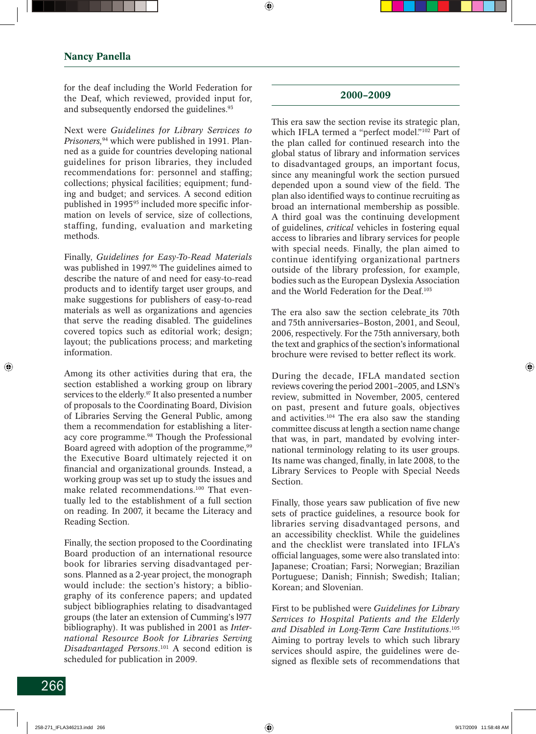for the deaf including the World Federation for the Deaf, which reviewed, provided input for, and subsequently endorsed the guidelines.<sup>93</sup>

Next were *Guidelines for Library Services to Prisoners,*94 which were published in 1991. Planned as a guide for countries developing national guidelines for prison libraries, they included recommendations for: personnel and staffing; collections; physical facilities; equipment; funding and budget; and services. A second edition published in 1995<sup>95</sup> included more specific information on levels of service, size of collections, staffing, funding, evaluation and marketing methods.

Finally, *Guidelines for Easy-To-Read Materials* was published in 1997.96 The guidelines aimed to describe the nature of and need for easy-to-read products and to identify target user groups, and make suggestions for publishers of easy-to-read materials as well as organizations and agencies that serve the reading disabled. The guidelines covered topics such as editorial work; design; layout; the publications process; and marketing information.

Among its other activities during that era, the section established a working group on library services to the elderly.<sup>97</sup> It also presented a number of proposals to the Coordinating Board, Division of Libraries Serving the General Public, among them a recommendation for establishing a literacy core programme.<sup>98</sup> Though the Professional Board agreed with adoption of the programme,<sup>99</sup> the Executive Board ultimately rejected it on financial and organizational grounds. Instead, a working group was set up to study the issues and make related recommendations.100 That eventually led to the establishment of a full section on reading. In 2007, it became the Literacy and Reading Section.

Finally, the section proposed to the Coordinating Board production of an international resource book for libraries serving disadvantaged persons. Planned as a 2-year project, the monograph would include: the section's history; a bibliography of its conference papers; and updated subject bibliographies relating to disadvantaged groups (the later an extension of Cumming's l977 bibliography). It was published in 2001 as *International Resource Book for Libraries Serving Disadvantaged Persons*. 101 A second edition is scheduled for publication in 2009.

## **2000–2009**

This era saw the section revise its strategic plan, which IFLA termed a "perfect model."<sup>102</sup> Part of the plan called for continued research into the global status of library and information services to disadvantaged groups, an important focus, since any meaningful work the section pursued depended upon a sound view of the field. The plan also identified ways to continue recruiting as broad an international membership as possible. A third goal was the continuing development of guidelines, *critical* vehicles in fostering equal access to libraries and library services for people with special needs. Finally, the plan aimed to continue identifying organizational partners outside of the library profession, for example, bodies such as the European Dyslexia Association and the World Federation for the Deaf.103

The era also saw the section celebrate its 70th and 75th anniversaries–Boston, 2001, and Seoul, 2006, respectively. For the 75th anniversary, both the text and graphics of the section's informational brochure were revised to better reflect its work.

During the decade, IFLA mandated section reviews covering the period 2001–2005, and LSN's review, submitted in November, 2005, centered on past, present and future goals, objectives and activities.104 The era also saw the standing committee discuss at length a section name change that was, in part, mandated by evolving international terminology relating to its user groups. Its name was changed, finally, in late 2008, to the Library Services to People with Special Needs Section.

Finally, those years saw publication of five new sets of practice guidelines, a resource book for libraries serving disadvantaged persons, and an accessibility checklist. While the guidelines and the checklist were translated into IFLA's official languages, some were also translated into: Japanese; Croatian; Farsi; Norwegian; Brazilian Portuguese; Danish; Finnish; Swedish; Italian; Korean; and Slovenian.

First to be published were *Guidelines for Library Services to Hospital Patients and the Elderly and Disabled in Long-Term Care Institutions*. 105 Aiming to portray levels to which such library services should aspire, the guidelines were designed as flexible sets of recommendations that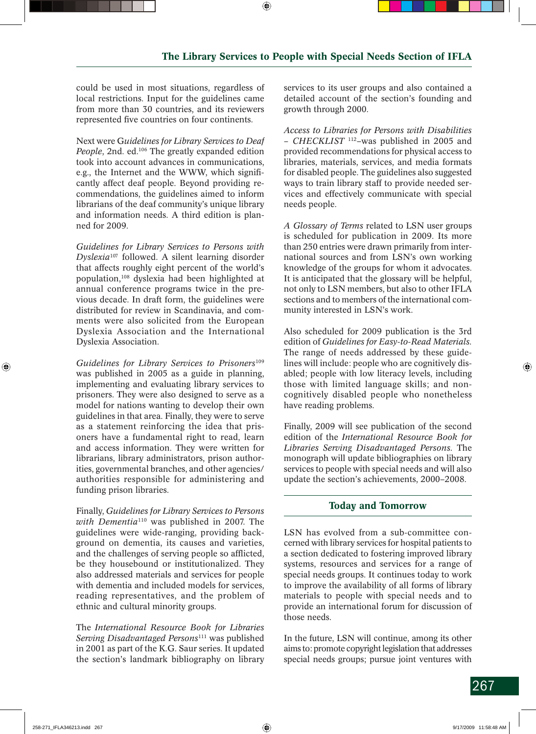could be used in most situations, regardless of local restrictions. Input for the guidelines came from more than 30 countries, and its reviewers represented five countries on four continents.

Next were G*uidelines for Library Services to Deaf People*, 2nd. ed.106 The greatly expanded edition took into account advances in communications, e.g., the Internet and the WWW, which significantly affect deaf people. Beyond providing recommendations, the guidelines aimed to inform librarians of the deaf community's unique library and information needs. A third edition is planned for 2009.

*Guidelines for Library Services to Persons with Dyslexia*<sup>107</sup> followed. A silent learning disorder that affects roughly eight percent of the world's population,108 dyslexia had been highlighted at annual conference programs twice in the previous decade. In draft form, the guidelines were distributed for review in Scandinavia, and comments were also solicited from the European Dyslexia Association and the International Dyslexia Association.

*Guidelines for Library Services to Prisoners*<sup>109</sup> was published in 2005 as a guide in planning, implementing and evaluating library services to prisoners. They were also designed to serve as a model for nations wanting to develop their own guidelines in that area. Finally, they were to serve as a statement reinforcing the idea that prisoners have a fundamental right to read, learn and access information. They were written for librarians, library administrators, prison authorities, governmental branches, and other agencies/ authorities responsible for administering and funding prison libraries.

Finally, *Guidelines for Library Services to Persons with Dementia*110 was published in 2007. The guidelines were wide-ranging, providing background on dementia, its causes and varieties, and the challenges of serving people so afflicted, be they housebound or institutionalized. They also addressed materials and services for people with dementia and included models for services, reading representatives, and the problem of ethnic and cultural minority groups.

The *International Resource Book for Libraries Serving Disadvantaged Persons*<sup>111</sup> was published in 2001 as part of the K.G. Saur series. It updated the section's landmark bibliography on library

services to its user groups and also contained a detailed account of the section's founding and growth through 2000.

*Access to Libraries for Persons with Disabilities – CHECKLIST* 112–was published in 2005 and provided recommendations for physical access to libraries, materials, services, and media formats for disabled people. The guidelines also suggested ways to train library staff to provide needed services and effectively communicate with special needs people.

*A Glossary of Terms* related to LSN user groups is scheduled for publication in 2009. Its more than 250 entries were drawn primarily from international sources and from LSN's own working knowledge of the groups for whom it advocates. It is anticipated that the glossary will be helpful, not only to LSN members, but also to other IFLA sections and to members of the international community interested in LSN's work.

Also scheduled for 2009 publication is the 3rd edition of *Guidelines for Easy-to-Read Materials.*  The range of needs addressed by these guidelines will include: people who are cognitively disabled; people with low literacy levels, including those with limited language skills; and noncognitively disabled people who nonetheless have reading problems.

Finally, 2009 will see publication of the second edition of the *International Resource Book for Libraries Serving Disadvantaged Persons.* The monograph will update bibliographies on library services to people with special needs and will also update the section's achievements, 2000–2008.

# **Today and Tomorrow**

LSN has evolved from a sub-committee concerned with library services for hospital patients to a section dedicated to fostering improved library systems, resources and services for a range of special needs groups. It continues today to work to improve the availability of all forms of library materials to people with special needs and to provide an international forum for discussion of those needs.

In the future, LSN will continue, among its other aims to: promote copyright legislation that addresses special needs groups; pursue joint ventures with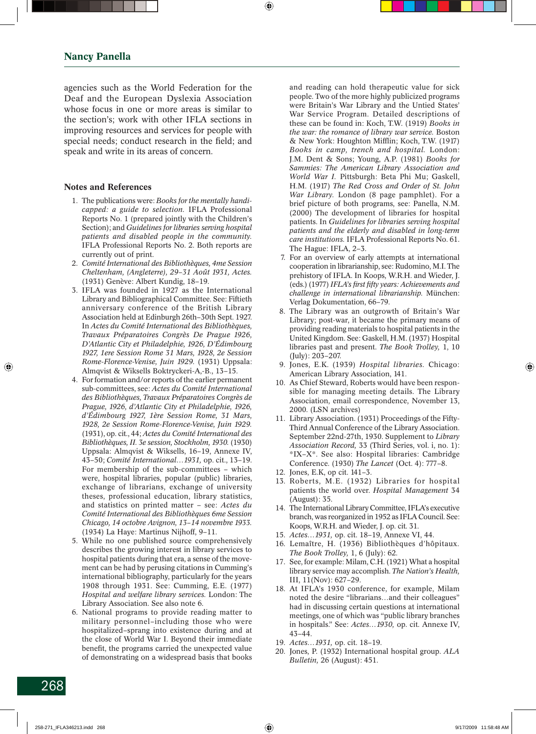agencies such as the World Federation for the Deaf and the European Dyslexia Association whose focus in one or more areas is similar to the section's; work with other IFLA sections in improving resources and services for people with special needs; conduct research in the field; and speak and write in its areas of concern.

#### **Notes and References**

- 1. The publications were: *Books for the mentally handicapped: a guide to selection.* IFLA Professional Reports No. 1 (prepared jointly with the Children's Section); and *Guidelines for libraries serving hospital patients and disabled people in the community.*  IFLA Professional Reports No. 2. Both reports are currently out of print.
- 2. *Comité International des Bibliothèques, 4me Session Cheltenham, (Angleterre), 29–31 Août 1931, Actes.*  (1931) Genève: Albert Kundig, 18–19.
- 3. IFLA was founded in 1927 as the International Library and Bibliographical Committee. See: Fiftieth anniversary conference of the British Library Association held at Edinburgh 26th–30th Sept. 1927. In *Actes du Comité International des Bibliothèques, Travaux Préparatoires Congrès De Prague 1926, D'Atlantic City et Philadelphie, 1926, D'Édimbourg 1927, 1ere Session Rome 31 Mars, 1928, 2e Session Rome-Florence-Venise, Juin 1929.* (1931) Uppsala: Almqvist & Wiksells Boktryckeri-A,-B., 13–15.
- 4. For formation and/or reports of the earlier permanent sub-committees, see: *Actes du Comité International des Bibliothèques, Travaux Préparatoires Congrès de Prague, 1926, d'Atlantic City et Philadelphie, 1926, d'Édimbourg 1927, 1ère Session Rome, 31 Mars, 1928, 2e Session Rome-Florence-Venise, Juin 1929.*  (1931), op. cit., 44; *Actes du Comité International des Bibliothèques, II. 3e session, Stockholm, 1930.* (1930) Uppsala: Almqvist & Wiksells, 16–19, Annexe IV, 43–50; *Comité International…1931,* op. cit., 13–19. For membership of the sub-committees – which were, hospital libraries, popular (public) libraries, exchange of librarians, exchange of university theses, professional education, library statistics, and statistics on printed matter – see: *Actes du Comité International des Bibliothèques 6me Session Chicago, 14 octobre Avignon, 13–14 novembre 1933.*  (1934) La Haye: Martinus Nijhoff, 9–11.
- 5. While no one published source comprehensively describes the growing interest in library services to hospital patients during that era, a sense of the movement can be had by perusing citations in Cumming's international bibliography, particularly for the years 1908 through 1931. See: Cumming, E.E. (1977) *Hospital and welfare library services.* London: The Library Association. See also note 6.
- 6. National programs to provide reading matter to military personnel–including those who were hospitalized–sprang into existence during and at the close of World War I. Beyond their immediate benefit, the programs carried the unexpected value of demonstrating on a widespread basis that books

and reading can hold therapeutic value for sick people. Two of the more highly publicized programs were Britain's War Library and the Untied States' War Service Program. Detailed descriptions of these can be found in: Koch, T.W. (1919) *Books in the war: the romance of library war service.* Boston & New York: Houghton Mifflin; Koch, T.W. (1917) *Books in camp, trench and hospital.* London: J.M. Dent & Sons; Young, A.P. (1981) *Books for Sammies: The American Library Association and World War I.* Pittsburgh: Beta Phi Mu; Gaskell, H.M. (1917) *The Red Cross and Order of St. John War Library.* London (8 page pamphlet). For a brief picture of both programs, see: Panella, N.M. (2000) The development of libraries for hospital patients. In *Guidelines for libraries serving hospital patients and the elderly and disabled in long-term care institutions.* IFLA Professional Reports No. 61. The Hague: IFLA, 2–3.

- 7. For an overview of early attempts at international cooperation in librarianship, see: Rudomino, M.I. The prehistory of IFLA. In Koops, W.R.H. and Wieder, J. (eds.) (1977) IFLA's first fifty years: Achievements and *challenge in international librarianship.* München: Verlag Dokumentation, 66–79.
- 8. The Library was an outgrowth of Britain's War Library; post-war, it became the primary means of providing reading materials to hospital patients in the United Kingdom. See: Gaskell, H.M. (1937) Hospital libraries past and present. *The Book Trolley,* 1, 10 (July): 203–207.
- 9. Jones, E.K. (1939) *Hospital libraries.* Chicago: American Library Association, 141.
- 10. As Chief Steward, Roberts would have been responsible for managing meeting details. The Library Association, email correspondence, November 13, 2000. (LSN archives)
- 11. Library Association. (1931) Proceedings of the Fifty-Third Annual Conference of the Library Association. September 22nd-27th, 1930. Supplement to *Library Association Record,* 33 (Third Series, vol. i, no. 1): \*IX–X\*. See also: Hospital libraries: Cambridge Conference. (1930) *The Lancet* (Oct. 4): 777–8.
- 12. Jones, E.K, op cit. 141–3.
- 13. Roberts, M.E. (1932) Libraries for hospital patients the world over. *Hospital Management* 34 (August): 35.
- 14. The International Library Committee, IFLA's executive branch, was reorganized in 1952 as IFLA Council. See: Koops, W.R.H. and Wieder, J. op. cit. 31.
- 15. *Actes…1931,* op. cit. 18–19, Annexe VI, 44.
- 16. Lemaître, H. (1936) Bibliothèques d'hôpitaux. *The Book Trolley,* 1, 6 (July): 62.
- 17. See, for example: Milam, C.H. (1921) What a hospital library service may accomplish. *The Nation's Health,*  III, 11(Nov): 627–29.
- 18. At IFLA's 1930 conference, for example, Milam noted the desire "librarians…and their colleagues" had in discussing certain questions at international meetings, one of which was "public library branches in hospitals." See: *Actes…1930,* op. cit. Annexe IV, 43–44.
- 19. *Actes…1931,* op. cit. 18–19.
- 20. Jones, P. (1932) International hospital group. *ALA Bulletin,* 26 (August): 451.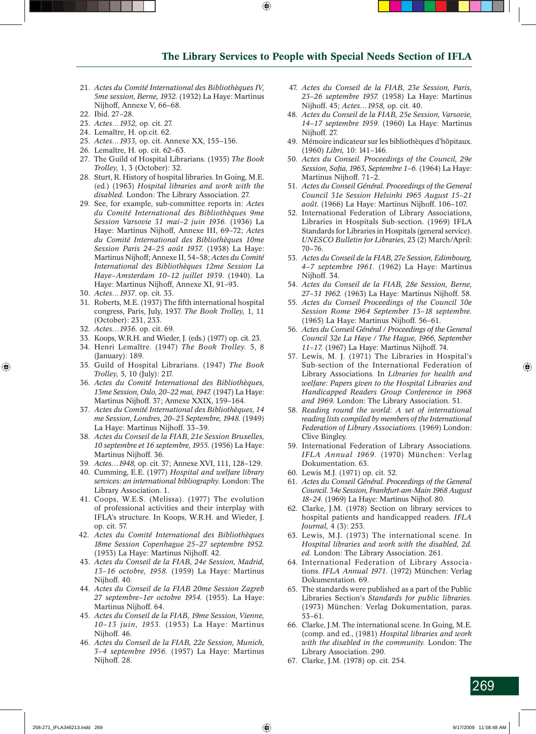- 21. *Actes du Comité International des Bibliothèques IV, 5me session, Berne, 1932.* (1932) La Haye: Martinus Nijhoff, Annexe V, 66–68.
- 22. Ibid. 27–28.
- 23. *Actes…1932,* op. cit. 27.
- 24. Lemaître, H. op.cit. 62.
- 25. *Actes…1933,* op. cit. Annexe XX, 155–156.
- 26. Lemaître, H. op. cit. 62–63.
- 27. The Guild of Hospital Librarians. (1935) *The Book Trolley,* 1, 3 (October): 32.
- 28. Sturt, R. History of hospital libraries. In Going, M.E. (ed.) (1963) *Hospital libraries and work with the disabled.* London: The Library Association. 27.
- 29. See, for example, sub-committee reports in: *Actes du Comité International des Bibliothèques 9me Session Varsovie 31 mai–2 juin 1936.* (1936) La Haye: Martinus Nijhoff, Annexe III, 69–72; *Actes du Comité International des Bibliothèques 10me Session Paris 24–25 août 1937.* (1938) La Haye: Martinus Nijhoff; Annexe II, 54–58; *Actes du Comité International des Bibliothèques 12me Session La Haye–Amsterdam 10–12 juillet 1939.* (1940). La Haye: Martinus Nijhoff, Annexe XI, 91–93.
- 30. *Actes…1937*. op. cit. 33.
- 31. Roberts, M.E. (1937) The fifth international hospital congress, Paris, July, 1937. *The Book Trolley,* 1, 11 (October): 231, 233.
- 32. *Actes…1936.* op. cit. 69.
- 33. Koops, W.R.H. and Wieder, J. (eds.) (1977) op. cit. 23.
- 34. Henri Lemaître. (1947) *The Book Trolley.* 5, 8 (January): 189.
- 35. Guild of Hospital Librarians. (1947) *The Book Trolley,* 5, 10 (July): 217.
- 36. *Actes du Comité International des Bibliothèques, 13me Session, Oslo, 20–22 mai, 1947.* (1947) La Haye: Martinus Nijhoff. 37; Annexe XXIX, 159–164.
- 37. *Actes du Comité International des Bibliothèques, 14 me Session, Londres, 20–23 Septembre, 1948.* (1949) La Haye: Martinus Nijhoff. 33–39.
- 38. *Actes du Conseil de la FIAB, 21e Session Bruxelles, 10 septembre et 16 septembre, 1955.* (1956) La Haye: Martinus Nijhoff. 36.
- 39. *Actes…1948,* op. cit. 37; Annexe XVI, 111, 128–129.
- 40. Cumming, E.E. (1977) *Hospital and welfare library services: an international bibliography.* London: The Library Association. 1.
- 41. Coops, W.E.S. (Melissa). (1977) The evolution of professional activities and their interplay with IFLA's structure. In Koops, W.R.H. and Wieder, J. op. cit. 57.
- 42.. *Actes du Comité International des Bibliothèques 18me Session Copenhague 25–27 septembre 1952.*  (1953) La Haye: Martinus Nijhoff. 42.
- 43. *Actes du Conseil de la FIAB, 24e Session, Madrid, 13–16 octobre, 1958.* (1959) La Haye: Martinus Nijhoff. 40.
- 44. *Actes du Conseil de la FIAB 20me Session Zagreb 27 septembre–1er octobre 1954.* (1955). La Haye: Martinus Nijhoff. 64.
- 45. *Actes du Conseil de la FIAB, 19me Session, Vienne, 10–13 juin, 1953.* (1953) La Haye: Martinus Nijhoff. 46.
- 46. *Actes du Conseil de la FIAB, 22e Session, Munich, 3–4 septembre 1956.* (1957) La Haye: Martinus Nijhoff. 28.
- 47. *Actes du Conseil de la FIAB, 23e Session, Paris, 23–26 septembre 1957.* (1958) La Haye: Martinus Nijhoff. 45; *Actes…1958,* op. cit. 40.
- 48. *Actes du Conseil de la FIAB, 25e Session, Varsovie, 14–17 septembre 1959.* (1960) La Haye: Martinus Nijhoff. 27.
- 49. Mémoire indicateur sur les bibliothèques d'hôpitaux. (1960) *Libri,* 10: 141–146.
- 50. *Actes du Conseil. Proceedings of the Council, 29e Session, Sofia, 1963, Septembre 1-6.* (1964) La Haye: Martinus Nijhoff. 71–2.
- 51. *Actes du Conseil Général. Proceedings of the General Council 31e Session Helsinki 1965 August 15–21 août.* (1966) La Haye: Martinus Nijhoff. 106–107.
- 52. International Federation of Library Associations, Libraries in Hospitals Sub-section. (1969) IFLA Standards for Libraries in Hospitals (general service). *UNESCO Bulletin for Libraries,* 23 (2) March/April: 70–76.
- 53. *Actes du Conseil de la FIAB, 27e Session, Edimbourg, 4–7 septembre 1961.* (1962) La Haye: Martinus Nijhoff. 34.
- 54. *Actes du Conseil de la FIAB, 28e Session, Berne, 27–31 1962.* (1963) La Haye: Martinus Nijhoff. 58.
- 55. *Actes du Conseil Proceedings of the Council 30e Session Rome 1964 September 13–18 septembre.*  (1965) La Haye: Martinus Nijhoff. 56–61.
- 56. *Actes du Conseil Général / Proceedings of the General Council 32e La Haye / The Hague, 1966, September 11–17.* (1967) La Haye: Martinus Nijhoff. 74.
- 57. Lewis, M. J. (1971) The Libraries in Hospital's Sub-section of the International Federation of Library Associations. In *Libraries for health and welfare: Papers given to the Hospital Libraries and Handicapped Readers Group Conference in 1968 and 1969.* London: The Library Association. 51.
- 58. *Reading round the world: A set of international reading lists compiled by members of the International Federation of Library Associations.* (1969) London: Clive Bingley.
- 59. International Federation of Library Associations. *IFLA Annual 1969.* (1970) München: Verlag Dokumentation. 63.
- 60. Lewis M.J. (1971) op. cit. 52.
- 61. *Actes du Conseil Général. Proceedings of the General Council. 34e Session, Frankfurt-am-Main 1968 August 18–24.* (1969) La Haye: Martinus Nijhof. 80.
- 62. Clarke, J.M. (1978) Section on library services to hospital patients and handicapped readers. *IFLA Journal,* 4 (3): 253.
- 63. Lewis, M.J. (1973) The international scene. In *Hospital libraries and work with the disabled, 2d. ed.* London: The Library Association. 261.
- 64. International Federation of Library Associations. *IFLA Annual 1971.* (1972) München: Verlag Dokumentation. 69.
- 65. The standards were published as a part of the Public Libraries Section's *Standards for public libraries.*  (1973) München: Verlag Dokumentation, paras. 53–61.
- 66. Clarke, J.M. The international scene. In Going, M.E. (comp. and ed., (1981) *Hospital libraries and work with the disabled in the community.* London: The Library Association. 290.
- 67. Clarke, J.M. (1978) op. cit. 254.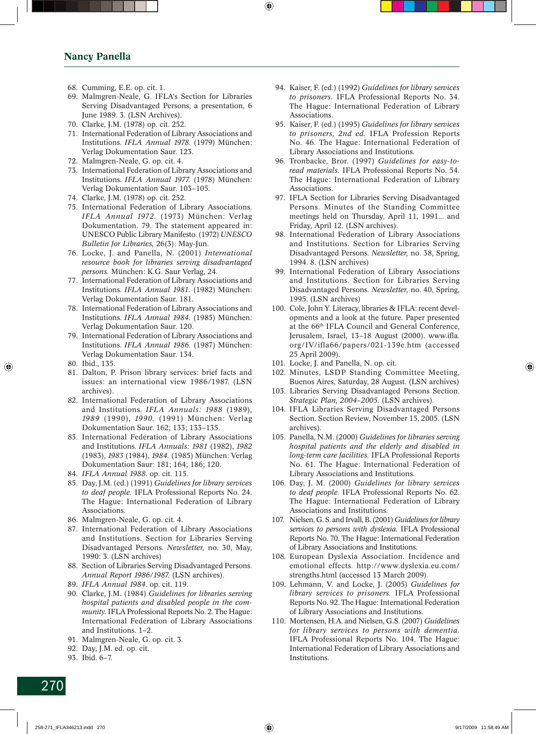- 68. Cumming, E.E. op. cit. 1.
- 69. Malmgren-Neale, G. IFLA's Section for Libraries Serving Disadvantaged Persons, a presentation, 6 June 1989. 3. (LSN Archives).
- 70. Clarke, J.M. (1978) op. cit. 252.
- 71. International Federation of Library Associations and Institutions. *IFLA Annual 1978.* (1979) München: Verlag Dokumentation Saur. 123.
- 72. Malmgren-Neale, G. op. cit. 4.
- 73. International Federation of Library Associations and Institutions. *IFLA Annual 1977.* (1978) München: Verlag Dokumentation Saur. 103–105.
- 74. Clarke, J.M. (1978) op. cit. 252.
- 75. International Federation of Library Associations. *IFLA Annual 1972.* (1973) München: Verlag Dokumentation. 79. The statement appeared in: UNESCO Public Library Manifesto. (1972) *UNESCO Bulletin for Libraries,* 26(3): May-Jun.
- 76. Locke, J. and Panella, N. (2001) *International resource book for libraries serving disadvantaged persons.* München: K.G. Saur Verlag, 24.
- 77. International Federation of Library Associations and Institutions. *IFLA Annual 1981.* (1982) München: Verlag Dokumentation Saur. 181.
- 78. International Federation of Library Associations and Institutions. *IFLA Annual 1984.* (1985) München: Verlag Dokumentation Saur. 120.
- 79. International Federation of Library Associations and Institutions. *IFLA Annual 1986.* (1987) München: Verlag Dokumentation Saur. 134.
- 80. Ibid., 135.
- 81. Dalton, P. Prison library services: brief facts and issues: an international view 1986/1987. (LSN archives).
- 82. International Federation of Library Associations and Institutions. *IFLA Annuals: 1988* (1989), *1989* (1990), *1990.* (1991) München: Verlag Dokumentation Saur. 162; 133; 133–135.
- 83. International Federation of Library Associations and Institutions. *IFLA Annuals: 1981* (1982), *1982*  (1983), *1983* (1984), *1984.* (1985) München: Verlag Dokumentation Saur: 181; 164; 186; 120.
- 84. *IFLA Annual 1988*. op. cit. 115.
- 85. Day, J.M. (ed.) (1991) *Guidelines for library services to deaf people.* IFLA Professional Reports No. 24. The Hague: International Federation of Library Associations.
- 86. Malmgren-Neale, G. op. cit. 4.
- 87. International Federation of Library Associations and Institutions. Section for Libraries Serving Disadvantaged Persons. *Newsletter,* no. 30, May, 1990: 3. (LSN archives)
- 88. Section of Libraries Serving Disadvantaged Persons. *Annual Report 1986/1987.* (LSN archives).
- 89. *IFLA Annual 1984*. op. cit. 119.
- 90. Clarke, J.M. (1984) *Guidelines for libraries serving hospital patients and disabled people in the community.* IFLA Professional Reports No. 2. The Hague: International Federation of Library Associations and Institutions. 1–2.
- 91. Malmgren-Neale, G. op. cit. 3.
- 92. Day, J.M. ed. op. cit.
- 93. Ibid. 6–7.
- 94. Kaiser, F. (ed.) (1992) *Guidelines for library services to prisoners.* IFLA Professional Reports No. 34. The Hague: International Federation of Library Associations.
- 95. Kaiser, F. (ed.) (1995) *Guidelines for library services to prisoners, 2nd ed.* IFLA Profession Reports No. 46. The Hague: International Federation of Library Associations and Institutions.
- 96. Tronbacke, Bror. (1997) *Guidelines for easy-toread materials.* IFLA Professional Reports No. 54. The Hague: International Federation of Library Associations.
- 97. IFLA Section for Libraries Serving Disadvantaged Persons. Minutes of the Standing Committee meetings held on Thursday, April 11, 1991... and Friday, April 12. (LSN archives).
- 98. International Federation of Library Associations and Institutions. Section for Libraries Serving Disadvantaged Persons. *Newsletter,* no. 38, Spring, 1994. 8. (LSN archives)
- 99. International Federation of Library Associations and Institutions. Section for Libraries Serving Disadvantaged Persons. *Newsletter,* no. 40, Spring, 1995. (LSN archives)
- 100. Cole, John Y. Literacy, libraries & IFLA: recent developments and a look at the future. Paper presented at the 66th IFLA Council and General Conference, Jerusalem, Israel, 13–18 August (2000). www.ifla. org/IV/ifla66/papers/021-139e.htm (accessed 25 April 2009).
- 101. Locke, J. and Panella, N. op. cit.
- 102. Minutes, LSDP Standing Committee Meeting, Buenos Aires, Saturday, 28 August. (LSN archives)
- 103. Libraries Serving Disadvantaged Persons Section. *Strategic Plan, 2004–2005.* (LSN archives).
- 104. IFLA Libraries Serving Disadvantaged Persons Section. Section Review, November 15, 2005. (LSN archives).
- 105. Panella, N.M. (2000) *Guidelines for libraries serving hospital patients and the elderly and disabled in long-term care facilities.* IFLA Professional Reports No. 61. The Hague: International Federation of Library Associations and Institutions.
- 106. Day, J. M. (2000) *Guidelines for library services to deaf people.* IFLA Professional Reports No. 62. The Hague: International Federation of Library Associations and Institutions.
- 107. Nielsen, G. S. and Irvall, B. (2001) *Guidelines for library services to persons with dyslexia.* IFLA Professional Reports No. 70. The Hague: International Federation of Library Associations and Institutions.
- 108. European Dyslexia Association. Incidence and emotional effects. http://www.dyslexia.eu.com/ strengths.html (accessed 13 March 2009).
- 109. Lehmann, V. and Locke, J. (2005) *Guidelines for library services to prisoners.* IFLA Professional Reports No. 92. The Hague: International Federation of Library Associations and Institutions.
- 110. Mortensen, H.A. and Nielsen, G.S. (2007) *Guidelines for library services to persons with dementia.* IFLA Professional Reports No. 104. The Hague: International Federation of Library Associations and Institutions.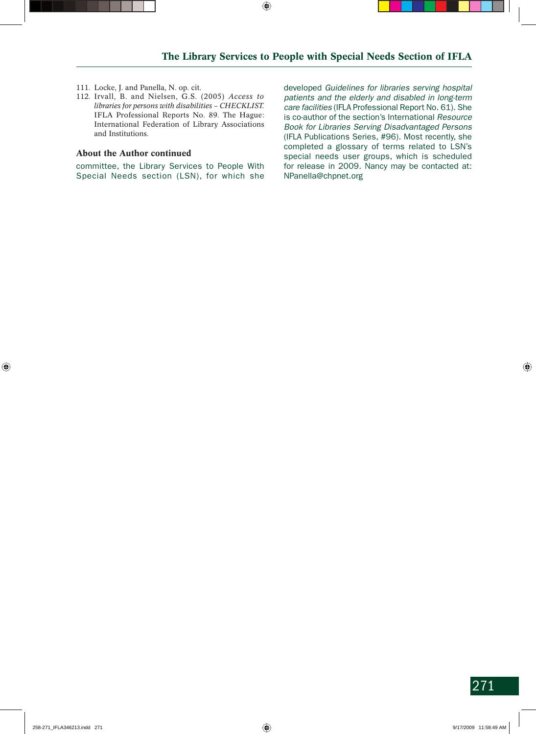- 111. Locke, J. and Panella, N. op. cit.
- 112. Irvall, B. and Nielsen, G.S. (2005) *Access to libraries for persons with disabilities – CHECKLIST.*  IFLA Professional Reports No. 89. The Hague: International Federation of Library Associations and Institutions.

#### **About the Author continued**

committee, the Library Services to People With Special Needs section (LSN), for which she developed *Guidelines for libraries serving hospital patients and the elderly and disabled in long-term care facilities* (IFLA Professional Report No. 61). She is co-author of the section's International *Resource Book for Libraries Serving Disadvantaged Persons*  (IFLA Publications Series, #96). Most recently, she completed a glossary of terms related to LSN's special needs user groups, which is scheduled for release in 2009. Nancy may be contacted at: NPanella@chpnet.org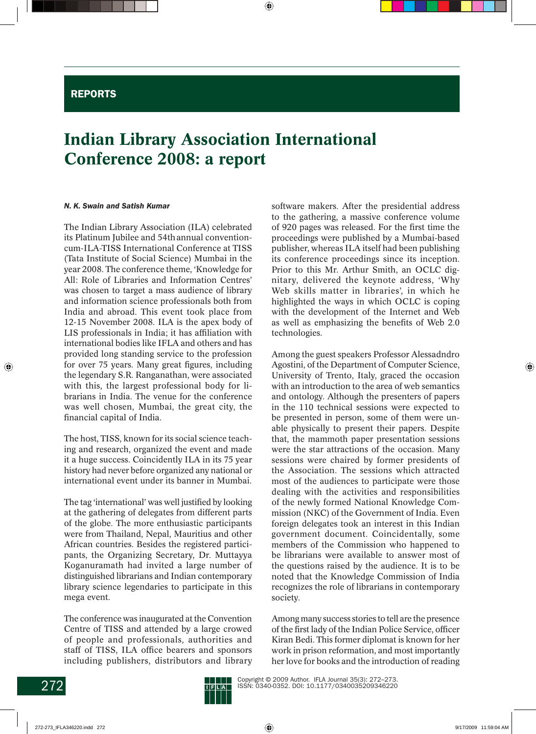# REPORTS

# **Indian Library Association International Conference 2008: a report**

#### *N. K. Swain and Satish Kumar*

The Indian Library Association (ILA) celebrated its Platinum Jubilee and 54thannual conventioncum-ILA-TISS International Conference at TISS (Tata Institute of Social Science) Mumbai in the year 2008. The conference theme, 'Knowledge for All: Role of Libraries and Information Centres' was chosen to target a mass audience of library and information science professionals both from India and abroad. This event took place from 12-15 November 2008. ILA is the apex body of LIS professionals in India; it has affiliation with international bodies like IFLA and others and has provided long standing service to the profession for over 75 years. Many great figures, including the legendary S.R. Ranganathan, were associated with this, the largest professional body for librarians in India. The venue for the conference was well chosen, Mumbai, the great city, the financial capital of India.

The host, TISS, known for its social science teaching and research, organized the event and made it a huge success. Coincidently ILA in its 75 year history had never before organized any national or international event under its banner in Mumbai.

The tag 'international' was well justified by looking at the gathering of delegates from different parts of the globe. The more enthusiastic participants were from Thailand, Nepal, Mauritius and other African countries. Besides the registered participants, the Organizing Secretary, Dr. Muttayya Koganuramath had invited a large number of distinguished librarians and Indian contemporary library science legendaries to participate in this mega event.

The conference was inaugurated at the Convention Centre of TISS and attended by a large crowed of people and professionals, authorities and staff of TISS, ILA office bearers and sponsors including publishers, distributors and library software makers. After the presidential address to the gathering, a massive conference volume of 920 pages was released. For the first time the proceedings were published by a Mumbai-based publisher, whereas ILA itself had been publishing its conference proceedings since its inception. Prior to this Mr. Arthur Smith, an OCLC dignitary, delivered the keynote address, 'Why Web skills matter in libraries', in which he highlighted the ways in which OCLC is coping with the development of the Internet and Web as well as emphasizing the benefits of Web 2.0 technologies.

Among the guest speakers Professor Alessadndro Agostini, of the Department of Computer Science, University of Trento, Italy, graced the occasion with an introduction to the area of web semantics and ontology. Although the presenters of papers in the 110 technical sessions were expected to be presented in person, some of them were unable physically to present their papers. Despite that, the mammoth paper presentation sessions were the star attractions of the occasion. Many sessions were chaired by former presidents of the Association. The sessions which attracted most of the audiences to participate were those dealing with the activities and responsibilities of the newly formed National Knowledge Commission (NKC) of the Government of India. Even foreign delegates took an interest in this Indian government document. Coincidentally, some members of the Commission who happened to be librarians were available to answer most of the questions raised by the audience. It is to be noted that the Knowledge Commission of India recognizes the role of librarians in contemporary society.

Among many success stories to tell are the presence of the first lady of the Indian Police Service, officer Kiran Bedi. This former diplomat is known for her work in prison reformation, and most importantly her love for books and the introduction of reading

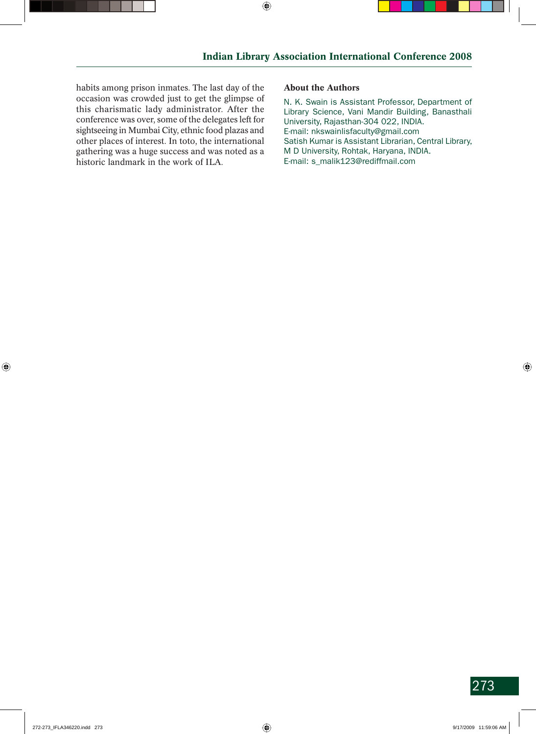habits among prison inmates. The last day of the occasion was crowded just to get the glimpse of this charismatic lady administrator. After the conference was over, some of the delegates left for sightseeing in Mumbai City, ethnic food plazas and other places of interest. In toto, the international gathering was a huge success and was noted as a historic landmark in the work of ILA.

## **About the Authors**

N. K. Swain is Assistant Professor, Department of Library Science, Vani Mandir Building, Banasthali University, Rajasthan-304 022, INDIA. E-mail: nkswainlisfaculty@gmail.com Satish Kumar is Assistant Librarian, Central Library, M D University, Rohtak, Haryana, INDIA. E-mail: s\_malik123@rediffmail.com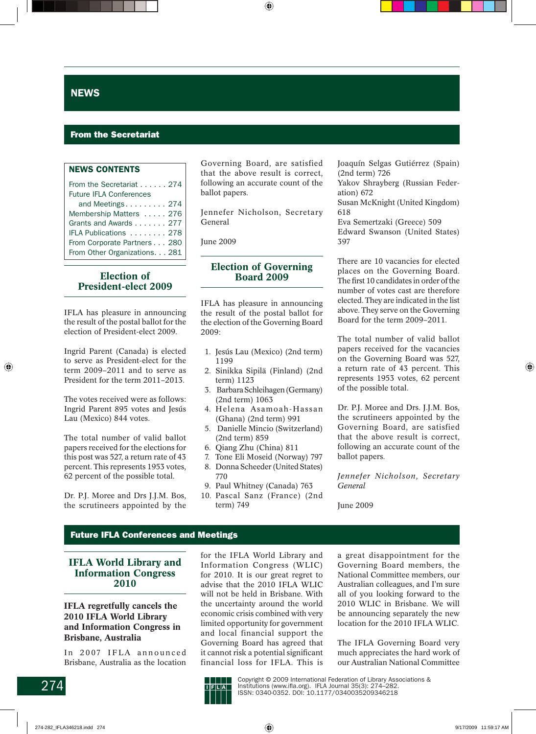# **NEWS**

#### From the Secretariat

#### NEWS CONTENTS

| From the Secretariat $\ldots \ldots 274$ |  |  |  |  |
|------------------------------------------|--|--|--|--|
| <b>Future IFLA Conferences</b>           |  |  |  |  |
| and Meetings. $\ldots \ldots \ldots 274$ |  |  |  |  |
| Membership Matters  276                  |  |  |  |  |
| Grants and Awards 277                    |  |  |  |  |
| IFLA Publications  278                   |  |  |  |  |
| From Corporate Partners 280              |  |  |  |  |
| From Other Organizations. 281            |  |  |  |  |

## **Election of President-elect 2009**

IFLA has pleasure in announcing the result of the postal ballot for the election of President-elect 2009.

Ingrid Parent (Canada) is elected to serve as President-elect for the term 2009–2011 and to serve as President for the term 2011–2013.

The votes received were as follows: Ingrid Parent 895 votes and Jesús Lau (Mexico) 844 votes.

The total number of valid ballot papers received for the elections for this post was 527, a return rate of 43 percent. This represents 1953 votes, 62 percent of the possible total.

Dr. P.J. Moree and Drs J.J.M. Bos, the scrutineers appointed by the

Governing Board, are satisfied that the above result is correct, following an accurate count of the ballot papers.

Jennefer Nicholson, Secretary General

June 2009

## **Election of Governing Board 2009**

IFLA has pleasure in announcing the result of the postal ballot for the election of the Governing Board 2009:

- 1. Jesús Lau (Mexico) (2nd term) 1199
- 2. Sinikka Sipilä (Finland) (2nd term) 1123
- 3. Barbara Schleihagen (Germany) (2nd term) 1063
- 4. Helena Asamoah-Hassan (Ghana) (2nd term) 991
- 5. Danielle Mincio (Switzerland) (2nd term) 859
- 6. Qiang Zhu (China) 811
- 7. Tone Eli Moseid (Norway) 797 8. Donna Scheeder (United States)
- 770 9. Paul Whitney (Canada) 763
- 10. Pascal Sanz (France) (2nd term) 749

Joaquín Selgas Gutiérrez (Spain) (2nd term) 726

Yakov Shrayberg (Russian Federation) 672

Susan McKnight (United Kingdom) 618

Eva Semertzaki (Greece) 509 Edward Swanson (United States) 397

There are 10 vacancies for elected places on the Governing Board. The first 10 candidates in order of the number of votes cast are therefore elected. They are indicated in the list above. They serve on the Governing Board for the term 2009–2011.

The total number of valid ballot papers received for the vacancies on the Governing Board was 527, a return rate of 43 percent. This represents 1953 votes, 62 percent of the possible total.

Dr. P.J. Moree and Drs. J.J.M. Bos, the scrutineers appointed by the Governing Board, are satisfied that the above result is correct, following an accurate count of the ballot papers.

*Jennefer Nicholson, Secretary General*

June 2009

## Future IFLA Conferences and Meetings

## **IFLA World Library and Information Congress 2010**

**IFLA regretfully cancels the 2010 IFLA World Library and Information Congress in Brisbane, Australia** 

In 2007 IFLA announced Brisbane, Australia as the location

for the IFLA World Library and Information Congress (WLIC) for 2010. It is our great regret to advise that the 2010 IFLA WLIC will not be held in Brisbane. With the uncertainty around the world economic crisis combined with very limited opportunity for government and local financial support the Governing Board has agreed that it cannot risk a potential significant financial loss for IFLA. This is a great disappointment for the Governing Board members, the National Committee members, our Australian colleagues, and I'm sure all of you looking forward to the 2010 WLIC in Brisbane. We will be announcing separately the new location for the 2010 IFLA WLIC.

The IFLA Governing Board very much appreciates the hard work of our Australian National Committee

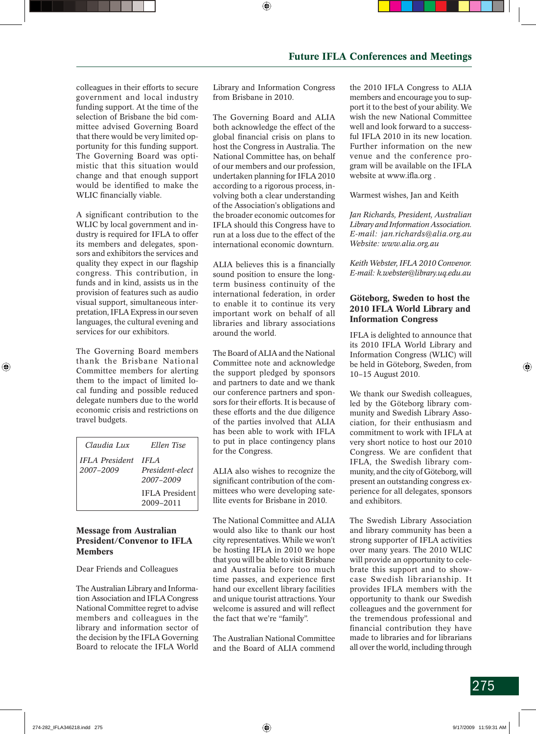colleagues in their efforts to secure government and local industry funding support. At the time of the selection of Brisbane the bid committee advised Governing Board that there would be very limited opportunity for this funding support. The Governing Board was optimistic that this situation would change and that enough support would be identified to make the WLIC financially viable.

A significant contribution to the WLIC by local government and industry is required for IFLA to offer its members and delegates, sponsors and exhibitors the services and quality they expect in our flagship congress. This contribution, in funds and in kind, assists us in the provision of features such as audio visual support, simultaneous interpretation, IFLA Express in our seven languages, the cultural evening and services for our exhibitors.

The Governing Board members thank the Brisbane National Committee members for alerting them to the impact of limited local funding and possible reduced delegate numbers due to the world economic crisis and restrictions on travel budgets.

| Claudia Lux                             | Ellen Tise                   |
|-----------------------------------------|------------------------------|
| <b>IFLA</b> President IFLA<br>2007-2009 | President-elect<br>2007-2009 |
|                                         | IFLA President<br>2009-2011  |

## **Message from Australian President/Convenor to IFLA Members**

Dear Friends and Colleagues

The Australian Library and Information Association and IFLA Congress National Committee regret to advise members and colleagues in the library and information sector of the decision by the IFLA Governing Board to relocate the IFLA World

Library and Information Congress from Brisbane in 2010.

The Governing Board and ALIA both acknowledge the effect of the global financial crisis on plans to host the Congress in Australia. The National Committee has, on behalf of our members and our profession, undertaken planning for IFLA 2010 according to a rigorous process, involving both a clear understanding of the Association's obligations and the broader economic outcomes for IFLA should this Congress have to run at a loss due to the effect of the international economic downturn.

ALIA believes this is a financially sound position to ensure the longterm business continuity of the international federation, in order to enable it to continue its very important work on behalf of all libraries and library associations around the world.

The Board of ALIA and the National Committee note and acknowledge the support pledged by sponsors and partners to date and we thank our conference partners and sponsors for their efforts. It is because of these efforts and the due diligence of the parties involved that ALIA has been able to work with IFLA to put in place contingency plans for the Congress.

ALIA also wishes to recognize the significant contribution of the committees who were developing satellite events for Brisbane in 2010.

The National Committee and ALIA would also like to thank our host city representatives. While we won't be hosting IFLA in 2010 we hope that you will be able to visit Brisbane and Australia before too much time passes, and experience first hand our excellent library facilities and unique tourist attractions. Your welcome is assured and will reflect the fact that we're "family".

The Australian National Committee and the Board of ALIA commend

the 2010 IFLA Congress to ALIA members and encourage you to support it to the best of your ability. We wish the new National Committee well and look forward to a successful IFLA 2010 in its new location. Further information on the new venue and the conference program will be available on the IFLA website at www.ifla.org.

Warmest wishes, Jan and Keith

*Jan Richards, President, Australian Library and Information Association. E-mail: jan.richards@alia.org.au Website: www.alia.org.au*

*Keith Webster, IFLA 2010 Convenor. E-mail: k.webster@library.uq.edu.au*

## **Göteborg, Sweden to host the 2010 IFLA World Library and Information Congress**

IFLA is delighted to announce that its 2010 IFLA World Library and Information Congress (WLIC) will be held in Göteborg, Sweden, from 10–15 August 2010.

We thank our Swedish colleagues, led by the Göteborg library community and Swedish Library Association, for their enthusiasm and commitment to work with IFLA at very short notice to host our 2010 Congress. We are confident that IFLA, the Swedish library community, and the city of Göteborg, will present an outstanding congress experience for all delegates, sponsors and exhibitors.

The Swedish Library Association and library community has been a strong supporter of IFLA activities over many years. The 2010 WLIC will provide an opportunity to celebrate this support and to showcase Swedish librarianship. It provides IFLA members with the opportunity to thank our Swedish colleagues and the government for the tremendous professional and financial contribution they have made to libraries and for librarians all over the world, including through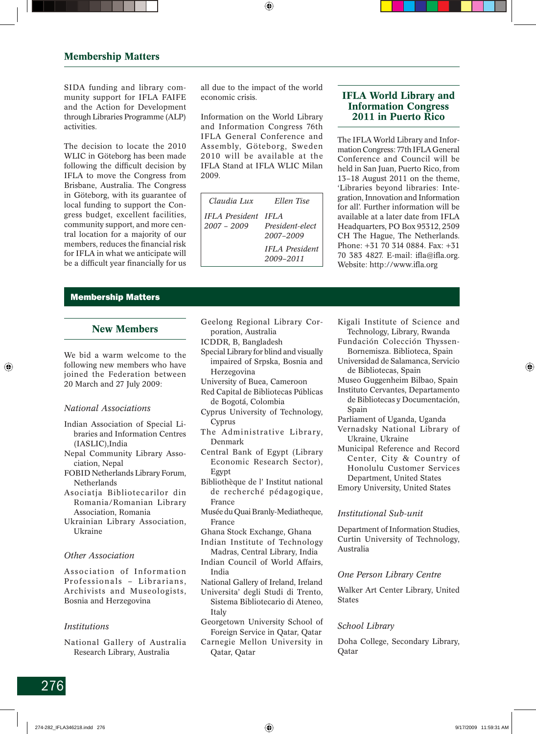SIDA funding and library community support for IFLA FAIFE and the Action for Development through Libraries Programme (ALP) activities.

The decision to locate the 2010 WLIC in Göteborg has been made following the difficult decision by IFLA to move the Congress from Brisbane, Australia. The Congress in Göteborg, with its guarantee of local funding to support the Congress budget, excellent facilities, community support, and more central location for a majority of our members, reduces the financial risk for IFLA in what we anticipate will be a difficult year financially for us

all due to the impact of the world economic crisis.

Information on the World Library and Information Congress 76th IFLA General Conference and Assembly, Göteborg, Sweden 2010 will be available at the IFLA Stand at IFLA WLIC Milan 2009.

| Claudia Lux                                        | Ellen Tise                         |
|----------------------------------------------------|------------------------------------|
| <b>IFLA</b> President <b>IFLA</b><br>$2007 - 2009$ | President-elect<br>2007-2009       |
|                                                    | <b>IFLA</b> President<br>2009-2011 |

# **IFLA World Library and Information Congress 2011 in Puerto Rico**

The IFLA World Library and Information Congress: 77th IFLA General Conference and Council will be held in San Juan, Puerto Rico, from 13–18 August 2011 on the theme, 'Libraries beyond libraries: Integration, Innovation and Information for all'. Further information will be available at a later date from IFLA Headquarters, PO Box 95312, 2509 CH The Hague, The Netherlands. Phone: +31 70 314 0884. Fax: +31 70 383 4827. E-mail: ifla@ifla.org. Website: http://www.ifla.org

## Membership Matters

#### **New Members**

We bid a warm welcome to the following new members who have joined the Federation between 20 March and 27 July 2009:

#### *National Associations*

- Indian Association of Special Libraries and Information Centres (IASLIC),India
- Nepal Community Library Association, Nepal
- FOBID Netherlands Library Forum, Netherlands
- Asociatja Bibliotecarilor din Romania/Romanian Library Association, Romania
- Ukrainian Library Association, Ukraine

#### *Other Association*

Association of Information Professionals – Librarians, Archivists and Museologists, Bosnia and Herzegovina

#### *Institutions*

National Gallery of Australia Research Library, Australia

- Geelong Regional Library Corporation, Australia
- ICDDR, B, Bangladesh
- Special Library for blind and visually impaired of Srpska, Bosnia and Herzegovina
- University of Buea, Cameroon
- Red Capital de Bibliotecas Públicas de Bogotá, Colombia
- Cyprus University of Technology, Cyprus
- The Administrative Library, Denmark
- Central Bank of Egypt (Library Economic Research Sector), Egypt
- Bibliothèque de l' Institut national de recherché pédagogique, France
- Musée du Quai Branly-Mediatheque, France
- Ghana Stock Exchange, Ghana
- Indian Institute of Technology Madras, Central Library, India
- Indian Council of World Affairs, India
- National Gallery of Ireland, Ireland
- Universita' degli Studi di Trento, Sistema Bibliotecario di Ateneo, Italy
- Georgetown University School of Foreign Service in Qatar, Qatar
- Carnegie Mellon University in Qatar, Qatar
- Kigali Institute of Science and Technology, Library, Rwanda
- Fundación Colección Thyssen-Bornemisza. Biblioteca, Spain
- Universidad de Salamanca, Servicio de Bibliotecas, Spain
- Museo Guggenheim Bilbao, Spain
- Instituto Cervantes, Departamento de Bibliotecas y Documentación, Spain
- Parliament of Uganda, Uganda
- Vernadsky National Library of Ukraine, Ukraine
- Municipal Reference and Record Center, City & Country of Honolulu Customer Services Department, United States Emory University, United States

#### *Institutional Sub-unit*

Department of Information Studies, Curtin University of Technology, Australia

#### *One Person Library Centre*

Walker Art Center Library, United States

#### *School Library*

Doha College, Secondary Library, Qatar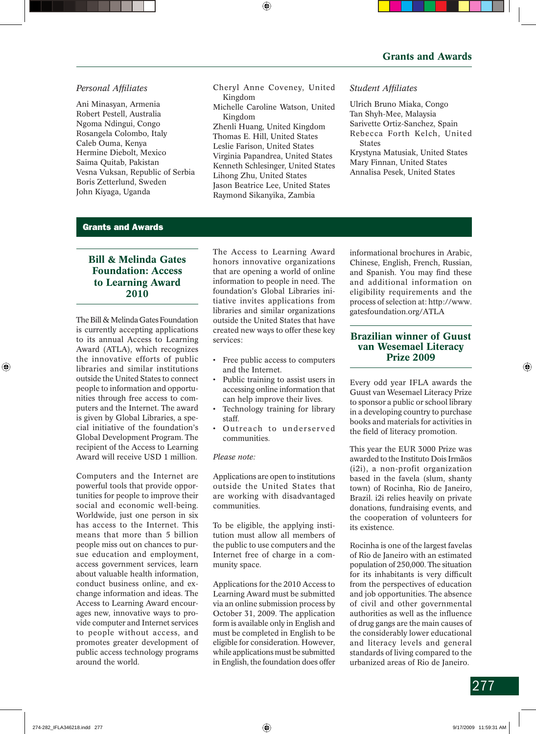## **Personal Affiliates**

Ani Minasyan, Armenia Robert Pestell, Australia Ngoma Ndingui, Congo Rosangela Colombo, Italy Caleb Ouma, Kenya Hermine Diebolt, Mexico Saima Quitab, Pakistan Vesna Vuksan, Republic of Serbia Boris Zetterlund, Sweden John Kiyaga, Uganda

- Cheryl Anne Coveney, United Kingdom
- Michelle Caroline Watson, United Kingdom

Zhenli Huang, United Kingdom Thomas E. Hill, United States Leslie Farison, United States Virginia Papandrea, United States Kenneth Schlesinger, United States Lihong Zhu, United States Jason Beatrice Lee, United States Raymond Sikanyika, Zambia

## *Student Affi liates*

Ulrich Bruno Miaka, Congo Tan Shyh-Mee, Malaysia Sarivette Ortiz-Sanchez, Spain Rebecca Forth Kelch, United **States** 

Krystyna Matusiak, United States Mary Finnan, United States Annalisa Pesek, United States

## Grants and Awards

# **Bill & Melinda Gates Foundation: Access to Learning Award 2010**

The Bill & Melinda Gates Foundation is currently accepting applications to its annual Access to Learning Award (ATLA), which recognizes the innovative efforts of public libraries and similar institutions outside the United States to connect people to information and opportunities through free access to computers and the Internet. The award is given by Global Libraries, a special initiative of the foundation's Global Development Program. The recipient of the Access to Learning Award will receive USD 1 million.

Computers and the Internet are powerful tools that provide opportunities for people to improve their social and economic well-being. Worldwide, just one person in six has access to the Internet. This means that more than 5 billion people miss out on chances to pursue education and employment, access government services, learn about valuable health information, conduct business online, and exchange information and ideas. The Access to Learning Award encourages new, innovative ways to provide computer and Internet services to people without access, and promotes greater development of public access technology programs around the world.

The Access to Learning Award honors innovative organizations that are opening a world of online information to people in need. The foundation's Global Libraries initiative invites applications from libraries and similar organizations outside the United States that have created new ways to offer these key services:

- Free public access to computers and the Internet.
- Public training to assist users in accessing online information that can help improve their lives.
- Technology training for library staff.
- Outreach to underserved communities.

#### *Please note:*

Applications are open to institutions outside the United States that are working with disadvantaged communities.

To be eligible, the applying institution must allow all members of the public to use computers and the Internet free of charge in a community space.

Applications for the 2010 Access to Learning Award must be submitted via an online submission process by October 31, 2009. The application form is available only in English and must be completed in English to be eligible for consideration. However, while applications must be submitted in English, the foundation does offer informational brochures in Arabic, Chinese, English, French, Russian, and Spanish. You may find these and additional information on eligibility requirements and the process of selection at: http://www. gatesfoundation.org/ATLA

# **Brazilian winner of Guust van Wesemael Literacy Prize 2009**

Every odd year IFLA awards the Guust van Wesemael Literacy Prize to sponsor a public or school library in a developing country to purchase books and materials for activities in the field of literacy promotion.

This year the EUR 3000 Prize was awarded to the Instituto Dois Irmãos (i2i), a non-profit organization based in the favela (slum, shanty town) of Rocinha, Rio de Janeiro, Brazil. i2i relies heavily on private donations, fundraising events, and the cooperation of volunteers for its existence.

Rocinha is one of the largest favelas of Rio de Janeiro with an estimated population of 250,000. The situation for its inhabitants is very difficult from the perspectives of education and job opportunities. The absence of civil and other governmental authorities as well as the influence of drug gangs are the main causes of the considerably lower educational and literacy levels and general standards of living compared to the urbanized areas of Rio de Janeiro.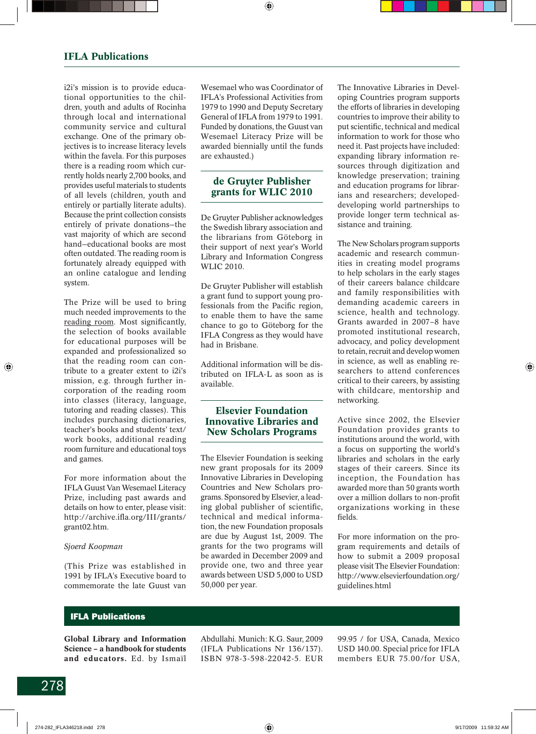i2i's mission is to provide educational opportunities to the children, youth and adults of Rocinha through local and international community service and cultural exchange. One of the primary objectives is to increase literacy levels within the favela. For this purposes there is a reading room which currently holds nearly 2,700 books, and provides useful materials to students of all levels (children, youth and entirely or partially literate adults). Because the print collection consists entirely of private donations—the vast majority of which are second hand—educational books are most often outdated. The reading room is fortunately already equipped with an online catalogue and lending system.

The Prize will be used to bring much needed improvements to the reading room. Most significantly, the selection of books available for educational purposes will be expanded and professionalized so that the reading room can contribute to a greater extent to i2i's mission, e.g. through further incorporation of the reading room into classes (literacy, language, tutoring and reading classes). This includes purchasing dictionaries, teacher's books and students' text/ work books, additional reading room furniture and educational toys and games.

For more information about the IFLA Guust Van Wesemael Literacy Prize, including past awards and details on how to enter, please visit: http://archive.ifla.org/III/grants/ grant02.htm.

#### *Sjoerd Koopman*

(This Prize was established in 1991 by IFLA's Executive board to commemorate the late Guust van Wesemael who was Coordinator of IFLA's Professional Activities from 1979 to 1990 and Deputy Secretary General of IFLA from 1979 to 1991. Funded by donations, the Guust van Wesemael Literacy Prize will be awarded biennially until the funds are exhausted.)

## **de Gruyter Publisher grants for WLIC 2010**

De Gruyter Publisher acknowledges the Swedish library association and the librarians from Göteborg in their support of next year's World Library and Information Congress WLIC 2010.

De Gruyter Publisher will establish a grant fund to support young professionals from the Pacific region, to enable them to have the same chance to go to Göteborg for the IFLA Congress as they would have had in Brisbane.

Additional information will be distributed on IFLA-L as soon as is available.

# **Elsevier Foundation Innovative Libraries and New Scholars Programs**

The Elsevier Foundation is seeking new grant proposals for its 2009 Innovative Libraries in Developing Countries and New Scholars programs. Sponsored by Elsevier, a leading global publisher of scientific, technical and medical information, the new Foundation proposals are due by August 1st, 2009. The grants for the two programs will be awarded in December 2009 and provide one, two and three year awards between USD 5,000 to USD 50,000 per year.

The Innovative Libraries in Developing Countries program supports the efforts of libraries in developing countries to improve their ability to put scientific, technical and medical information to work for those who need it. Past projects have included: expanding library information resources through digitization and knowledge preservation; training and education programs for librarians and researchers; developeddeveloping world partnerships to provide longer term technical assistance and training.

The New Scholars program supports academic and research communities in creating model programs to help scholars in the early stages of their careers balance childcare and family responsibilities with demanding academic careers in science, health and technology. Grants awarded in 2007–8 have promoted institutional research, advocacy, and policy development to retain, recruit and develop women in science, as well as enabling researchers to attend conferences critical to their careers, by assisting with childcare, mentorship and networking.

Active since 2002, the Elsevier Foundation provides grants to institutions around the world, with a focus on supporting the world's libraries and scholars in the early stages of their careers. Since its inception, the Foundation has awarded more than 50 grants worth over a million dollars to non-profit organizations working in these fields.

For more information on the program requirements and details of how to submit a 2009 proposal please visit The Elsevier Foundation: http://www.elsevierfoundation.org/ guidelines.html

## IFLA Publications

**Global Library and Information Science – a handbook for students and educators.** Ed. by Ismaïl

Abdullahi. Munich: K.G. Saur, 2009 (IFLA Publications Nr 136/137). ISBN 978-3-598-22042-5. EUR 99.95 / for USA, Canada, Mexico USD 140.00. Special price for IFLA members EUR 75.00/for USA,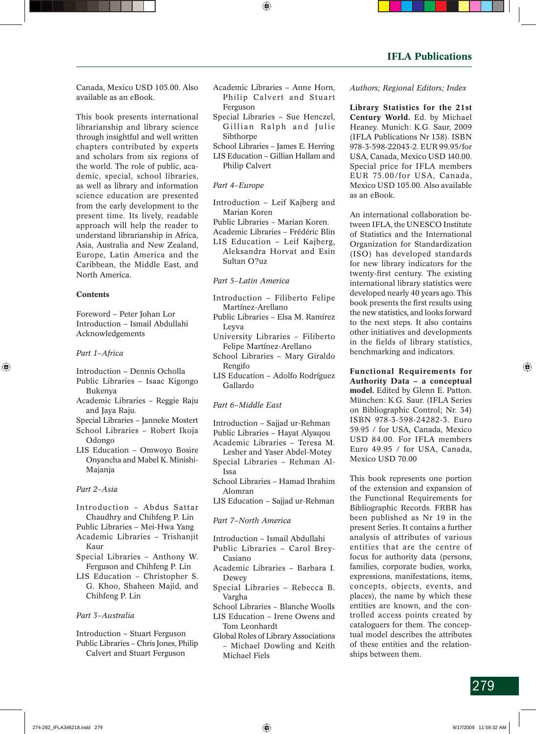Canada, Mexico USD 105.00. Also available as an eBook.

This book presents international librarianship and library science through insightful and well written chapters contributed by experts and scholars from six regions of the world. The role of public, academic, special, school libraries, as well as library and information science education are presented from the early development to the present time. Its lively, readable approach will help the reader to understand librarianship in Africa, Asia, Australia and New Zealand, Europe, Latin America and the Caribbean, the Middle East, and North America.

#### **Contents**

Foreword – Peter Johan Lor Introduction – Ismail Abdullahi Acknowledgements

#### *Part 1–Africa*

- Introduction Dennis Ocholla
- Public Libraries Isaac Kigongo Bukenya
- Academic Libraries Reggie Raju and Jaya Raju.
- Special Libraries Janneke Mostert School Libraries – Robert Ikoja Odongo
- LIS Education Omwoyo Bosire Onyancha and Mabel K. Minishi-Majanja

#### *Part 2–Asia*

- Introduction Abdus Sattar Chaudhry and Chihfeng P. Lin
- Public Libraries Mei-Hwa Yang
- Academic Libraries Trishanjit Kaur
- Special Libraries Anthony W. Ferguson and Chihfeng P. Lin
- LIS Education Christopher S. G. Khoo, Shaheen Majid, and Chihfeng P. Lin

#### *Part 3–Australia*

Introduction – Stuart Ferguson Public Libraries – Chris Jones, Philip Calvert and Stuart Ferguson

- Academic Libraries Anne Horn, Philip Calvert and Stuart Ferguson
- Special Libraries Sue Henczel, Gillian Ralph and Julie Sibthorpe
- School Libraries James E. Herring LIS Education – Gillian Hallam and Philip Calvert

#### *Part 4–Europe*

- Introduction Leif Kajberg and Marian Koren
- Public Libraries Marian Koren.
- Academic Libraries Frédéric Blin LIS Education – Leif Kajberg, Aleksandra Horvat and Esin
- Sultan O?uz

#### *Part 5–Latin America*

- Introduction Filiberto Felipe Martínez-Arellano
- Public Libraries Elsa M. Ramírez Leyva
- University Libraries Filiberto Felipe Martínez-Arellano
- School Libraries Mary Giraldo Rengifo
- LIS Education Adolfo Rodríguez Gallardo

#### *Part 6–Middle East*

- Introduction Sajjad ur-Rehman Public Libraries – Hayat Alyaqou
- Academic Libraries Teresa M.
- Lesher and Yaser Abdel-Motey Special Libraries – Rehman Al-Issa
- School Libraries Hamad Ibrahim Alomran
- LIS Education Sajjad ur-Rehman

#### *Part 7–North America*

- Introduction Ismail Abdullahi
- Public Libraries Carol Brey-Casiano
- Academic Libraries Barbara I. Dewey
- Special Libraries Rebecca B. Vargha
- School Libraries Blanche Woolls LIS Education – Irene Owens and
- Tom Leonhardt Global Roles of Library Associations
- Michael Dowling and Keith Michael Fiels

#### *Authors; Regional Editors; Index*

**Library Statistics for the 21st Century World.** Ed. by Michael Heaney. Munich: K.G. Saur, 2009 (IFLA Publications Nr 138). ISBN 978-3-598-22043-2. EUR 99.95/for USA, Canada, Mexico USD 140.00. Special price for IFLA members EUR 75.00/for USA, Canada, Mexico USD 105.00. Also available as an eBook.

An international collaboration between IFLA, the UNESCO Institute of Statistics and the International Organization for Standardization (ISO) has developed standards for new library indicators for the twenty-first century. The existing international library statistics were developed nearly 40 years ago. This book presents the first results using the new statistics, and looks forward to the next steps. It also contains other initiatives and developments in the fields of library statistics, benchmarking and indicators.

**Functional Requirements for Authority Data – a conceptual model.** Edited by Glenn E. Patton. München: K.G. Saur. (IFLA Series on Bibliographic Control; Nr. 34) ISBN 978-3-598-24282-3. Euro 59.95 / for USA, Canada, Mexico USD 84.00. For IFLA members Euro 49.95 / for USA, Canada, Mexico USD 70.00

This book represents one portion of the extension and expansion of the Functional Requirements for Bibliographic Records. FRBR has been published as Nr 19 in the present Series. It contains a further analysis of attributes of various entities that are the centre of focus for authority data (persons, families, corporate bodies, works, expressions, manifestations, items, concepts, objects, events, and places), the name by which these entities are known, and the controlled access points created by cataloguers for them. The conceptual model describes the attributes of these entities and the relationships between them.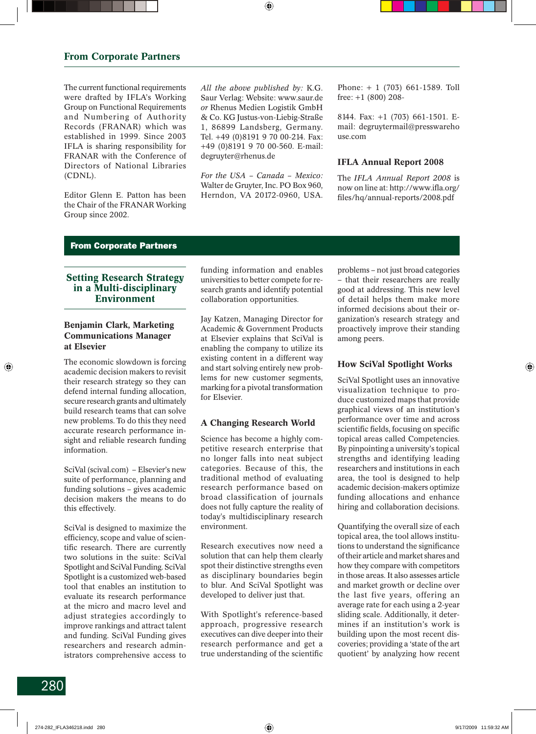# **From Corporate Partners**

The current functional requirements were drafted by IFLA's Working Group on Functional Requirements and Numbering of Authority Records (FRANAR) which was established in 1999. Since 2003 IFLA is sharing responsibility for FRANAR with the Conference of Directors of National Libraries (CDNL).

Editor Glenn E. Patton has been the Chair of the FRANAR Working Group since 2002.

*All the above published by:* K.G. Saur Verlag: Website: www.saur.de *or* Rhenus Medien Logistik GmbH & Co. KG Justus-von-Liebig-Straße 1, 86899 Landsberg, Germany. Tel. +49 (0)8191 9 70 00-214. Fax: +49 (0)8191 9 70 00-560. E-mail: degruyter@rhenus.de

*For the USA – Canada – Mexico:* Walter de Gruyter, Inc. PO Box 960, Herndon, VA 20172-0960, USA. Phone: + 1 (703) 661-1589. Toll free: +1 (800) 208-

8144. Fax: +1 (703) 661-1501. Email: degruytermail@presswareho use.com

#### **IFLA Annual Report 2008**

The *IFLA Annual Report 2008* is now on line at: http://www.ifla.org/ files/hq/annual-reports/2008.pdf

## From Corporate Partners

# **Setting Research Strategy in a Multi-disciplinary Environment**

## **Benjamin Clark, Marketing Communications Manager at Elsevier**

The economic slowdown is forcing academic decision makers to revisit their research strategy so they can defend internal funding allocation, secure research grants and ultimately build research teams that can solve new problems. To do this they need accurate research performance insight and reliable research funding information.

SciVal (scival.com) – Elsevier's new suite of performance, planning and funding solutions – gives academic decision makers the means to do this effectively.

SciVal is designed to maximize the efficiency, scope and value of scientific research. There are currently two solutions in the suite: SciVal Spotlight and SciVal Funding. SciVal Spotlight is a customized web-based tool that enables an institution to evaluate its research performance at the micro and macro level and adjust strategies accordingly to improve rankings and attract talent and funding. SciVal Funding gives researchers and research administrators comprehensive access to

funding information and enables universities to better compete for research grants and identify potential collaboration opportunities.

Jay Katzen, Managing Director for Academic & Government Products at Elsevier explains that SciVal is enabling the company to utilize its existing content in a different way and start solving entirely new problems for new customer segments, marking for a pivotal transformation for Elsevier.

#### **A Changing Research World**

Science has become a highly competitive research enterprise that no longer falls into neat subject categories. Because of this, the traditional method of evaluating research performance based on broad classification of journals does not fully capture the reality of today's multidisciplinary research environment.

Research executives now need a solution that can help them clearly spot their distinctive strengths even as disciplinary boundaries begin to blur. And SciVal Spotlight was developed to deliver just that.

With Spotlight's reference-based approach, progressive research executives can dive deeper into their research performance and get a true understanding of the scientific problems – not just broad categories – that their researchers are really good at addressing. This new level of detail helps them make more informed decisions about their organization's research strategy and proactively improve their standing among peers.

#### **How SciVal Spotlight Works**

SciVal Spotlight uses an innovative visualization technique to produce customized maps that provide graphical views of an institution's performance over time and across scientific fields, focusing on specific topical areas called Competencies. By pinpointing a university's topical strengths and identifying leading researchers and institutions in each area, the tool is designed to help academic decision-makers optimize funding allocations and enhance hiring and collaboration decisions.

Quantifying the overall size of each topical area, the tool allows institutions to understand the significance of their article and market shares and how they compare with competitors in those areas. It also assesses article and market growth or decline over the last five years, offering an average rate for each using a 2-year sliding scale. Additionally, it determines if an institution's work is building upon the most recent discoveries; providing a 'state of the art quotient' by analyzing how recent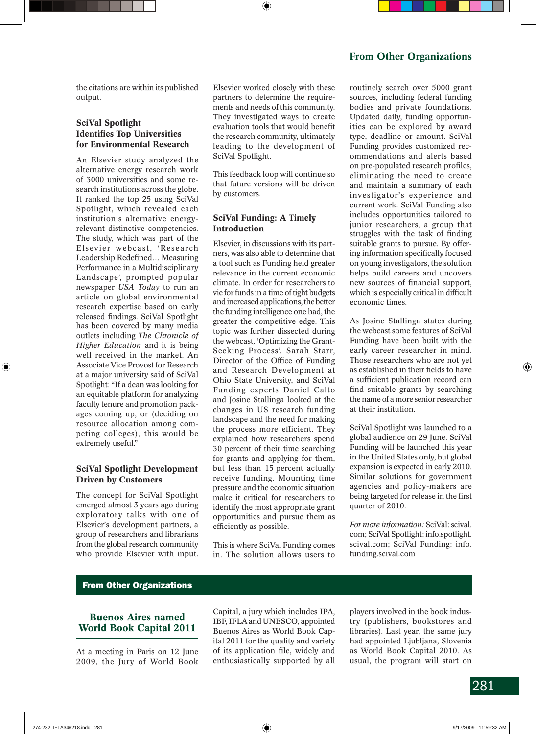the citations are within its published output.

# **SciVal Spotlight Identifies Top Universities for Environmental Research**

An Elsevier study analyzed the alternative energy research work of 3000 universities and some research institutions across the globe. It ranked the top 25 using SciVal Spotlight, which revealed each institution's alternative energyrelevant distinctive competencies. The study, which was part of the Elsevier webcast, 'Research Leadership Redefined... Measuring Performance in a Multidisciplinary Landscape', prompted popular newspaper *USA Today* to run an article on global environmental research expertise based on early released findings. SciVal Spotlight has been covered by many media outlets including *The Chronicle of Higher Education* and it is being well received in the market. An Associate Vice Provost for Research at a major university said of SciVal Spotlight: "If a dean was looking for an equitable platform for analyzing faculty tenure and promotion packages coming up, or (deciding on resource allocation among competing colleges), this would be extremely useful."

# **SciVal Spotlight Development Driven by Customers**

The concept for SciVal Spotlight emerged almost 3 years ago during exploratory talks with one of Elsevier's development partners, a group of researchers and librarians from the global research community who provide Elsevier with input. Elsevier worked closely with these partners to determine the requirements and needs of this community. They investigated ways to create evaluation tools that would benefit the research community, ultimately leading to the development of SciVal Spotlight.

This feedback loop will continue so that future versions will be driven by customers.

# **SciVal Funding: A Timely Introduction**

Elsevier, in discussions with its partners, was also able to determine that a tool such as Funding held greater relevance in the current economic climate. In order for researchers to vie for funds in a time of tight budgets and increased applications, the better the funding intelligence one had, the greater the competitive edge. This topic was further dissected during the webcast, 'Optimizing the Grant-Seeking Process'. Sarah Starr, Director of the Office of Funding and Research Development at Ohio State University, and SciVal Funding experts Daniel Calto and Josine Stallinga looked at the changes in US research funding landscape and the need for making the process more efficient. They explained how researchers spend 30 percent of their time searching for grants and applying for them, but less than 15 percent actually receive funding. Mounting time pressure and the economic situation make it critical for researchers to identify the most appropriate grant opportunities and pursue them as efficiently as possible.

This is where SciVal Funding comes in. The solution allows users to

routinely search over 5000 grant sources, including federal funding bodies and private foundations. Updated daily, funding opportunities can be explored by award type, deadline or amount. SciVal Funding provides customized recommendations and alerts based on pre-populated research profiles, eliminating the need to create and maintain a summary of each investigator's experience and current work. SciVal Funding also includes opportunities tailored to junior researchers, a group that struggles with the task of finding suitable grants to pursue. By offering information specifically focused on young investigators, the solution helps build careers and uncovers new sources of financial support, which is especially critical in difficult economic times.

As Josine Stallinga states during the webcast some features of SciVal Funding have been built with the early career researcher in mind. Those researchers who are not yet as established in their fields to have a sufficient publication record can find suitable grants by searching the name of a more senior researcher at their institution.

SciVal Spotlight was launched to a global audience on 29 June. SciVal Funding will be launched this year in the United States only, but global expansion is expected in early 2010. Similar solutions for government agencies and policy-makers are being targeted for release in the first quarter of 2010.

*For more information:* SciVal: scival. com; SciVal Spotlight: info.spotlight. scival.com; SciVal Funding: info. funding.scival.com

# From Other Organizations

# **Buenos Aires named World Book Capital 2011**

At a meeting in Paris on 12 June 2009, the Jury of World Book

Capital, a jury which includes IPA, IBF, IFLA and UNESCO, appointed Buenos Aires as World Book Capital 2011 for the quality and variety of its application file, widely and enthusiastically supported by all

players involved in the book industry (publishers, bookstores and libraries). Last year, the same jury had appointed Ljubljana, Slovenia as World Book Capital 2010. As usual, the program will start on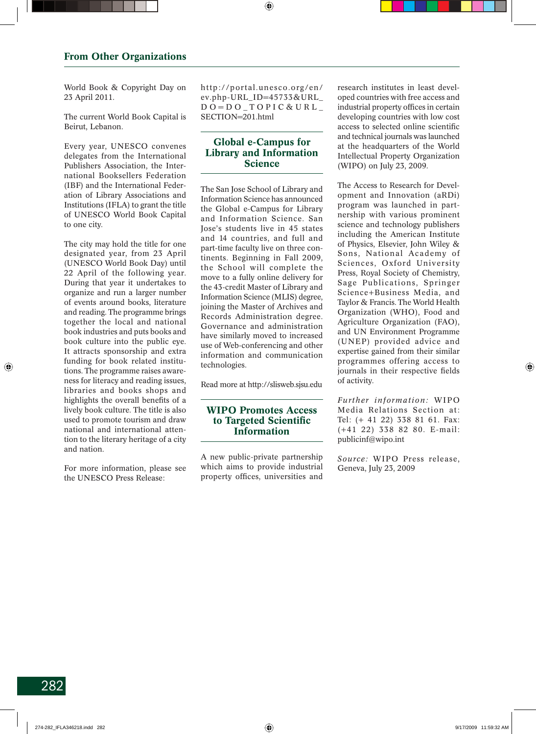World Book & Copyright Day on 23 April 2011.

The current World Book Capital is Beirut, Lebanon.

Every year, UNESCO convenes delegates from the International Publishers Association, the International Booksellers Federation (IBF) and the International Federation of Library Associations and Institutions (IFLA) to grant the title of UNESCO World Book Capital to one city.

The city may hold the title for one designated year, from 23 April (UNESCO World Book Day) until 22 April of the following year. During that year it undertakes to organize and run a larger number of events around books, literature and reading. The programme brings together the local and national book industries and puts books and book culture into the public eye. It attracts sponsorship and extra funding for book related institutions. The programme raises awareness for literacy and reading issues, libraries and books shops and highlights the overall benefits of a lively book culture. The title is also used to promote tourism and draw national and international attention to the literary heritage of a city and nation.

For more information, please see the UNESCO Press Release:

http://portal.unesco.org/en/ ev.php-URL\_ID=45733&URL\_  $DO = DO - TO PIC & URL$ SECTION=201.html

## **Global e-Campus for Library and Information Science**

The San Jose School of Library and Information Science has announced the Global e-Campus for Library and Information Science. San Jose's students live in 45 states and 14 countries, and full and part-time faculty live on three continents. Beginning in Fall 2009, the School will complete the move to a fully online delivery for the 43-credit Master of Library and Information Science (MLIS) degree, joining the Master of Archives and Records Administration degree. Governance and administration have similarly moved to increased use of Web-conferencing and other information and communication technologies.

Read more at http://slisweb.sjsu.edu

## **WIPO Promotes Access to Targeted Scientific Information**

A new public-private partnership which aims to provide industrial property offices, universities and research institutes in least developed countries with free access and industrial property offices in certain developing countries with low cost access to selected online scientific and technical journals was launched at the headquarters of the World Intellectual Property Organization (WIPO) on July 23, 2009.

The Access to Research for Development and Innovation (aRDi) program was launched in partnership with various prominent science and technology publishers including the American Institute of Physics, Elsevier, John Wiley & Sons, National Academy of Sciences, Oxford University Press, Royal Society of Chemistry, Sage Publications, Springer Science+Business Media, and Taylor & Francis. The World Health Organization (WHO), Food and Agriculture Organization (FAO), and UN Environment Programme (UNEP) provided advice and expertise gained from their similar programmes offering access to journals in their respective fields of activity.

*Further information:* WIPO Media Relations Section at: Tel: (+ 41 22) 338 81 61. Fax: (+41 22) 338 82 80. E-mail: publicinf@wipo.int

*Source:* WIPO Press release, Geneva, July 23, 2009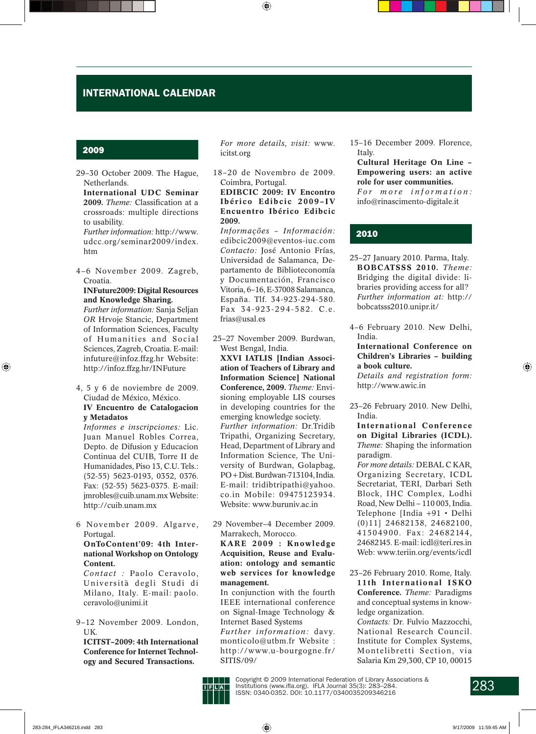## 2009

29–30 October 2009. The Hague, Netherlands.

**International UDC Seminar 2009.** *Theme:* Classification at a crossroads: multiple directions to usability.

*Further information:* http://www. udcc.org/seminar2009/index. htm

4–6 November 2009. Zagreb, Croatia.

### **INFuture2009: Digital Resources and Knowledge Sharing.**

*Further information:* Sanja Seljan *OR* Hrvoje Stancic, Department of Information Sciences, Faculty of Humanities and Social Sciences, Zagreb, Croatia. E-mail: infuture@infoz.ffzg.hr Website: http://infoz.ffzg.hr/INFuture

4, 5 y 6 de noviembre de 2009. Ciudad de México, México. **IV Encuentro de Catalogacion y Metadatos**

*Informes e inscripciones:* Lic. Juan Manuel Robles Correa, Depto. de Difusion y Educacion Continua del CUIB, Torre II de Humanidades, Piso 13, C.U. Tels.: (52-55) 5623-0193, 0352, 0376. Fax: (52-55) 5623-0375. E-mail: jmrobles@cuib.unam.mx Website: http://cuib.unam.mx

6 November 2009. Algarve, Portugal.

## **OnToContent'09: 4th International Workshop on Ontology Content.**

*Contact :* Paolo Ceravolo, Università degli Studi di Milano, Italy. E-mail: paolo. ceravolo@unimi.it

9–12 November 2009. London, UK.

**ICITST–2009: 4th International Conference for Internet Technology and Secured Transactions.** 

*For more details, visit:* www. icitst.org

18–20 de Novembro de 2009. Coimbra, Portugal.

### **EDIBCIC 2009: IV Encontro Ibérico Edibcic 2009–IV Encuentro Ibérico Edibcic 2009.**

*Informações – Información:*  edibcic2009@eventos-iuc.com *Contacto:* José Antonio Frías, Universidad de Salamanca, Departamento de Biblioteconomía y Documentación, Francisco Vitoria, 6–16, E-37008 Salamanca, España. Tlf. 34-923-294-580. Fax 34-923-294-582. C.e. frias@usal.es

25–27 November 2009. Burdwan, West Bengal, India. **XXVI IATLIS [Indian Associ-**

**ation of Teachers of Library and Information Science] National Conference, 2009.** *Theme:* Envisioning employable LIS courses in developing countries for the emerging knowledge society. *Further information:* Dr.Tridib Tripathi, Organizing Secretary, Head, Department of Library and Information Science, The University of Burdwan, Golapbag, PO + Dist. Burdwan-713104, India. E-mail: tridibtripathi@yahoo. co.in Mobile: 09475123934. Website: www.buruniv.ac.in

29 November–4 December 2009. Marrakech, Morocco.

**KARE 2009** : Knowledge **Acquisition, Reuse and Evaluation: ontology and semantic web services for knowledge management.**

In conjunction with the fourth IEEE international conference on Signal-Image Technology & Internet Based Systems

*Further information:* davy. monticolo@utbm.fr Website : http://www.u-bourgogne.fr/ SITIS/09/

15–16 December 2009. Florence, Italy.

**Cultural Heritage On Line – Empowering users: an active role for user communities.** 

For more information: info@rinascimento-digitale.it

## 2010

25–27 January 2010. Parma, Italy. **BOBCATSSS 2010.** *Theme:*  Bridging the digital divide: libraries providing access for all? *Further information at:* http:// bobcatsss2010.unipr.it/

4–6 February 2010. New Delhi, India.

### **International Conference on Children's Libraries – building a book culture.**

*Details and registration form:*  http://www.awic.in

23–26 February 2010. New Delhi, India.

**International Conference on Digital Libraries (ICDL).** *Theme:* Shaping the information paradigm.

*For more details:* DEBAL C KAR, Organizing Secretary, ICDL Secretariat, TERI, Darbari Seth Block, IHC Complex, Lodhi Road, New Delhi – 110 003, India. Telephone [India +91 • Delhi (0)11] 24682138, 24682100, 41504900. Fax: 24682144, 24682145. E-mail: icdl@teri.res.in Web: www.teriin.org/events/icdl

23–26 February 2010. Rome, Italy. 11th International ISKO **Conference.** *Theme:* Paradigms and conceptual systems in knowledge organization.

*Contacts:* Dr. Fulvio Mazzocchi, National Research Council. Institute for Complex Systems, Montelibretti Section, via Salaria Km 29,300, CP 10, 00015

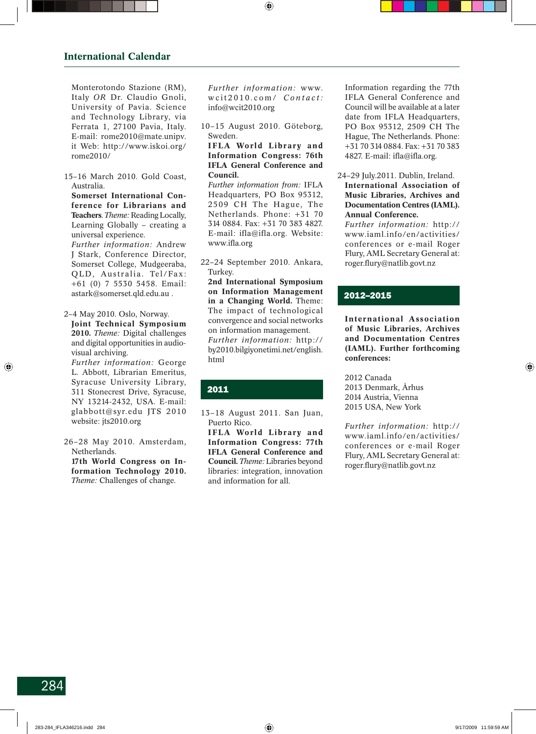Monterotondo Stazione (RM), Italy *OR* Dr. Claudio Gnoli, University of Pavia. Science and Technology Library, via Ferrata 1, 27100 Pavia, Italy. E-mail: rome2010@mate.unipv. it Web: http://www.iskoi.org/ rome2010/

15–16 March 2010. Gold Coast, Australia.

**Somerset International Conference for Librarians and Teachers**. *Theme:* Reading Locally, Learning Globally – creating a universal experience. *Further information:* Andrew J Stark, Conference Director, Somerset College, Mudgeeraba, QLD, Australia. Tel/Fax: +61 (0) 7 5530 5458. Email: astark@somerset.qld.edu.au .

2–4 May 2010. Oslo, Norway. **Joint Technical Symposium 2010.** *Theme:* Digital challenges and digital opportunities in audiovisual archiving.

*Further information:* George L. Abbott, Librarian Emeritus, Syracuse University Library, 311 Stonecrest Drive, Syracuse, NY 13214-2432, USA. E-mail: glabbott@syr.edu JTS 2010 website: jts2010.org

26–28 May 2010. Amsterdam, Netherlands.

**17th World Congress on Information Technology 2010.** *Theme:* Challenges of change.

*Further information:* www. wcit2010.com/ *C o n t a c t :*  info@wcit2010.org

10–15 August 2010. Göteborg, Sweden.

**I F LA World Library and Information Congress: 76th IFLA General Conference and Council.**

*Further information from:* IFLA Headquarters, PO Box 95312, 2509 CH The Hague, The Netherlands. Phone: +31 70 314 0884. Fax: +31 70 383 4827. E-mail: ifla@ifla.org. Website: www.ifla.org

22–24 September 2010. Ankara, Turkey.

**2nd International Symposium on Information Management in a Changing World.** Theme: The impact of technological convergence and social networks on information management. *Further information:* http:// by2010.bilgiyonetimi.net/english. html

## 2011

13–18 August 2011. San Juan, Puerto Rico. **I F LA World Library and Information Congress: 77th IFLA General Conference and Council.** *Theme:* Libraries beyond

libraries: integration, innovation

and information for all.

Information regarding the 77th IFLA General Conference and Council will be available at a later date from IFLA Headquarters, PO Box 95312, 2509 CH The Hague, The Netherlands. Phone: +31 70 314 0884. Fax: +31 70 383 4827. E-mail: ifla@ifla.org.

### 24–29 July.2011. Dublin, Ireland. **International Association of Music Libraries, Archives and Documentation Centres (IAML). Annual Conference.**

*Further information:* http:// www.iaml.info/en/activities/ conferences or e-mail Roger Flury, AML Secretary General at: roger.flury@natlib.govt.nz

## 2012–2015

**International Association of Music Libraries, Archives and Documentation Centres (IAML). Further forthcoming conferences:**

2012 Canada 2013 Denmark, Århus 2014 Austria, Vienna 2015 USA, New York

*Further information:* http:// www.iaml.info/en/activities/ conferences or e-mail Roger Flury, AML Secretary General at: roger.flury@natlib.govt.nz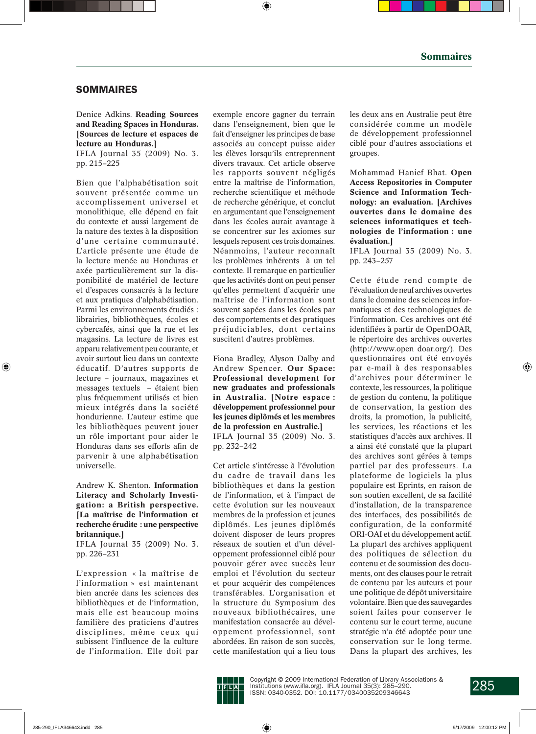# **SOMMAIRES**

### Denice Adkins. **Reading Sources and Reading Spaces in Honduras. [Sources de lecture et espaces de lecture au Honduras.]**

IFLA Journal 35 (2009) No. 3. pp. 215–225

Bien que l'alphabétisation soit souvent présentée comme un accomplissement universel et monolithique, elle dépend en fait du contexte et aussi largement de la nature des textes à la disposition d'une certaine communauté. L'article présente une étude de la lecture menée au Honduras et axée particulièrement sur la disponibilité de matériel de lecture et d'espaces consacrés à la lecture et aux pratiques d'alphabétisation. Parmi les environnements étudiés : librairies, bibliothèques, écoles et cybercafés, ainsi que la rue et les magasins. La lecture de livres est apparu relativement peu courante, et avoir surtout lieu dans un contexte éducatif. D'autres supports de lecture – journaux, magazines et messages textuels – étaient bien plus fréquemment utilisés et bien mieux intégrés dans la société hondurienne. L'auteur estime que les bibliothèques peuvent jouer un rôle important pour aider le Honduras dans ses efforts afin de parvenir à une alphabétisation universelle.

### Andrew K. Shenton. **Information Literacy and Scholarly Investigation: a British perspective. [La maîtrise de l'information et recherche érudite : une perspective britannique.]**

IFLA Journal 35 (2009) No. 3. pp. 226–231

L'expression « la maîtrise de l'information » est maintenant bien ancrée dans les sciences des bibliothèques et de l'information, mais elle est beaucoup moins familière des praticiens d'autres disciplines, même ceux qui subissent l'influence de la culture de l'information. Elle doit par exemple encore gagner du terrain dans l'enseignement, bien que le fait d'enseigner les principes de base associés au concept puisse aider les élèves lorsqu'ils entreprennent divers travaux. Cet article observe les rapports souvent négligés entre la maîtrise de l'information, recherche scientifique et méthode de recherche générique, et conclut en argumentant que l'enseignement dans les écoles aurait avantage à se concentrer sur les axiomes sur lesquels reposent ces trois domaines. Néanmoins, l'auteur reconnaît les problèmes inhérents à un tel contexte. Il remarque en particulier que les activités dont on peut penser qu'elles permettent d'acquérir une maîtrise de l'information sont souvent sapées dans les écoles par des comportements et des pratiques préjudiciables, dont certains suscitent d'autres problèmes.

Fiona Bradley, Alyson Dalby and Andrew Spencer. **Our Space: Professional development for new graduates and professionals in Australia. [Notre espace : développement professionnel pour les jeunes diplômés et les membres de la profession en Australie.]** IFLA Journal 35 (2009) No. 3. pp. 232–242

Cet article s'intéresse à l'évolution du cadre de travail dans les bibliothèques et dans la gestion de l'information, et à l'impact de cette évolution sur les nouveaux membres de la profession et jeunes diplômés. Les jeunes diplômés doivent disposer de leurs propres réseaux de soutien et d'un développement professionnel ciblé pour pouvoir gérer avec succès leur emploi et l'évolution du secteur et pour acquérir des compétences transférables. L'organisation et la structure du Symposium des nouveaux bibliothécaires, une manifestation consacrée au développement professionnel, sont abordées. En raison de son succès, cette manifestation qui a lieu tous les deux ans en Australie peut être considérée comme un modèle de développement professionnel ciblé pour d'autres associations et groupes.

Mohammad Hanief Bhat. **Open Access Repositories in Computer Science and Information Technology: an evaluation. [Archives ouvertes dans le domaine des sciences informatiques et technologies de l'information : une évaluation.]**

IFLA Journal 35 (2009) No. 3. pp. 243–257

Cette étude rend compte de l'évaluation de neuf archives ouvertes dans le domaine des sciences informatiques et des technologiques de l'information. Ces archives ont été identifiées à partir de OpenDOAR, le répertoire des archives ouvertes (http://www.open doar.org/). Des questionnaires ont été envoyés par e-mail à des responsables d'archives pour déterminer le contexte, les ressources, la politique de gestion du contenu, la politique de conservation, la gestion des droits, la promotion, la publicité, les services, les réactions et les statistiques d'accès aux archives. Il a ainsi été constaté que la plupart des archives sont gérées à temps partiel par des professeurs. La plateforme de logiciels la plus populaire est Eprints, en raison de son soutien excellent, de sa facilité d'installation, de la transparence des interfaces, des possibilités de configuration, de la conformité ORI-OAI et du développement actif. La plupart des archives appliquent des politiques de sélection du contenu et de soumission des documents, ont des clauses pour le retrait de contenu par les auteurs et pour une politique de dépôt universitaire volontaire. Bien que des sauvegardes soient faites pour conserver le contenu sur le court terme, aucune stratégie n'a été adoptée pour une conservation sur le long terme. Dans la plupart des archives, les

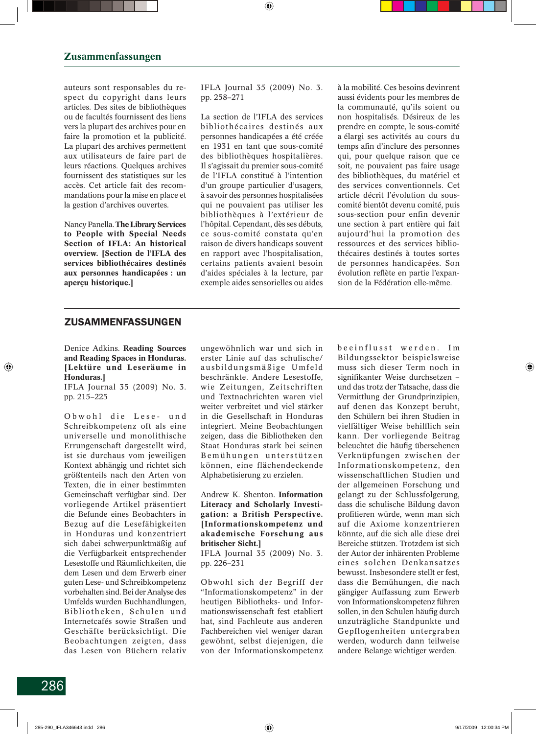auteurs sont responsables du respect du copyright dans leurs articles. Des sites de bibliothèques ou de facultés fournissent des liens vers la plupart des archives pour en faire la promotion et la publicité. La plupart des archives permettent aux utilisateurs de faire part de leurs réactions. Quelques archives fournissent des statistiques sur les accès. Cet article fait des recommandations pour la mise en place et la gestion d'archives ouvertes.

Nancy Panella. **The Library Services to People with Special Needs Section of IFLA: An historical overview. [Section de l'IFLA des services bibliothécaires destinés aux personnes handicapées : un aperçu historique.]**

IFLA Journal 35 (2009) No. 3. pp. 258–271

La section de l'IFLA des services bibliothécaires destinés aux personnes handicapées a été créée en 1931 en tant que sous-comité des bibliothèques hospitalières. Il s'agissait du premier sous-comité de l'IFLA constitué à l'intention d'un groupe particulier d'usagers, à savoir des personnes hospitalisées qui ne pouvaient pas utiliser les bibliothèques à l'extérieur de l'hôpital. Cependant, dès ses débuts, ce sous-comité constata qu'en raison de divers handicaps souvent en rapport avec l'hospitalisation, certains patients avaient besoin d'aides spéciales à la lecture, par exemple aides sensorielles ou aides à la mobilité. Ces besoins devinrent aussi évidents pour les membres de la communauté, qu'ils soient ou non hospitalisés. Désireux de les prendre en compte, le sous-comité a élargi ses activités au cours du temps afin d'inclure des personnes qui, pour quelque raison que ce soit, ne pouvaient pas faire usage des bibliothèques, du matériel et des services conventionnels. Cet article décrit l'évolution du souscomité bientôt devenu comité, puis sous-section pour enfin devenir une section à part entière qui fait aujourd'hui la promotion des ressources et des services bibliothécaires destinés à toutes sortes de personnes handicapées. Son évolution reflète en partie l'expansion de la Fédération elle-même.

## ZUSAMMENFASSUNGEN

### Denice Adkins. **Reading Sources and Reading Spaces in Honduras. [Lektüre und Leseräume in Honduras.]**

IFLA Journal 35 (2009) No. 3. pp. 215–225

Obwohl die Lese- und Schreibkompetenz oft als eine universelle und monolithische Errungenschaft dargestellt wird, ist sie durchaus vom jeweiligen Kontext abhängig und richtet sich größtenteils nach den Arten von Texten, die in einer bestimmten Gemeinschaft verfügbar sind. Der vorliegende Artikel präsentiert die Befunde eines Beobachters in Bezug auf die Lesefähigkeiten in Honduras und konzentriert sich dabei schwerpunktmäßig auf die Verfügbarkeit entsprechender Lesestoffe und Räumlichkeiten, die dem Lesen und dem Erwerb einer guten Lese- und Schreibkompetenz vorbehalten sind. Bei der Analyse des Umfelds wurden Buchhandlungen, Bibliotheken, Schulen und Internetcafés sowie Straßen und Geschäfte berücksichtigt. Die Beobachtungen zeigten, dass das Lesen von Büchern relativ

ungewöhnlich war und sich in erster Linie auf das schulische/ ausbildungsmäßige Umfeld beschränkte. Andere Lesestoffe, wie Zeitungen, Zeitschriften und Textnachrichten waren viel weiter verbreitet und viel stärker in die Gesellschaft in Honduras integriert. Meine Beobachtungen zeigen, dass die Bibliotheken den Staat Honduras stark bei seinen Bemühungen unterstützen können, eine flächendeckende Alphabetisierung zu erzielen.

Andrew K. Shenton. **Information Literacy and Scholarly Investigation: a British Perspective. [Informationskompetenz und akademische Forschung aus britischer Sicht.]** 

IFLA Journal 35 (2009) No. 3. pp. 226–231

Obwohl sich der Begriff der "Informationskompetenz" in der heutigen Bibliotheks- und Informationswissenschaft fest etabliert hat, sind Fachleute aus anderen Fachbereichen viel weniger daran gewöhnt, selbst diejenigen, die von der Informationskompetenz beeinflusst werden. Im Bildungssektor beispielsweise muss sich dieser Term noch in signifikanter Weise durchsetzen und das trotz der Tatsache, dass die Vermittlung der Grundprinzipien, auf denen das Konzept beruht, den Schülern bei ihren Studien in vielfältiger Weise behilflich sein kann. Der vorliegende Beitrag beleuchtet die häufig übersehenen Verknüpfungen zwischen der Informationskompetenz, den wissenschaftlichen Studien und der allgemeinen Forschung und gelangt zu der Schlussfolgerung, dass die schulische Bildung davon profitieren würde, wenn man sich auf die Axiome konzentrieren könnte, auf die sich alle diese drei Bereiche stützen. Trotzdem ist sich der Autor der inhärenten Probleme eines solchen Denkansatzes bewusst. Insbesondere stellt er fest, dass die Bemühungen, die nach gängiger Auffassung zum Erwerb von Informationskompetenz führen sollen, in den Schulen häufig durch unzuträgliche Standpunkte und Gepflogenheiten untergraben werden, wodurch dann teilweise andere Belange wichtiger werden.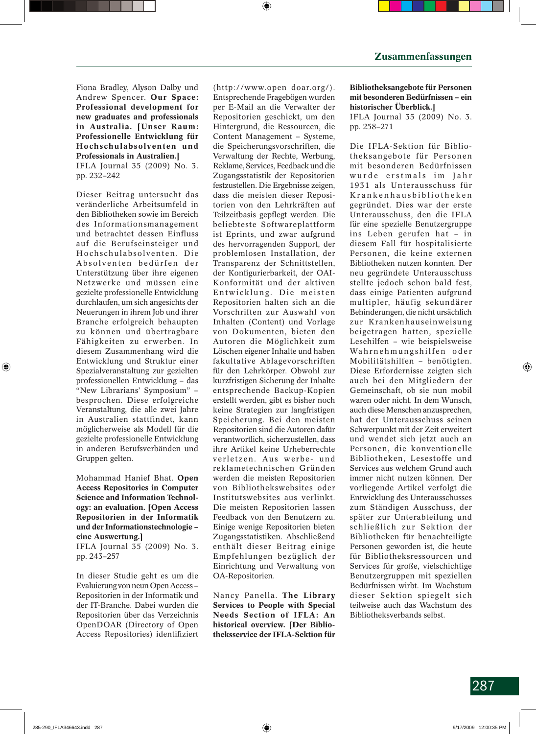Fiona Bradley, Alyson Dalby und Andrew Spencer. **Our Space: Professional development for new graduates and professionals in Australia. [Unser Raum: Professionelle Entwicklung für Hochschulabsolventen und Professionals in Australien.]** 

IFLA Journal 35 (2009) No. 3. pp. 232–242

Dieser Beitrag untersucht das veränderliche Arbeitsumfeld in den Bibliotheken sowie im Bereich des Informationsmanagement und betrachtet dessen Einfluss auf die Berufseinsteiger und Hochschulabsolventen. Die Absolventen bedürfen der Unterstützung über ihre eigenen Netzwerke und müssen eine gezielte professionelle Entwicklung durchlaufen, um sich angesichts der Neuerungen in ihrem Job und ihrer Branche erfolgreich behaupten zu können und übertragbare Fähigkeiten zu erwerben. In diesem Zusammenhang wird die Entwicklung und Struktur einer Spezialveranstaltung zur gezielten professionellen Entwicklung – das "New Librarians' Symposium" – besprochen. Diese erfolgreiche Veranstaltung, die alle zwei Jahre in Australien stattfindet, kann möglicherweise als Modell für die gezielte professionelle Entwicklung in anderen Berufsverbänden und Gruppen gelten.

Mohammad Hanief Bhat. **Open Access Repositories in Computer Science and Information Technology: an evaluation. [Open Access Repositorien in der Informatik und der Informationstechnologie – eine Auswertung.]**

IFLA Journal 35 (2009) No. 3. pp. 243–257

In dieser Studie geht es um die Evaluierung von neun Open Access – Repositorien in der Informatik und der IT-Branche. Dabei wurden die Repositorien über das Verzeichnis OpenDOAR (Directory of Open Access Repositories) identifiziert

(http://www.open doar.org/). Entsprechende Fragebögen wurden per E-Mail an die Verwalter der Repositorien geschickt, um den Hintergrund, die Ressourcen, die Content Management – Systeme, die Speicherungsvorschriften, die Verwaltung der Rechte, Werbung, Reklame, Services, Feedback und die Zugangsstatistik der Repositorien festzustellen. Die Ergebnisse zeigen, dass die meisten dieser Repositorien von den Lehrkräften auf Teilzeitbasis gepflegt werden. Die beliebteste Softwareplattform ist Eprints, und zwar aufgrund des hervorragenden Support, der problemlosen Installation, der Transparenz der Schnittstellen, der Konfigurierbarkeit, der OAI-Konformität und der aktiven Entwicklung. Die meisten Repositorien halten sich an die Vorschriften zur Auswahl von Inhalten (Content) und Vorlage von Dokumenten, bieten den Autoren die Möglichkeit zum Löschen eigener Inhalte und haben fakultative Ablagevorschriften für den Lehrkörper. Obwohl zur kurzfristigen Sicherung der Inhalte entsprechende Backup-Kopien erstellt werden, gibt es bisher noch keine Strategien zur langfristigen Speicherung. Bei den meisten Repositorien sind die Autoren dafür verantwortlich, sicherzustellen, dass ihre Artikel keine Urheberrechte verletzen. Aus werbe- und reklametechnischen Gründen werden die meisten Repositorien von Bibliothekswebsites oder Institutswebsites aus verlinkt. Die meisten Repositorien lassen Feedback von den Benutzern zu. Einige wenige Repositorien bieten Zugangsstatistiken. Abschließend enthält dieser Beitrag einige Empfehlungen bezüglich der Einrichtung und Verwaltung von OA-Repositorien.

Nancy Panella. **The Library Services to People with Special Needs Section of IFLA: An historical overview. [Der Bibliotheksservice der IFLA-Sektion für** 

## **Bibliotheksangebote für Personen mit besonderen Bedürfnissen – ein historischer Überblick.]**

IFLA Journal 35 (2009) No. 3. pp. 258–271

Die IFLA-Sektion für Bibliotheksangebote für Personen mit besonderen Bedürfnissen wurde erstmals im Jahr 1931 als Unterausschuss für K r a n k e n h a u s b i b l i o t h e k e n gegründet. Dies war der erste Unterausschuss, den die IFLA für eine spezielle Benutzergruppe ins Leben gerufen hat – in diesem Fall für hospitalisierte Personen, die keine externen Bibliotheken nutzen konnten. Der neu gegründete Unterausschuss stellte jedoch schon bald fest, dass einige Patienten aufgrund multipler, häufig sekundärer Behinderungen, die nicht ursächlich zur Krankenhauseinweisung beigetragen hatten, spezielle Lesehilfen – wie beispielsweise Wahrnehmungshilfen oder Mobilitätshilfen – benötigten. Diese Erfordernisse zeigten sich auch bei den Mitgliedern der Gemeinschaft, ob sie nun mobil waren oder nicht. In dem Wunsch, auch diese Menschen anzusprechen, hat der Unterausschuss seinen Schwerpunkt mit der Zeit erweitert und wendet sich jetzt auch an Personen, die konventionelle Bibliotheken, Lesestoffe und Services aus welchem Grund auch immer nicht nutzen können. Der vorliegende Artikel verfolgt die Entwicklung des Unterausschusses zum Ständigen Ausschuss, der später zur Unterabteilung und schließlich zur Sektion der Bibliotheken für benachteiligte Personen geworden ist, die heute für Bibliotheksressourcen und Services für große, vielschichtige Benutzergruppen mit speziellen Bedürfnissen wirbt. Im Wachstum dieser Sektion spiegelt sich teilweise auch das Wachstum des Bibliotheksverbands selbst.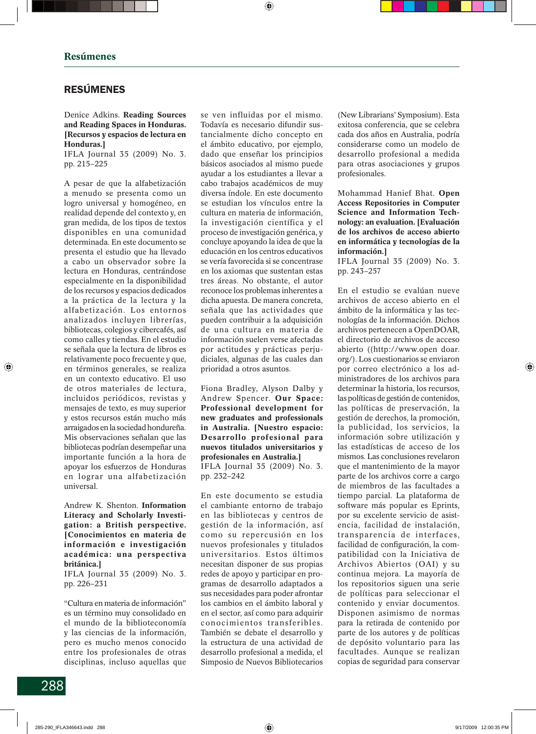# RESÚMENES

### Denice Adkins. **Reading Sources and Reading Spaces in Honduras. [Recursos y espacios de lectura en Honduras.]**

IFLA Journal 35 (2009) No. 3. pp. 215–225

A pesar de que la alfabetización a menudo se presenta como un logro universal y homogéneo, en realidad depende del contexto y, en gran medida, de los tipos de textos disponibles en una comunidad determinada. En este documento se presenta el estudio que ha llevado a cabo un observador sobre la lectura en Honduras, centrándose especialmente en la disponibilidad de los recursos y espacios dedicados a la práctica de la lectura y la alfabetización. Los entornos analizados incluyen librerías, bibliotecas, colegios y cibercafés, así como calles y tiendas. En el estudio se señala que la lectura de libros es relativamente poco frecuente y que, en términos generales, se realiza en un contexto educativo. El uso de otros materiales de lectura, incluidos periódicos, revistas y mensajes de texto, es muy superior y estos recursos están mucho más arraigados en la sociedad hondureña. Mis observaciones señalan que las bibliotecas podrían desempeñar una importante función a la hora de apoyar los esfuerzos de Honduras en lograr una alfabetización universal.

### Andrew K. Shenton. **Information Literacy and Scholarly Investigation: a British perspective. [Conocimientos en materia de información e investigación académica: una perspectiva británica.]**

IFLA Journal 35 (2009) No. 3. pp. 226–231

"Cultura en materia de información" es un término muy consolidado en el mundo de la biblioteconomía y las ciencias de la información, pero es mucho menos conocido entre los profesionales de otras disciplinas, incluso aquellas que

se ven influidas por el mismo. Todavía es necesario difundir sustancialmente dicho concepto en el ámbito educativo, por ejemplo, dado que enseñar los principios básicos asociados al mismo puede ayudar a los estudiantes a llevar a cabo trabajos académicos de muy diversa índole. En este documento se estudian los vínculos entre la cultura en materia de información, la investigación científica y el proceso de investigación genérica, y concluye apoyando la idea de que la educación en los centros educativos se vería favorecida si se concentrase en los axiomas que sustentan estas tres áreas. No obstante, el autor reconoce los problemas inherentes a dicha apuesta. De manera concreta, señala que las actividades que pueden contribuir a la adquisición de una cultura en materia de información suelen verse afectadas por actitudes y prácticas perjudiciales, algunas de las cuales dan prioridad a otros asuntos.

Fiona Bradley, Alyson Dalby y Andrew Spencer. **Our Space: Professional development for new graduates and professionals in Australia. [Nuestro espacio: Desarrollo profesional para nuevos titulados universitarios y profesionales en Australia.]** IFLA Journal 35 (2009) No. 3. pp. 232–242

En este documento se estudia el cambiante entorno de trabajo en las bibliotecas y centros de gestión de la información, así como su repercusión en los nuevos profesionales y titulados universitarios. Estos últimos necesitan disponer de sus propias redes de apoyo y participar en programas de desarrollo adaptados a sus necesidades para poder afrontar los cambios en el ámbito laboral y en el sector, así como para adquirir conocimientos transferibles. También se debate el desarrollo y la estructura de una actividad de desarrollo profesional a medida, el Simposio de Nuevos Bibliotecarios

(New Librarians' Symposium). Esta exitosa conferencia, que se celebra cada dos años en Australia, podría considerarse como un modelo de desarrollo profesional a medida para otras asociaciones y grupos profesionales.

Mohammad Hanief Bhat. **Open Access Repositories in Computer Science and Information Technology: an evaluation. [Evaluación de los archivos de acceso abierto en informática y tecnologías de la información.]**

IFLA Journal 35 (2009) No. 3. pp. 243–257

En el estudio se evalúan nueve archivos de acceso abierto en el ámbito de la informática y las tecnologías de la información. Dichos archivos pertenecen a OpenDOAR, el directorio de archivos de acceso abierto ((http://www.open doar. org/). Los cuestionarios se enviaron por correo electrónico a los administradores de los archivos para determinar la historia, los recursos, las políticas de gestión de contenidos, las políticas de preservación, la gestión de derechos, la promoción, la publicidad, los servicios, la información sobre utilización y las estadísticas de acceso de los mismos. Las conclusiones revelaron que el mantenimiento de la mayor parte de los archivos corre a cargo de miembros de las facultades a tiempo parcial. La plataforma de software más popular es Eprints, por su excelente servicio de asistencia, facilidad de instalación, transparencia de interfaces, facilidad de configuración, la compatibilidad con la Iniciativa de Archivos Abiertos (OAI) y su continua mejora. La mayoría de los repositorios siguen una serie de políticas para seleccionar el contenido y enviar documentos. Disponen asimismo de normas para la retirada de contenido por parte de los autores y de políticas de depósito voluntario para las facultades. Aunque se realizan copias de seguridad para conservar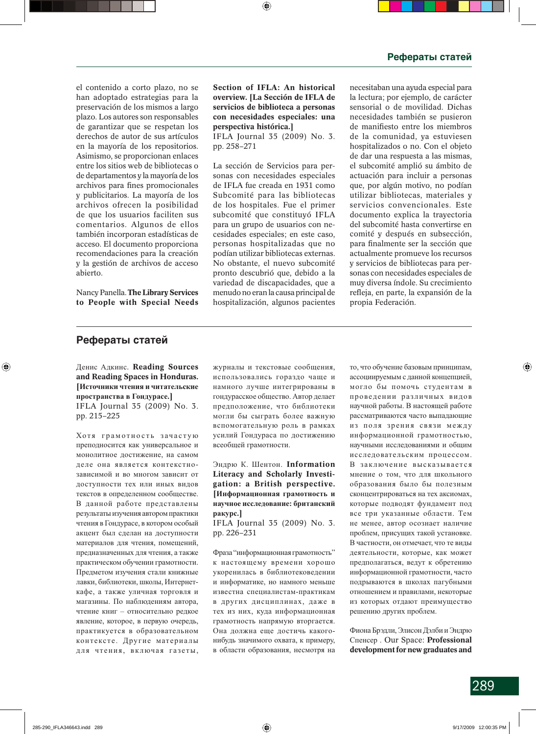el contenido a corto plazo, no se han adoptado estrategias para la preservación de los mismos a largo plazo. Los autores son responsables de garantizar que se respetan los derechos de autor de sus artículos en la mayoría de los repositorios. Asimismo, se proporcionan enlaces entre los sitios web de bibliotecas o de departamentos y la mayoría de los archivos para fines promocionales y publicitarios. La mayoría de los archivos ofrecen la posibilidad de que los usuarios faciliten sus comentarios. Algunos de ellos también incorporan estadísticas de acceso. El documento proporciona recomendaciones para la creación y la gestión de archivos de acceso abierto.

Nancy Panella. **The Library Services to People with Special Needs** 

### **Section of IFLA: An historical overview. [La Sección de IFLA de servicios de biblioteca a personas con necesidades especiales: una perspectiva histórica.]**

IFLA Journal 35 (2009) No. 3. pp. 258–271

La sección de Servicios para personas con necesidades especiales de IFLA fue creada en 1931 como Subcomité para las bibliotecas de los hospitales. Fue el primer subcomité que constituyó IFLA para un grupo de usuarios con necesidades especiales; en este caso, personas hospitalizadas que no podían utilizar bibliotecas externas. No obstante, el nuevo subcomité pronto descubrió que, debido a la variedad de discapacidades, que a menudo no eran la causa principal de hospitalización, algunos pacientes

necesitaban una ayuda especial para la lectura; por ejemplo, de carácter sensorial o de movilidad. Dichas necesidades también se pusieron de manifiesto entre los miembros de la comunidad, ya estuviesen hospitalizados o no. Con el objeto de dar una respuesta a las mismas, el subcomité amplió su ámbito de actuación para incluir a personas que, por algún motivo, no podían utilizar bibliotecas, materiales y servicios convencionales. Este documento explica la trayectoria del subcomité hasta convertirse en comité y después en subsección, para finalmente ser la sección que actualmente promueve los recursos y servicios de bibliotecas para personas con necesidades especiales de muy diversa índole. Su crecimiento refleja, en parte, la expansión de la propia Federación.

# **Pефераты статей**

Денис Адкинс. **Reading Sources and Reading Spaces in Honduras. [Источники чтения и читательские пространства в Гондурасе.]** IFLA Journal 35 (2009) No. 3.

pp. 215–225

Хотя грамотность зачастую преподносится как универсальное и монолитное достижение, на самом деле она является контекстнозависимой и во многом зависит от доступности тех или иных видов текстов в определенном сообществе. В данной работе представлены результаты изучения автором практики чтения в Гондyрасе, в котором особый акцент был сделан на доступности материалов для чтения, помещений, предназначенных для чтения, а также практическом обучении грамотности. Предметом изучения стали книжные лавки, библиотеки, школы, Интернеткафе, а также уличная торговля и магазины. По наблюдениям автора, чтение книг – относительно редкое явление, которое, в первую очередь, практикуется в образовательном контексте. Другие материалы для чтения, включая газеты, журналы и текстовые сообщения, использовались гораздо чаще и намного лучше интегрированы в гондурасское общество. Автор делает предположение, что библиотеки могли бы сыграть более важную вспомогательную роль в рамках усилий Гондураса по достижению всеобщей грамотности.

Эндрю К. Шентон. **Information Literacy and Scholarly Investigation: a British perspective. [Информационная грамотность и научное исследование: британский ракурс.]**

IFLA Journal 35 (2009) No. 3. pp. 226–231

Фраза "информационная грамотность" к настоящему времени хорошо укоренилась в библиотековедении и информатике, но намного меньше известна специалистам-практикам в других дисциплинах, даже в тех из них, куда информационная грамотность напрямую вторгается. Она должна еще достичь какогонибудь значимого охвата, к примеру, в области образования, несмотря на то, что обучение базовым принципам, ассоциируемым с данной концепцией, могло бы помочь студентам в проведении различных видов научной работы. В настоящей работе рассматриваются часто выпадающие из поля зрения связи между информационной грамотностью, научными исследованиями и общим исследовательским процессом. В заключение высказывается мнение о том, что для школьного образования было бы полезным сконцентрироваться на тех аксиомах, которые подводят фундамент под все три указанные области. Тем не менее, автор осознает наличие проблем, присущих такой установке. В частности, он отмечает, что те виды деятельности, которые, как может предполагаться, ведут к обретению информационной грамотности, часто подрываются в школах пагубными отношением и правилами, некоторые из которых отдают преимущество решению других проблем.

Фиона Брэдли, Элисон Дэлби и Эндрю Спенсер . Our Space: **Professional development for new graduates and**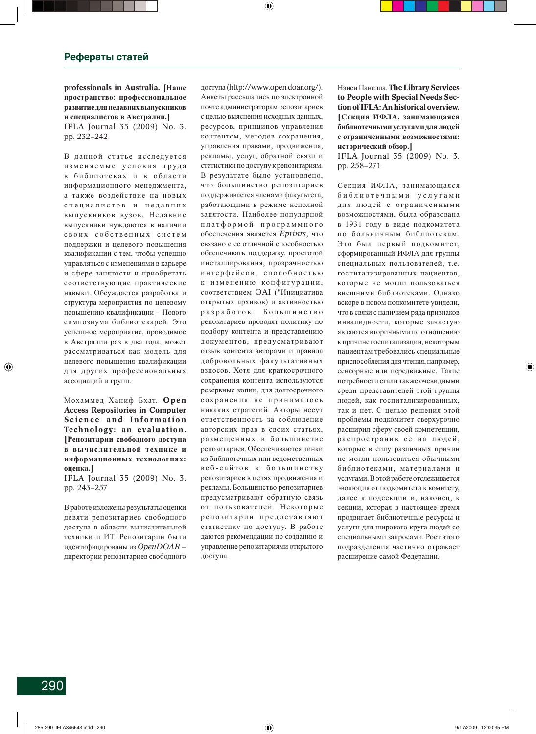**professionals in Australia. [Наше пространство: профессиональное развитие для недавних выпускников и специалистов в Австралии.]** IFLA Journal 35 (2009) No. 3. pp. 232–242

В данной статье исследуется изменяемые условия труда в библиотеках и в области информационного менеджмента, а также воздействие на новых специалистов и недавних выпускников вузов. Недавние выпускники нуждаются в наличии своих собственных систем поддержки и целевого повышения квалификации с тем, чтобы успешно управляться с изменениями в карьере и сфере занятости и приобретать соответствующие практические навыки. Обсуждается разработка и структура мероприятия по целевому повышению квалификации – Нового симпозиума библиотекарей. Это успешное мероприятие, проводимое в Австралии раз в два года, может рассматриваться как модель для целевого повышения квалификации для других профессиональных ассоциаций и групп.

Мохаммед Ханиф Бхат. **Open Access Repositories in Computer**  Science and Information **Technology: an evaluation. [Репозитарии свободного доступа в вычислительной технике и информационных технологиях: оценка.]**

IFLA Journal 35 (2009) No. 3. pp. 243–257

В работе изложены результаты оценки девяти репозитариев свободного доступа в области вычислительной техники и ИТ. Репозитарии были идентифицированы из *OpenDOAR* – директории репозитариев свободного доступа (http://www.open doar.org/). Анкеты рассылались по электронной почте администраторам репозитариев с целью выяснения исходных данных, ресурсов, принципов управления контентом, методов сохранения, управления правами, продвижения, рекламы, услуг, обратной связи и статистики по доступу к репозитариям. В результате было установлено, что большинство репозитариев поддерживается членами факультета, работающими в режиме неполной занятости. Наиболее популярной п л а т ф о р м о й п р о г р а м м н о г о обеспечения является *Eprints*, что связано с ее отличной способностью обеспечивать поддержку, простотой инсталлирования, прозрачностью интерфейсов, способностью к изменению конфигурации, соответствием OAI ("Инициатива открытых архивов) и активностью р а з р а б о т о к . Б о л ь ш и н с т в о репозитариев проводят политику по подбору контента и представлению документов, предусматривают отзыв контента авторами и правила добровольных факультативных взносов. Хотя для краткосрочного сохранения контента используются резервные копии, для долгосрочного сохранения не принималось никаких стратегий. Авторы несут ответственность за соблюдение авторских прав в своих статьях, размещенных в большинстве репозитариев. Обеспечиваются линки из библиотечных или ведомственных веб-сайтов к большинству репозитариев в целях продвижения и рекламы. Большинство репозитариев предусматривают обратную связь от пользователей. Некоторые репозитарии предоставляют статистику по доступу. В работе даются рекомендации по созданию и управление репозитариями открытого доступа.

Нэнси Панелла. **The Library Services to People with Special Needs Section of IFLA: An historical overview. [Секция ИФЛА, занимающаяся библиотечными услугами для людей с ограниченными возможностями: исторический обзор.]**

IFLA Journal 35 (2009) No. 3. pp. 258–271

Секция ИФЛА, занимающаяся б и б л и о т е ч н ы м и у с л у г а м и для людей с ограниченными возможностями, была образована в 1931 году в виде подкомитета по больничным библиотекам. Это был первый подкомитет, сформированный ИФЛА для группы специальных пользователей, т.е. госпитализированных пациентов, которые не могли пользоваться внешними библиотеками. Однако вскоре в новом подкомитете увидели, что в связи с наличием ряда признаков инвалидности, которые зачастую являются вторичными по отношению к причине госпитализации, некоторым пациентам требовались специальные приспособления для чтения, например, сенсорные или передвижные. Такие потребности стали также очевидными среди представителей этой группы людей, как госпитализированных, так и нет. С целью решения этой проблемы подкомитет сверхурочно расширил сферу своей компетенции, распространив ее на людей, которые в силу различных причин не могли пользоваться обычными библиотеками, материалами и услугами. В этой работе отслеживается эволюция от подкомитета к комитету, далее к подсекции и, наконец, к секции, которая в настоящее время продвигает библиотечные ресурсы и услуги для широкого круга людей со специальными запросами. Рост этого подразделения частично отражает расширение самой Федерации.